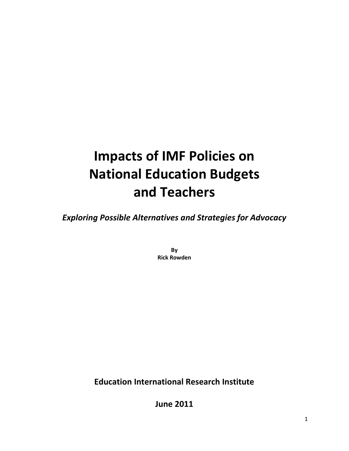# **Impacts of IMF Policies on National Education Budgets and Teachers**

*Exploring Possible Alternatives and Strategies for Advocacy*

**By Rick Rowden**

**Education International Research Institute**

**June 2011**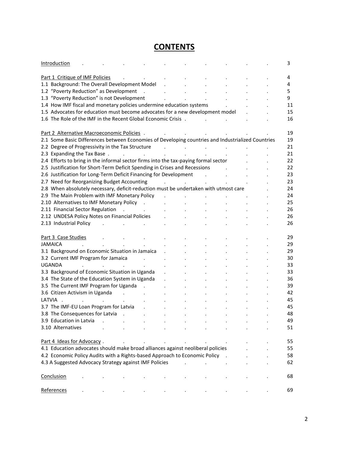# **CONTENTS**

| <b>Introduction</b>                                                                                        |                   |                      |  |              |               |  |  | 3  |
|------------------------------------------------------------------------------------------------------------|-------------------|----------------------|--|--------------|---------------|--|--|----|
|                                                                                                            |                   |                      |  |              |               |  |  |    |
| Part 1 Critique of IMF Policies                                                                            |                   |                      |  |              |               |  |  | 4  |
| 1.1 Background: The Overall Development Model                                                              |                   |                      |  |              |               |  |  | 4  |
| 1.2 "Poverty Reduction" as Development<br>$\ddot{\phantom{a}}$                                             |                   |                      |  |              |               |  |  | 5  |
| 1.3 "Poverty Reduction" is not Development                                                                 |                   |                      |  |              |               |  |  | 9  |
| 1.4 How IMF fiscal and monetary policies undermine education systems                                       |                   |                      |  |              |               |  |  | 11 |
| 1.5 Advocates for education must become advocates for a new development model                              |                   |                      |  |              |               |  |  | 15 |
| 1.6 The Role of the IMF in the Recent Global Economic Crisis .                                             |                   |                      |  |              |               |  |  | 16 |
|                                                                                                            |                   |                      |  |              |               |  |  |    |
| Part 2 Alternative Macroeconomic Policies.                                                                 |                   |                      |  |              |               |  |  | 19 |
| 2.1 Some Basic Differences between Economies of Developing countries and Industrialized Countries          |                   |                      |  |              |               |  |  | 19 |
| 2.2 Degree of Progressivity in the Tax Structure                                                           |                   |                      |  | $\mathbf{r}$ | $\sim 100$ km |  |  | 21 |
| 2.3 Expanding the Tax Base.                                                                                |                   |                      |  |              |               |  |  | 21 |
| 2.4 Efforts to bring in the informal sector firms into the tax-paying formal sector                        |                   |                      |  |              |               |  |  | 22 |
| 2.5 Justification for Short-Term Deficit Spending in Crises and Recessions                                 |                   |                      |  |              |               |  |  | 22 |
| 2.6 Justification for Long-Term Deficit Financing for Development                                          |                   |                      |  |              |               |  |  | 23 |
| 2.7 Need for Reorganizing Budget Accounting                                                                |                   |                      |  |              |               |  |  | 23 |
| 2.8 When absolutely necessary, deficit-reduction must be undertaken with utmost care                       |                   |                      |  |              |               |  |  | 24 |
| 2.9 The Main Problem with IMF Monetary Policy                                                              |                   |                      |  |              |               |  |  | 24 |
| 2.10 Alternatives to IMF Monetary Policy                                                                   |                   |                      |  |              |               |  |  | 25 |
|                                                                                                            |                   | $\ddot{\phantom{a}}$ |  |              |               |  |  |    |
| 2.11 Financial Sector Regulation<br>$\ddot{\phantom{0}}$<br>2.12 UNDESA Policy Notes on Financial Policies |                   |                      |  |              |               |  |  | 26 |
|                                                                                                            |                   |                      |  |              |               |  |  | 26 |
| 2.13 Industrial Policy                                                                                     |                   |                      |  |              |               |  |  | 26 |
|                                                                                                            |                   |                      |  |              |               |  |  | 29 |
| Part 3 Case Studies                                                                                        |                   |                      |  |              |               |  |  | 29 |
| <b>JAMAICA</b>                                                                                             |                   |                      |  |              |               |  |  |    |
| 3.1 Background on Economic Situation in Jamaica<br>3.2 Current IMF Program for Jamaica                     |                   |                      |  |              |               |  |  | 29 |
|                                                                                                            |                   | $\ddot{\phantom{a}}$ |  |              |               |  |  | 30 |
| <b>UGANDA</b>                                                                                              | $\sim$ 100 $\sim$ |                      |  |              |               |  |  | 33 |
| 3.3 Background of Economic Situation in Uganda                                                             |                   |                      |  |              |               |  |  | 33 |
| 3.4 The State of the Education System in Uganda                                                            |                   |                      |  |              |               |  |  | 36 |
| 3.5 The Current IMF Program for Uganda                                                                     |                   |                      |  |              |               |  |  | 39 |
| 3.6 Citizen Activism in Uganda                                                                             |                   |                      |  |              |               |  |  | 42 |
| LATVIA.                                                                                                    | $\overline{a}$    |                      |  |              |               |  |  | 45 |
| 3.7 The IMF-EU Loan Program for Latvia                                                                     |                   |                      |  |              |               |  |  | 45 |
| 3.8 The Consequences for Latvia                                                                            |                   |                      |  |              |               |  |  | 48 |
| 3.9 Education in Latvia                                                                                    |                   |                      |  |              |               |  |  | 49 |
| 3.10 Alternatives                                                                                          |                   |                      |  |              |               |  |  | 51 |
|                                                                                                            |                   |                      |  |              |               |  |  |    |
| Part 4 Ideas for Advocacy.                                                                                 |                   |                      |  |              |               |  |  | 55 |
| 4.1 Education advocates should make broad alliances against neoliberal policies                            |                   |                      |  |              |               |  |  | 55 |
| 4.2 Economic Policy Audits with a Rights-based Approach to Economic Policy                                 |                   |                      |  |              |               |  |  | 58 |
| 4.3 A Suggested Advocacy Strategy against IMF Policies                                                     |                   |                      |  |              |               |  |  | 62 |
|                                                                                                            |                   |                      |  |              |               |  |  |    |
| Conclusion                                                                                                 |                   |                      |  |              |               |  |  | 68 |
|                                                                                                            |                   |                      |  |              |               |  |  |    |
|                                                                                                            |                   |                      |  |              |               |  |  | 69 |
| References                                                                                                 |                   |                      |  |              |               |  |  |    |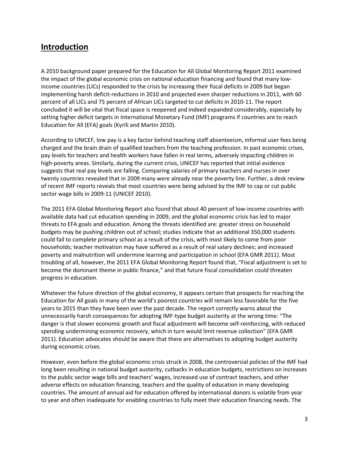## **Introduction**

A 2010 background paper prepared for the Education for All Global Monitoring Report 2011 examined the impact of the global economic crisis on national education financing and found that many lowincome countries (LICs) responded to the crisis by increasing their fiscal deficits in 2009 but began implementing harsh deficit-reductions in 2010 and projected even sharper reductions in 2011, with 60 percent of all LICs and 75 percent of African LICs targeted to cut deficits in 2010-11. The report concluded it will be vital that fiscal space is reopened and indeed expanded considerably, especially by setting higher deficit targets in International Monetary Fund (IMF) programs if countries are to reach Education for All (EFA) goals (Kyrili and Martin 2010).

According to UNICEF, low pay is a key factor behind teaching staff absenteeism, informal user fees being charged and the brain drain of qualified teachers from the teaching profession. In past economic crises, pay levels for teachers and health workers have fallen in real terms, adversely impacting children in high-poverty areas. Similarly, during the current crisis, UNICEF has reported that initial evidence suggests that real pay levels are falling. Comparing salaries of primary teachers and nurses in over twenty countries revealed that in 2009 many were already near the poverty line. Further, a desk review of recent IMF reports reveals that most countries were being advised by the IMF to cap or cut public sector wage bills in 2009-11 (UNICEF 2010).

The 2011 EFA Global Monitoring Report also found that about 40 percent of low-income countries with available data had cut education spending in 2009, and the global economic crisis has led to major threats to EFA goals and education. Among the threats identified are: greater stress on household budgets may be pushing children out of school; studies indicate that an additional 350,000 students could fail to complete primary school as a result of the crisis, with most likely to come from poor households; teacher motivation may have suffered as a result of real salary declines; and increased poverty and malnutrition will undermine learning and participation in school (EFA GMR 2011). Most troubling of all, however, the 2011 EFA Global Monitoring Report found that, "Fiscal adjustment is set to become the dominant theme in public finance," and that future fiscal consolidation could threaten progress in education.

Whatever the future direction of the global economy, it appears certain that prospects for reaching the Education for All goals in many of the world's poorest countries will remain less favorable for the five years to 2015 than they have been over the past decade. The report correctly warns about the unnecessarily harsh consequences for adopting IMF-type budget austerity at the wrong time: "The danger is that slower economic growth and fiscal adjustment will become self-reinforcing, with reduced spending undermining economic recovery, which in turn would limit revenue collection" (EFA GMR 2011). Education advocates should be aware that there are alternatives to adopting budget austerity during economic crises.

However, even before the global economic crisis struck in 2008, the controversial policies of the IMF had long been resulting in national budget austerity, cutbacks in education budgets, restrictions on increases to the public sector wage bills and teachers' wages, increased use of contract teachers, and other adverse effects on education financing, teachers and the quality of education in many developing countries. The amount of annual aid for education offered by international donors is volatile from year to year and often inadequate for enabling countries to fully meet their education financing needs. The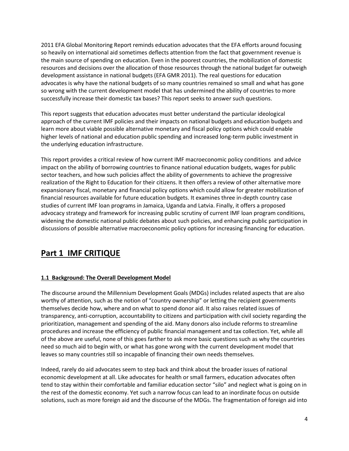2011 EFA Global Monitoring Report reminds education advocates that the EFA efforts around focusing so heavily on international aid sometimes deflects attention from the fact that government revenue is the main source of spending on education. Even in the poorest countries, the mobilization of domestic resources and decisions over the allocation of those resources through the national budget far outweigh development assistance in national budgets (EFA GMR 2011). The real questions for education advocates is why have the national budgets of so many countries remained so small and what has gone so wrong with the current development model that has undermined the ability of countries to more successfully increase their domestic tax bases? This report seeks to answer such questions.

This report suggests that education advocates must better understand the particular ideological approach of the current IMF policies and their impacts on national budgets and education budgets and learn more about viable possible alternative monetary and fiscal policy options which could enable higher levels of national and education public spending and increased long-term public investment in the underlying education infrastructure.

This report provides a critical review of how current IMF macroeconomic policy conditions and advice impact on the ability of borrowing countries to finance national education budgets, wages for public sector teachers, and how such policies affect the ability of governments to achieve the progressive realization of the Right to Education for their citizens. It then offers a review of other alternative more expansionary fiscal, monetary and financial policy options which could allow for greater mobilization of financial resources available for future education budgets. It examines three in-depth country case studies of current IMF loan programs in Jamaica, Uganda and Latvia. Finally, it offers a proposed advocacy strategy and framework for increasing public scrutiny of current IMF loan program conditions, widening the domestic national public debates about such policies, and enhancing public participation in discussions of possible alternative macroeconomic policy options for increasing financing for education.

# **Part 1 IMF CRITIQUE**

#### **1.1 Background: The Overall Development Model**

The discourse around the Millennium Development Goals (MDGs) includes related aspects that are also worthy of attention, such as the notion of "country ownership" or letting the recipient governments themselves decide how, where and on what to spend donor aid. It also raises related issues of transparency, anti-corruption, accountability to citizens and participation with civil society regarding the prioritization, management and spending of the aid. Many donors also include reforms to streamline procedures and increase the efficiency of public financial management and tax collection. Yet, while all of the above are useful, none of this goes farther to ask more basic questions such as why the countries need so much aid to begin with, or what has gone wrong with the current development model that leaves so many countries still so incapable of financing their own needs themselves.

Indeed, rarely do aid advocates seem to step back and think about the broader issues of national economic development at all. Like advocates for health or small farmers, education advocates often tend to stay within their comfortable and familiar education sector "silo" and neglect what is going on in the rest of the domestic economy. Yet such a narrow focus can lead to an inordinate focus on outside solutions, such as more foreign aid and the discourse of the MDGs. The fragmentation of foreign aid into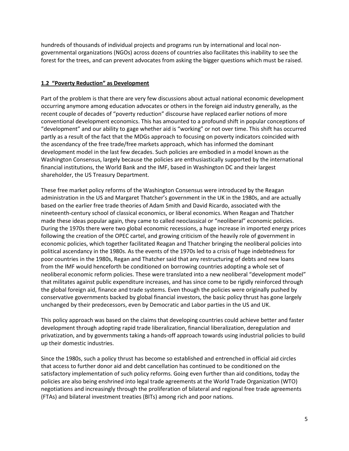hundreds of thousands of individual projects and programs run by international and local nongovernmental organizations (NGOs) across dozens of countries also facilitates this inability to see the forest for the trees, and can prevent advocates from asking the bigger questions which must be raised.

#### **1.2 "Poverty Reduction" as Development**

Part of the problem is that there are very few discussions about actual national economic development occurring anymore among education advocates or others in the foreign aid industry generally, as the recent couple of decades of "poverty reduction" discourse have replaced earlier notions of more conventional development economics. This has amounted to a profound shift in popular conceptions of "development" and our ability to gage whether aid is "working" or not over time. This shift has occurred partly as a result of the fact that the MDGs approach to focusing on poverty indicators coincided with the ascendancy of the free trade/free markets approach, which has informed the dominant development model in the last few decades. Such policies are embodied in a model known as the Washington Consensus, largely because the policies are enthusiastically supported by the international financial institutions, the World Bank and the IMF, based in Washington DC and their largest shareholder, the US Treasury Department.

These free market policy reforms of the Washington Consensus were introduced by the Reagan administration in the US and Margaret Thatcher's government in the UK in the 1980s, and are actually based on the earlier free trade theories of Adam Smith and David Ricardo, associated with the nineteenth-century school of classical economics, or liberal economics. When Reagan and Thatcher made these ideas popular again, they came to called neoclassical or "neoliberal" economic policies. During the 1970s there were two global economic recessions, a huge increase in imported energy prices following the creation of the OPEC cartel, and growing criticism of the heavily role of government in economic policies, which together facilitated Reagan and Thatcher bringing the neoliberal policies into political ascendancy in the 1980s. As the events of the 1970s led to a crisis of huge indebtedness for poor countries in the 1980s, Regan and Thatcher said that any restructuring of debts and new loans from the IMF would henceforth be conditioned on borrowing countries adopting a whole set of neoliberal economic reform policies. These were translated into a new neoliberal "development model" that militates against public expenditure increases, and has since come to be rigidly reinforced through the global foreign aid, finance and trade systems. Even though the policies were originally pushed by conservative governments backed by global financial investors, the basic policy thrust has gone largely unchanged by their predecessors, even by Democratic and Labor parties in the US and UK.

This policy approach was based on the claims that developing countries could achieve better and faster development through adopting rapid trade liberalization, financial liberalization, deregulation and privatization, and by governments taking a hands-off approach towards using industrial policies to build up their domestic industries.

Since the 1980s, such a policy thrust has become so established and entrenched in official aid circles that access to further donor aid and debt cancellation has continued to be conditioned on the satisfactory implementation of such policy reforms. Going even further than aid conditions, today the policies are also being enshrined into legal trade agreements at the World Trade Organization (WTO) negotiations and increasingly through the proliferation of bilateral and regional free trade agreements (FTAs) and bilateral investment treaties (BITs) among rich and poor nations.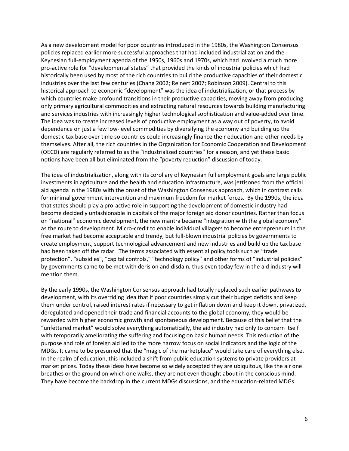As a new development model for poor countries introduced in the 1980s, the Washington Consensus policies replaced earlier more successful approaches that had included industrialization and the Keynesian full-employment agenda of the 1950s, 1960s and 1970s, which had involved a much more pro-active role for "developmental states" that provided the kinds of industrial policies which had historically been used by most of the rich countries to build the productive capacities of their domestic industries over the last few centuries (Chang 2002; Reinert 2007; Robinson 2009). Central to this historical approach to economic "development" was the idea of industrialization, or that process by which countries make profound transitions in their productive capacities, moving away from producing only primary agricultural commodities and extracting natural resources towards building manufacturing and services industries with increasingly higher technological sophistication and value-added over time. The idea was to create increased levels of productive employment as a way out of poverty, to avoid dependence on just a few low-level commodities by diversifying the economy and building up the domestic tax base over time so countries could increasingly finance their education and other needs by themselves. After all, the rich countries in the Organization for Economic Cooperation and Development (OECD) are regularly referred to as the "industrialized countries" for a reason, and yet these basic notions have been all but eliminated from the "poverty reduction" discussion of today.

The idea of industrialization, along with its corollary of Keynesian full employment goals and large public investments in agriculture and the health and education infrastructure, was jettisoned from the official aid agenda in the 1980s with the onset of the Washington Consensus approach, which in contrast calls for minimal government intervention and maximum freedom for market forces. By the 1990s, the idea that states should play a pro-active role in supporting the development of domestic industry had become decidedly unfashionable in capitals of the major foreign aid donor countries. Rather than focus on "national" economic development, the new mantra became "integration with the global economy" as the route to development. Micro-credit to enable individual villagers to become entrepreneurs in the free market had become acceptable and trendy, but full-blown industrial policies by governments to create employment, support technological advancement and new industries and build up the tax base had been taken off the radar. The terms associated with essential policy tools such as "trade protection", "subsidies", "capital controls," "technology policy" and other forms of "industrial policies" by governments came to be met with derision and disdain, thus even today few in the aid industry will mention them.

By the early 1990s, the Washington Consensus approach had totally replaced such earlier pathways to development, with its overriding idea that if poor countries simply cut their budget deficits and keep them under control, raised interest rates if necessary to get inflation down and keep it down, privatized, deregulated and opened their trade and financial accounts to the global economy, they would be rewarded with higher economic growth and spontaneous development. Because of this belief that the "unfettered market" would solve everything automatically, the aid industry had only to concern itself with temporarily ameliorating the suffering and focusing on basic human needs. This reduction of the purpose and role of foreign aid led to the more narrow focus on social indicators and the logic of the MDGs. It came to be presumed that the "magic of the marketplace" would take care of everything else. In the realm of education, this included a shift from public education systems to private providers at market prices. Today these ideas have become so widely accepted they are ubiquitous, like the air one breathes or the ground on which one walks, they are not even thought about in the conscious mind. They have become the backdrop in the current MDGs discussions, and the education-related MDGs.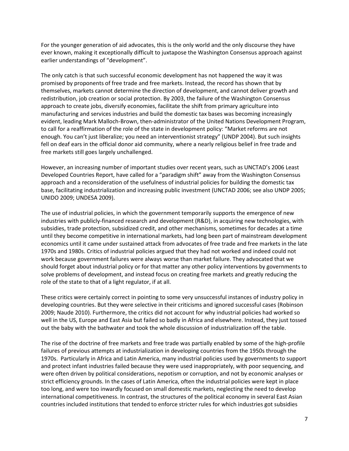For the younger generation of aid advocates, this is the only world and the only discourse they have ever known, making it exceptionally difficult to juxtapose the Washington Consensus approach against earlier understandings of "development".

The only catch is that such successful economic development has not happened the way it was promised by proponents of free trade and free markets. Instead, the record has shown that by themselves, markets cannot determine the direction of development, and cannot deliver growth and redistribution, job creation or social protection. By 2003, the failure of the Washington Consensus approach to create jobs, diversify economies, facilitate the shift from primary agriculture into manufacturing and services industries and build the domestic tax bases was becoming increasingly evident, leading Mark Malloch-Brown, then-administrator of the United Nations Development Program, to call for a reaffirmation of the role of the state in development policy: "Market reforms are not enough. You can't just liberalize; you need an interventionist strategy" (UNDP 2004). But such insights fell on deaf ears in the official donor aid community, where a nearly religious belief in free trade and free markets still goes largely unchallenged.

However, an increasing number of important studies over recent years, such as UNCTAD's 2006 Least Developed Countries Report, have called for a "paradigm shift" away from the Washington Consensus approach and a reconsideration of the usefulness of industrial policies for building the domestic tax base, facilitating industrialization and increasing public investment (UNCTAD 2006; see also UNDP 2005; UNIDO 2009; UNDESA 2009).

The use of industrial policies, in which the government temporarily supports the emergence of new industries with publicly-financed research and development (R&D), in acquiring new technologies, with subsidies, trade protection, subsidized credit, and other mechanisms, sometimes for decades at a time until they become competitive in international markets, had long been part of mainstream development economics until it came under sustained attack from advocates of free trade and free markets in the late 1970s and 1980s. Critics of industrial policies argued that they had not worked and indeed could not work because government failures were always worse than market failure. They advocated that we should forget about industrial policy or for that matter any other policy interventions by governments to solve problems of development, and instead focus on creating free markets and greatly reducing the role of the state to that of a light regulator, if at all.

These critics were certainly correct in pointing to some very unsuccessful instances of industry policy in developing countries. But they were selective in their criticisms and ignored successful cases (Robinson 2009; Naude 2010). Furthermore, the critics did not account for why industrial policies had worked so well in the US, Europe and East Asia but failed so badly in Africa and elsewhere. Instead, they just tossed out the baby with the bathwater and took the whole discussion of industrialization off the table.

The rise of the doctrine of free markets and free trade was partially enabled by some of the high-profile failures of previous attempts at industrialization in developing countries from the 1950s through the 1970s. Particularly in Africa and Latin America, many industrial policies used by governments to support and protect infant industries failed because they were used inappropriately, with poor sequencing, and were often driven by political considerations, nepotism or corruption, and not by economic analyses or strict efficiency grounds. In the cases of Latin America, often the industrial policies were kept in place too long, and were too inwardly focused on small domestic markets, neglecting the need to develop international competitiveness. In contrast, the structures of the political economy in several East Asian countries included institutions that tended to enforce stricter rules for which industries got subsidies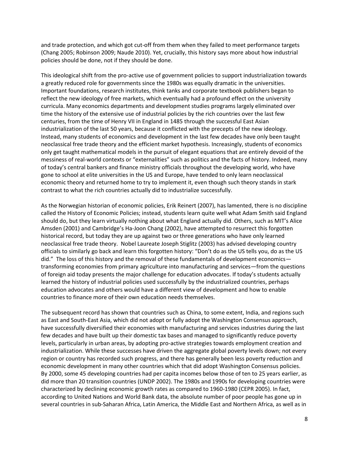and trade protection, and which got cut-off from them when they failed to meet performance targets (Chang 2005; Robinson 2009; Naude 2010). Yet, crucially, this history says more about how industrial policies should be done, not if they should be done.

This ideological shift from the pro-active use of government policies to support industrialization towards a greatly reduced role for governments since the 1980s was equally dramatic in the universities. Important foundations, research institutes, think tanks and corporate textbook publishers began to reflect the new ideology of free markets, which eventually had a profound effect on the university curricula. Many economics departments and development studies programs largely eliminated over time the history of the extensive use of industrial policies by the rich countries over the last few centuries, from the time of Henry VII in England in 1485 through the successful East Asian industrialization of the last 50 years, because it conflicted with the precepts of the new ideology. Instead, many students of economics and development in the last few decades have only been taught neoclassical free trade theory and the efficient market hypothesis. Increasingly, students of economics only get taught mathematical models in the pursuit of elegant equations that are entirely devoid of the messiness of real-world contexts or "externalities" such as politics and the facts of history. Indeed, many of today's central bankers and finance ministry officials throughout the developing world, who have gone to school at elite universities in the US and Europe, have tended to only learn neoclassical economic theory and returned home to try to implement it, even though such theory stands in stark contrast to what the rich countries actually did to industrialize successfully.

As the Norwegian historian of economic policies, Erik Reinert (2007), has lamented, there is no discipline called the History of Economic Policies; instead, students learn quite well what Adam Smith said England should do, but they learn virtually nothing about what England actually did. Others, such as MIT's Alice Amsden (2001) and Cambridge's Ha-Joon Chang (2002), have attempted to resurrect this forgotten historical record, but today they are up against two or three generations who have only learned neoclassical free trade theory. Nobel Laureate Joseph Stiglitz (2003) has advised developing country officials to similarly go back and learn this forgotten history: "Don't do as the US tells you, do as the US did." The loss of this history and the removal of these fundamentals of development economics transforming economies from primary agriculture into manufacturing and services—from the questions of foreign aid today presents the major challenge for education advocates. If today's students actually learned the history of industrial policies used successfully by the industrialized countries, perhaps education advocates and others would have a different view of development and how to enable countries to finance more of their own education needs themselves.

The subsequent record has shown that countries such as China, to some extent, India, and regions such as East and South-East Asia, which did not adopt or fully adopt the Washington Consensus approach, have successfully diversified their economies with manufacturing and services industries during the last few decades and have built up their domestic tax bases and managed to significantly reduce poverty levels, particularly in urban areas, by adopting pro-active strategies towards employment creation and industrialization. While these successes have driven the aggregate global poverty levels down; not every region or country has recorded such progress, and there has generally been less poverty reduction and economic development in many other countries which that did adopt Washington Consensus policies. By 2000, some 45 developing countries had per capita incomes below those of ten to 25 years earlier, as did more than 20 transition countries (UNDP 2002). The 1980s and 1990s for developing countries were characterized by declining economic growth rates as compared to 1960-1980 (CEPR 2005). In fact, according to United Nations and World Bank data, the absolute number of poor people has gone up in several countries in sub-Saharan Africa, Latin America, the Middle East and Northern Africa, as well as in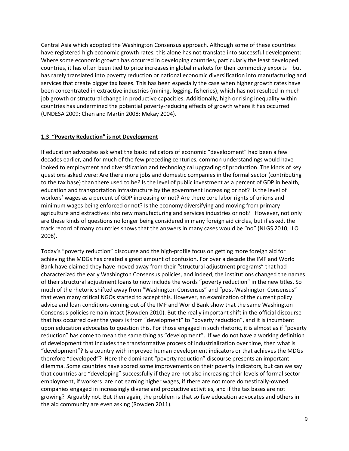Central Asia which adopted the Washington Consensus approach. Although some of these countries have registered high economic growth rates, this alone has not translate into successful development: Where some economic growth has occurred in developing countries, particularly the least developed countries, it has often been tied to price increases in global markets for their commodity exports—but has rarely translated into poverty reduction or national economic diversification into manufacturing and services that create bigger tax bases. This has been especially the case when higher growth rates have been concentrated in extractive industries (mining, logging, fisheries), which has not resulted in much job growth or structural change in productive capacities. Additionally, high or rising inequality within countries has undermined the potential poverty-reducing effects of growth where it has occurred (UNDESA 2009; Chen and Martin 2008; Mekay 2004).

#### **1.3 "Poverty Reduction" is not Development**

If education advocates ask what the basic indicators of economic "development" had been a few decades earlier, and for much of the few preceding centuries, common understandings would have looked to employment and diversification and technological upgrading of production. The kinds of key questions asked were: Are there more jobs and domestic companies in the formal sector (contributing to the tax base) than there used to be? Is the level of public investment as a percent of GDP in health, education and transportation infrastructure by the government increasing or not? Is the level of workers' wages as a percent of GDP increasing or not? Are there core labor rights of unions and minimum wages being enforced or not? Is the economy diversifying and moving from primary agriculture and extractives into new manufacturing and services industries or not? However, not only are these kinds of questions no longer being considered in many foreign aid circles, but if asked, the track record of many countries shows that the answers in many cases would be "no" (NLGS 2010; ILO 2008).

Today's "poverty reduction" discourse and the high-profile focus on getting more foreign aid for achieving the MDGs has created a great amount of confusion. For over a decade the IMF and World Bank have claimed they have moved away from their "structural adjustment programs" that had characterized the early Washington Consensus policies, and indeed, the institutions changed the names of their structural adjustment loans to now include the words "poverty reduction" in the new titles. So much of the rhetoric shifted away from "Washington Consensus" and "post-Washington Consensus" that even many critical NGOs started to accept this. However, an examination of the current policy advice and loan conditions coming out of the IMF and World Bank show that the same Washington Consensus policies remain intact (Rowden 2010). But the really important shift in the official discourse that has occurred over the years is from "development" to "poverty reduction", and it is incumbent upon education advocates to question this. For those engaged in such rhetoric, it is almost as if "poverty reduction" has come to mean the same thing as "development". If we do not have a working definition of development that includes the transformative process of industrialization over time, then what is "development"? Is a country with improved human development indicators or that achieves the MDGs therefore "developed"? Here the dominant "poverty reduction" discourse presents an important dilemma. Some countries have scored some improvements on their poverty indicators, but can we say that countries are "developing" successfully if they are not also increasing their levels of formal sector employment, if workers are not earning higher wages, if there are not more domestically-owned companies engaged in increasingly diverse and productive activities, and if the tax bases are not growing? Arguably not. But then again, the problem is that so few education advocates and others in the aid community are even asking (Rowden 2011).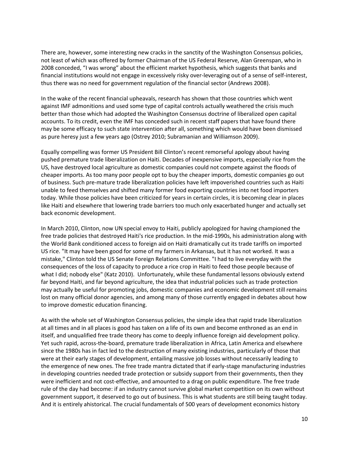There are, however, some interesting new cracks in the sanctity of the Washington Consensus policies, not least of which was offered by former Chairman of the US Federal Reserve, Alan Greenspan, who in 2008 conceded, "I was wrong" about the efficient market hypothesis, which suggests that banks and financial institutions would not engage in excessively risky over-leveraging out of a sense of self-interest, thus there was no need for government regulation of the financial sector (Andrews 2008).

In the wake of the recent financial upheavals, research has shown that those countries which went against IMF admonitions and used some type of capital controls actually weathered the crisis much better than those which had adopted the Washington Consensus doctrine of liberalized open capital accounts. To its credit, even the IMF has conceded such in recent staff papers that have found there may be some efficacy to such state intervention after all, something which would have been dismissed as pure heresy just a few years ago (Ostrey 2010; Subramanian and Williamson 2009).

Equally compelling was former US President Bill Clinton's recent remorseful apology about having pushed premature trade liberalization on Haiti. Decades of inexpensive imports, especially rice from the US, have destroyed local agriculture as domestic companies could not compete against the floods of cheaper imports. As too many poor people opt to buy the cheaper imports, domestic companies go out of business. Such pre-mature trade liberalization policies have left impoverished countries such as Haiti unable to feed themselves and shifted many former food exporting countries into net food importers today. While those policies have been criticized for years in certain circles, it is becoming clear in places like Haiti and elsewhere that lowering trade barriers too much only exacerbated hunger and actually set back economic development.

In March 2010, Clinton, now UN special envoy to Haiti, publicly apologized for having championed the free trade policies that destroyed Haiti's rice production. In the mid-1990s, his administration along with the World Bank conditioned access to foreign aid on Haiti dramatically cut its trade tariffs on imported US rice. "It may have been good for some of my farmers in Arkansas, but it has not worked. It was a mistake," Clinton told the US Senate Foreign Relations Committee. "I had to live everyday with the consequences of the loss of capacity to produce a rice crop in Haiti to feed those people because of what I did; nobody else" (Katz 2010). Unfortunately, while these fundamental lessons obviously extend far beyond Haiti, and far beyond agriculture, the idea that industrial policies such as trade protection may actually be useful for promoting jobs, domestic companies and economic development still remains lost on many official donor agencies, and among many of those currently engaged in debates about how to improve domestic education financing.

As with the whole set of Washington Consensus policies, the simple idea that rapid trade liberalization at all times and in all places is good has taken on a life of its own and become enthroned as an end in itself, and unqualified free trade theory has come to deeply influence foreign aid development policy. Yet such rapid, across-the-board, premature trade liberalization in Africa, Latin America and elsewhere since the 1980s has in fact led to the destruction of many existing industries, particularly of those that were at their early stages of development, entailing massive job losses without necessarily leading to the emergence of new ones. The free trade mantra dictated that if early-stage manufacturing industries in developing countries needed trade protection or subsidy support from their governments, then they were inefficient and not cost-effective, and amounted to a drag on public expenditure. The free trade rule of the day had become: if an industry cannot survive global market competition on its own without government support, it deserved to go out of business. This is what students are still being taught today. And it is entirely ahistorical. The crucial fundamentals of 500 years of development economics history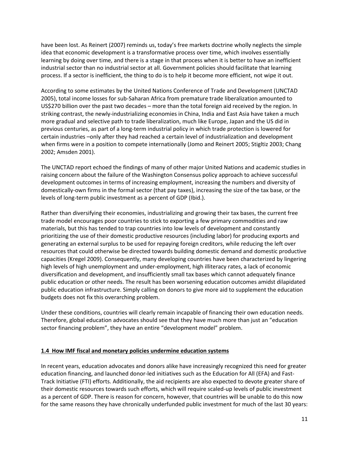have been lost. As Reinert (2007) reminds us, today's free markets doctrine wholly neglects the simple idea that economic development is a transformative process over time, which involves essentially learning by doing over time, and there is a stage in that process when it is better to have an inefficient industrial sector than no industrial sector at all. Government policies should facilitate that learning process. If a sector is inefficient, the thing to do is to help it become more efficient, not wipe it out.

According to some estimates by the United Nations Conference of Trade and Development (UNCTAD 2005), total income losses for sub-Saharan Africa from premature trade liberalization amounted to US\$270 billion over the past two decades – more than the total foreign aid received by the region. In striking contrast, the newly-industrializing economies in China, India and East Asia have taken a much more gradual and selective path to trade liberalization, much like Europe, Japan and the US did in previous centuries, as part of a long-term industrial policy in which trade protection is lowered for certain industries –only after they had reached a certain level of industrialization and development when firms were in a position to compete internationally (Jomo and Reinert 2005; Stigltiz 2003; Chang 2002; Amsden 2001).

The UNCTAD report echoed the findings of many of other major United Nations and academic studies in raising concern about the failure of the Washington Consensus policy approach to achieve successful development outcomes in terms of increasing employment, increasing the numbers and diversity of domestically-own firms in the formal sector (that pay taxes), increasing the size of the tax base, or the levels of long-term public investment as a percent of GDP (Ibid.).

Rather than diversifying their economies, industrializing and growing their tax bases, the current free trade model encourages poor countries to stick to exporting a few primary commodities and raw materials, but this has tended to trap countries into low levels of development and constantly prioritizing the use of their domestic productive resources (including labor) for producing exports and generating an external surplus to be used for repaying foreign creditors, while reducing the left over resources that could otherwise be directed towards building domestic demand and domestic productive capacities (Kregel 2009). Consequently, many developing countries have been characterized by lingering high levels of high unemployment and under-employment, high illiteracy rates, a lack of economic diversification and development, and insufficiently small tax bases which cannot adequately finance public education or other needs. The result has been worsening education outcomes amidst dilapidated public education infrastructure. Simply calling on donors to give more aid to supplement the education budgets does not fix this overarching problem.

Under these conditions, countries will clearly remain incapable of financing their own education needs. Therefore, global education advocates should see that they have much more than just an "education sector financing problem", they have an entire "development model" problem.

#### **1.4 How IMF fiscal and monetary policies undermine education systems**

In recent years, education advocates and donors alike have increasingly recognized this need for greater education financing, and launched donor-led initiatives such as the Education for All (EFA) and Fast-Track Initiative (FTI) efforts. Additionally, the aid recipients are also expected to devote greater share of their domestic resources towards such efforts, which will require scaled-up levels of public investment as a percent of GDP. There is reason for concern, however, that countries will be unable to do this now for the same reasons they have chronically underfunded public investment for much of the last 30 years: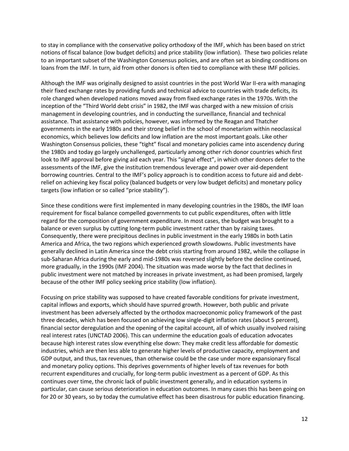to stay in compliance with the conservative policy orthodoxy of the IMF, which has been based on strict notions of fiscal balance (low budget deficits) and price stability (low inflation). These two policies relate to an important subset of the Washington Consensus policies, and are often set as binding conditions on loans from the IMF. In turn, aid from other donors is often tied to compliance with these IMF policies.

Although the IMF was originally designed to assist countries in the post World War II-era with managing their fixed exchange rates by providing funds and technical advice to countries with trade deficits, its role changed when developed nations moved away from fixed exchange rates in the 1970s. With the inception of the "Third World debt crisis" in 1982, the IMF was charged with a new mission of crisis management in developing countries, and in conducting the surveillance, financial and technical assistance. That assistance with policies, however, was informed by the Reagan and Thatcher governments in the early 1980s and their strong belief in the school of monetarism within neoclassical economics, which believes low deficits and low inflation are the most important goals. Like other Washington Consensus policies, these "tight" fiscal and monetary policies came into ascendency during the 1980s and today go largely unchallenged, particularly among other rich donor countries which first look to IMF approval before giving aid each year. This "signal effect", in which other donors defer to the assessments of the IMF, give the institution tremendous leverage and power over aid-dependent borrowing countries. Central to the IMF's policy approach is to condition access to future aid and debtrelief on achieving key fiscal policy (balanced budgets or very low budget deficits) and monetary policy targets (low inflation or so called "price stability").

Since these conditions were first implemented in many developing countries in the 1980s, the IMF loan requirement for fiscal balance compelled governments to cut public expenditures, often with little regard for the composition of government expenditure. In most cases, the budget was brought to a balance or even surplus by cutting long-term public investment rather than by raising taxes. Consequently, there were precipitous declines in public investment in the early 1980s in both Latin America and Africa, the two regions which experienced growth slowdowns. Public investments have generally declined in Latin America since the debt crisis starting from around 1982, while the collapse in sub-Saharan Africa during the early and mid-1980s was reversed slightly before the decline continued, more gradually, in the 1990s (IMF 2004). The situation was made worse by the fact that declines in public investment were not matched by increases in private investment, as had been promised, largely because of the other IMF policy seeking price stability (low inflation).

Focusing on price stability was supposed to have created favorable conditions for private investment, capital inflows and exports, which should have spurred growth. However, both public and private investment has been adversely affected by the orthodox macroeconomic policy framework of the past three decades, which has been focused on achieving low single-digit inflation rates (about 5 percent), financial sector deregulation and the opening of the capital account, all of which usually involved raising real interest rates (UNCTAD 2006). This can undermine the education goals of education advocates because high interest rates slow everything else down: They make credit less affordable for domestic industries, which are then less able to generate higher levels of productive capacity, employment and GDP output, and thus, tax revenues, than otherwise could be the case under more expansionary fiscal and monetary policy options. This deprives governments of higher levels of tax revenues for both recurrent expenditures and crucially, for long-term public investment as a percent of GDP. As this continues over time, the chronic lack of public investment generally, and in education systems in particular, can cause serious deterioration in education outcomes. In many cases this has been going on for 20 or 30 years, so by today the cumulative effect has been disastrous for public education financing.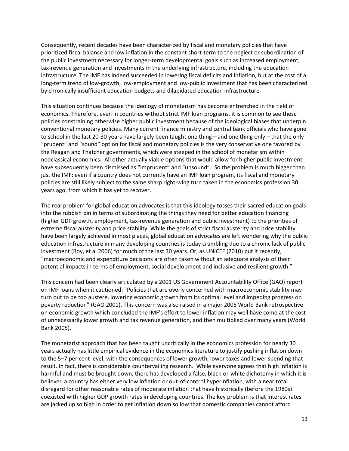Consequently, recent decades have been characterized by fiscal and monetary policies that have prioritized fiscal balance and low inflation in the constant short-term to the neglect or subordination of the public investment necessary for longer-term developmental goals such as increased employment, tax-revenue generation and investments in the underlying infrastructure, including the education infrastructure. The IMF has indeed succeeded in lowering fiscal deficits and inflation, but at the cost of a long-term trend of low-growth, low-employment and low-public investment that has been characterized by chronically insufficient education budgets and dilapidated education infrastructure.

This situation continues because the ideology of monetarism has become entrenched in the field of economics. Therefore, even in countries without strict IMF loan programs, it is common to see these policies constraining otherwise higher public investment because of the ideological biases that underpin conventional monetary policies. Many current finance ministry and central bank officials who have gone to school in the last 20-30 years have largely been taught one thing—and one thing only – that the only "prudent" and "sound" option for fiscal and monetary policies is the very conservative one favored by the Reagan and Thatcher governments, which were steeped in the school of monetarism within neoclassical economics. All other actually viable options that would allow for higher public investment have subsequently been dismissed as "imprudent" and "unsound". So the problem is much bigger than just the IMF: even if a country does not currently have an IMF loan program, its fiscal and monetary policies are still likely subject to the same sharp right-wing turn taken in the economics profession 30 years ago, from which it has yet to recover.

The real problem for global education advocates is that this ideology tosses their sacred education goals into the rubbish bin in terms of subordinating the things they need for better education financing (higher GDP growth, employment, tax-revenue generation and public investment) to the priorities of extreme fiscal austerity and price stability. While the goals of strict fiscal austerity and price stability have been largely achieved in most places, global education advocates are left wondering why the public education infrastructure in many developing countries is today crumbling due to a chronic lack of public investment (Roy, et al 2006) for much of the last 30 years. Or, as UNICEF (2010) put it recently, "macroeconomic and expenditure decisions are often taken without an adequate analysis of their potential impacts in terms of employment, social development and inclusive and resilient growth."

This concern had been clearly articulated by a 2001 US Government Accountability Office (GAO) report on IMF loans when it cautioned: "Policies that are overly concerned with macroeconomic stability may turn out to be too austere, lowering economic growth from its optimal level and impeding progress on poverty reduction" (GAO 2001). This concern was also raised in a major 2005 World Bank retrospective on economic growth which concluded the IMF's effort to lower inflation may well have come at the cost of unnecessarily lower growth and tax revenue generation, and then multiplied over many years (World Bank 2005).

The monetarist approach that has been taught uncritically in the economics profession for nearly 30 years actually has little empirical evidence in the economics literature to justify pushing inflation down to the 5–7 per cent level, with the consequences of lower growth, lower taxes and lower spending that result. In fact, there is considerable countervailing research. While everyone agrees that high inflation is harmful and must be brought down, there has developed a false, black-or-white dichotomy in which it is believed a country has either very low inflation or out-of-control hyperinflation, with a near total disregard for other reasonable rates of moderate inflation that have historically (before the 1980s) coexisted with higher GDP growth rates in developing countries. The key problem is that interest rates are jacked up so high in order to get inflation down so low that domestic companies cannot afford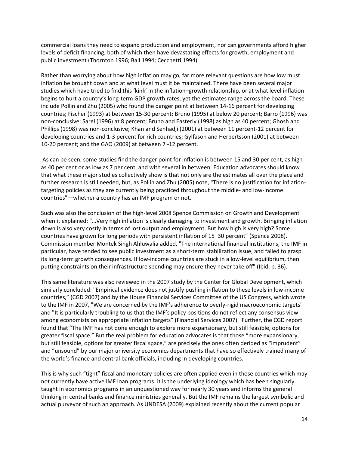commercial loans they need to expand production and employment, nor can governments afford higher levels of deficit financing, both of which then have devastating effects for growth, employment and public investment (Thornton 1996; Ball 1994; Cecchetti 1994).

Rather than worrying about how high inflation may go, far more relevant questions are how low must inflation be brought down and at what level must it be maintained. There have been several major studies which have tried to find this 'kink' in the inflation–growth relationship, or at what level inflation begins to hurt a country's long-term GDP growth rates, yet the estimates range across the board. These include Pollin and Zhu (2005) who found the danger point at between 14-16 percent for developing countries; Fischer (1993) at between 15-30 percent; Bruno (1995) at below 20 percent; Barro (1996) was non-conclusive; Sarel (1996) at 8 percent; Bruno and Easterly (1998) as high as 40 percent; Ghosh and Phillips (1998) was non-conclusive; Khan and Senhadji (2001) at between 11 percent-12 percent for developing countries and 1-3 percent for rich countries; Gylfason and Herbertsson (2001) at between 10-20 percent; and the GAO (2009) at between 7 -12 percent.

As can be seen, some studies find the danger point for inflation is between 15 and 30 per cent, as high as 40 per cent or as low as 7 per cent, and with several in between. Education advocates should know that what these major studies collectively show is that not only are the estimates all over the place and further research is still needed, but, as Pollin and Zhu (2005) note, "There is no justification for inflationtargeting policies as they are currently being practiced throughout the middle- and low-income countries"—whether a country has an IMF program or not.

Such was also the conclusion of the high-level 2008 Spence Commission on Growth and Development when it explained: "…Very high inflation is clearly damaging to investment and growth. Bringing inflation down is also very costly in terms of lost output and employment. But how high is very high? Some countries have grown for long periods with persistent inflation of 15–30 percent" (Spence 2008). Commission member Montek Singh Ahluwalia added, "The international financial institutions, the IMF in particular, have tended to see public investment as a short-term stabilization issue, and failed to grasp its long-term growth consequences. If low-income countries are stuck in a low-level equilibrium, then putting constraints on their infrastructure spending may ensure they never take off" (Ibid, p. 36).

This same literature was also reviewed in the 2007 study by the Center for Global Development, which similarly concluded: "Empirical evidence does not justify pushing inflation to these levels in low-income countries," (CGD 2007) and by the House Financial Services Committee of the US Congress, which wrote to the IMF in 2007, "We are concerned by the IMF's adherence to overly-rigid macroeconomic targets" and "It is particularly troubling to us that the IMF's policy positions do not reflect any consensus view among economists on appropriate inflation targets" (Financial Services 2007). Further, the CGD report found that "The IMF has not done enough to explore more expansionary, but still feasible, options for greater fiscal space." But the real problem for education advocates is that those "more expansionary, but still feasible, options for greater fiscal space," are precisely the ones often derided as "imprudent" and "unsound" by our major university economics departments that have so effectively trained many of the world's finance and central bank officials, including in developing countries.

This is why such "tight" fiscal and monetary policies are often applied even in those countries which may not currently have active IMF loan programs: it is the underlying ideology which has been singularly taught in economics programs in an unquestioned way for nearly 30 years and informs the general thinking in central banks and finance ministries generally. But the IMF remains the largest symbolic and actual purveyor of such an approach. As UNDESA (2009) explained recently about the current popular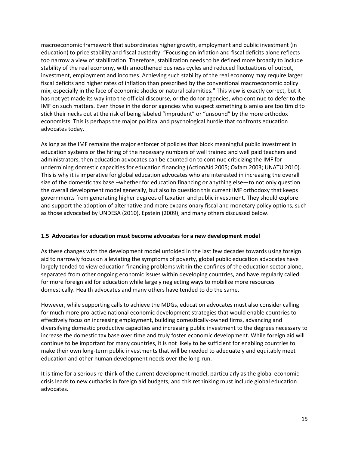macroeconomic framework that subordinates higher growth, employment and public investment (in education) to price stability and fiscal austerity: "Focusing on inflation and fiscal deficits alone reflects too narrow a view of stabilization. Therefore, stabilization needs to be defined more broadly to include stability of the real economy, with smoothened business cycles and reduced fluctuations of output, investment, employment and incomes. Achieving such stability of the real economy may require larger fiscal deficits and higher rates of inflation than prescribed by the conventional macroeconomic policy mix, especially in the face of economic shocks or natural calamities." This view is exactly correct, but it has not yet made its way into the official discourse, or the donor agencies, who continue to defer to the IMF on such matters. Even those in the donor agencies who suspect something is amiss are too timid to stick their necks out at the risk of being labeled "imprudent" or "unsound" by the more orthodox economists. This is perhaps the major political and psychological hurdle that confronts education advocates today.

As long as the IMF remains the major enforcer of policies that block meaningful public investment in education systems or the hiring of the necessary numbers of well trained and well paid teachers and administrators, then education advocates can be counted on to continue criticizing the IMF for undermining domestic capacities for education financing (ActionAid 2005; Oxfam 2003; UNATU 2010). This is why it is imperative for global education advocates who are interested in increasing the overall size of the domestic tax base –whether for education financing or anything else—to not only question the overall development model generally, but also to question this current IMF orthodoxy that keeps governments from generating higher degrees of taxation and public investment. They should explore and support the adoption of alternative and more expansionary fiscal and monetary policy options, such as those advocated by UNDESA (2010), Epstein (2009), and many others discussed below.

#### **1.5 Advocates for education must become advocates for a new development model**

As these changes with the development model unfolded in the last few decades towards using foreign aid to narrowly focus on alleviating the symptoms of poverty, global public education advocates have largely tended to view education financing problems within the confines of the education sector alone, separated from other ongoing economic issues within developing countries, and have regularly called for more foreign aid for education while largely neglecting ways to mobilize more resources domestically. Health advocates and many others have tended to do the same.

However, while supporting calls to achieve the MDGs, education advocates must also consider calling for much more pro-active national economic development strategies that would enable countries to effectively focus on increasing employment, building domestically-owned firms, advancing and diversifying domestic productive capacities and increasing public investment to the degrees necessary to increase the domestic tax base over time and truly foster economic development. While foreign aid will continue to be important for many countries, it is not likely to be sufficient for enabling countries to make their own long-term public investments that will be needed to adequately and equitably meet education and other human development needs over the long-run.

It is time for a serious re-think of the current development model, particularly as the global economic crisis leads to new cutbacks in foreign aid budgets, and this rethinking must include global education advocates.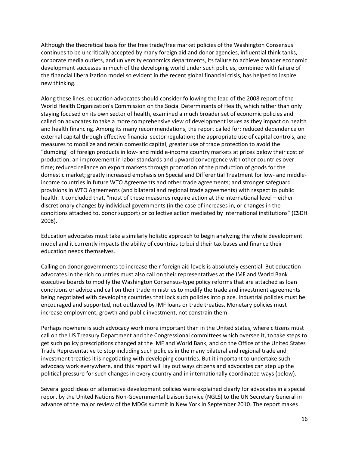Although the theoretical basis for the free trade/free market policies of the Washington Consensus continues to be uncritically accepted by many foreign aid and donor agencies, influential think tanks, corporate media outlets, and university economics departments, its failure to achieve broader economic development successes in much of the developing world under such policies, combined with failure of the financial liberalization model so evident in the recent global financial crisis, has helped to inspire new thinking.

Along these lines, education advocates should consider following the lead of the 2008 report of the World Health Organization's Commission on the Social Determinants of Health, which rather than only staying focused on its own sector of health, examined a much broader set of economic policies and called on advocates to take a more comprehensive view of development issues as they impact on health and health financing. Among its many recommendations, the report called for: reduced dependence on external capital through effective financial sector regulation; the appropriate use of capital controls, and measures to mobilize and retain domestic capital; greater use of trade protection to avoid the "dumping" of foreign products in low- and middle-income country markets at prices below their cost of production; an improvement in labor standards and upward convergence with other countries over time; reduced reliance on export markets through promotion of the production of goods for the domestic market; greatly increased emphasis on Special and Differential Treatment for low- and middleincome countries in future WTO Agreements and other trade agreements; and stronger safeguard provisions in WTO Agreements (and bilateral and regional trade agreements) with respect to public health. It concluded that, "most of these measures require action at the international level – either discretionary changes by individual governments (in the case of increases in, or changes in the conditions attached to, donor support) or collective action mediated by international institutions" (CSDH 2008).

Education advocates must take a similarly holistic approach to begin analyzing the whole development model and it currently impacts the ability of countries to build their tax bases and finance their education needs themselves.

Calling on donor governments to increase their foreign aid levels is absolutely essential. But education advocates in the rich countries must also call on their representatives at the IMF and World Bank executive boards to modify the Washington Consensus-type policy reforms that are attached as loan conditions or advice and call on their trade ministries to modify the trade and investment agreements being negotiated with developing countries that lock such policies into place. Industrial policies must be encouraged and supported, not outlawed by IMF loans or trade treaties. Monetary policies must increase employment, growth and public investment, not constrain them.

Perhaps nowhere is such advocacy work more important than in the United states, where citizens must call on the US Treasury Department and the Congressional committees which oversee it, to take steps to get such policy prescriptions changed at the IMF and World Bank, and on the Office of the United States Trade Representative to stop including such policies in the many bilateral and regional trade and investment treaties it is negotiating with developing countries. But it important to undertake such advocacy work everywhere, and this report will lay out ways citizens and advocates can step up the political pressure for such changes in every country and in internationally coordinated ways (below).

Several good ideas on alternative development policies were explained clearly for advocates in a special report by the United Nations Non-Governmental Liaison Service (NGLS) to the UN Secretary General in advance of the major review of the MDGs summit in New York in September 2010. The report makes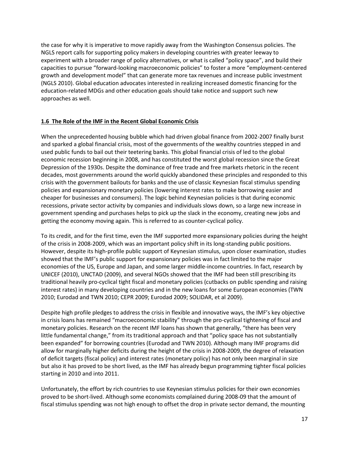the case for why it is imperative to move rapidly away from the Washington Consensus policies. The NGLS report calls for supporting policy makers in developing countries with greater leeway to experiment with a broader range of policy alternatives, or what is called "policy space", and build their capacities to pursue "forward-looking macroeconomic policies" to foster a more "employment-centered growth and development model" that can generate more tax revenues and increase public investment (NGLS 2010). Global education advocates interested in realizing increased domestic financing for the education-related MDGs and other education goals should take notice and support such new approaches as well.

#### **1.6 The Role of the IMF in the Recent Global Economic Crisis**

When the unprecedented housing bubble which had driven global finance from 2002-2007 finally burst and sparked a global financial crisis, most of the governments of the wealthy countries stepped in and used public funds to bail out their teetering banks. This global financial crisis of led to the global economic recession beginning in 2008, and has constituted the worst global recession since the Great Depression of the 1930s. Despite the dominance of free trade and free markets rhetoric in the recent decades, most governments around the world quickly abandoned these principles and responded to this crisis with the government bailouts for banks and the use of classic Keynesian fiscal stimulus spending policies and expansionary monetary policies (lowering interest rates to make borrowing easier and cheaper for businesses and consumers). The logic behind Keynesian policies is that during economic recessions, private sector activity by companies and individuals slows down, so a large new increase in government spending and purchases helps to pick up the slack in the economy, creating new jobs and getting the economy moving again. This is referred to as counter-cyclical policy.

To its credit, and for the first time, even the IMF supported more expansionary policies during the height of the crisis in 2008-2009, which was an important policy shift in its long-standing public positions. However, despite its high-profile public support of Keynesian stimulus, upon closer examination, studies showed that the IMF's public support for expansionary policies was in fact limited to the major economies of the US, Europe and Japan, and some larger middle-income countries. In fact, research by UNICEF (2010), UNCTAD (2009), and several NGOs showed that the IMF had been still prescribing its traditional heavily pro-cyclical tight fiscal and monetary policies (cutbacks on public spending and raising interest rates) in many developing countries and in the new loans for some European economies (TWN 2010; Eurodad and TWN 2010; CEPR 2009; Eurodad 2009; SOLIDAR, et al 2009).

Despite high profile pledges to address the crisis in flexible and innovative ways, the IMF's key objective in crisis loans has remained "macroeconomic stability" through the pro-cyclical tightening of fiscal and monetary policies. Research on the recent IMF loans has shown that generally, "there has been very little fundamental change," from its traditional approach and that "policy space has not substantially been expanded" for borrowing countries (Eurodad and TWN 2010). Although many IMF programs did allow for marginally higher deficits during the height of the crisis in 2008-2009, the degree of relaxation of deficit targets (fiscal policy) and interest rates (monetary policy) has not only been marginal in size but also it has proved to be short lived, as the IMF has already begun programming tighter fiscal policies starting in 2010 and into 2011.

Unfortunately, the effort by rich countries to use Keynesian stimulus policies for their own economies proved to be short-lived. Although some economists complained during 2008-09 that the amount of fiscal stimulus spending was not high enough to offset the drop in private sector demand, the mounting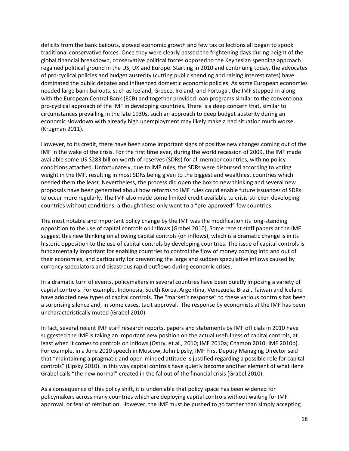deficits from the bank bailouts, slowed economic growth and few tax collections all began to spook traditional conservative forces. Once they were clearly passed the frightening days during height of the global financial breakdown, conservative political forces opposed to the Keynesian spending approach regained political ground in the US, UK and Europe. Starting in 2010 and continuing today, the advocates of pro-cyclical policies and budget austerity (cutting public spending and raising interest rates) have dominated the public debates and influenced domestic economic policies. As some European economies needed large bank bailouts, such as Iceland, Greece, Ireland, and Portugal, the IMF stepped in along with the European Central Bank (ECB) and together provided loan programs similar to the conventional pro-cyclical approach of the IMF in developing countries. There is a deep concern that, similar to circumstances prevailing in the late 1930s, such an approach to deep budget austerity during an economic slowdown with already high unemployment may likely make a bad situation much worse (Krugman 2011).

However, to its credit, there have been some important signs of positive new changes coming out of the IMF in the wake of the crisis. For the first time ever, during the world recession of 2009, the IMF made available some US \$283 billion worth of reserves (SDRs) for all member countries, with no policy conditions attached. Unfortunately, due to IMF rules, the SDRs were disbursed according to voting weight in the IMF, resulting in most SDRs being given to the biggest and wealthiest countries which needed them the least. Nevertheless, the process did open the box to new thinking and several new proposals have been generated about how reforms to IMF rules could enable future issuances of SDRs to occur more regularly. The IMF also made some limited credit available to crisis-stricken developing countries without conditions, although these only went to a "pre-approved" few countries.

The most notable and important policy change by the IMF was the modification its long-standing opposition to the use of capital controls on inflows (Grabel 2010). Some recent staff papers at the IMF suggest this new thinking on allowing capital controls (on inflows), which is a dramatic change is in its historic opposition to the use of capital controls by developing countries. The issue of capital controls is fundamentally important for enabling countries to control the flow of money coming into and out of their economies, and particularly for preventing the large and sudden speculative inflows caused by currency speculators and disastrous rapid outflows during economic crises.

In a dramatic turn of events, policymakers in several countries have been quietly imposing a variety of capital controls. For example, Indonesia, South Korea, Argentina, Venezuela, Brazil, Taiwan and Iceland have adopted new types of capital controls. The "market's response" to these various controls has been a surprising silence and, in some cases, tacit approval. The response by economists at the IMF has been uncharacteristically muted (Grabel 2010).

In fact, several recent IMF staff research reports, papers and statements by IMF officials in 2010 have suggested the IMF is taking an important new position on the actual usefulness of capital controls, at least when it comes to controls on inflows (Ostry, et al., 2010; IMF 2010a; Chamon 2010; IMF 2010b). For example, in a June 2010 speech in Moscow, John Lipsky, IMF First Deputy Managing Director said that "maintaining a pragmatic and open-minded attitude is justified regarding a possible role for capital controls" (Lipsky 2010). In this way capital controls have quietly become another element of what Ilene Grabel calls "the new normal" created in the fallout of the financial crisis (Grabel 2010).

As a consequence of this policy shift, it is undeniable that policy space has been widened for policymakers across many countries which are deploying capital controls without waiting for IMF approval, or fear of retribution. However, the IMF must be pushed to go farther than simply accepting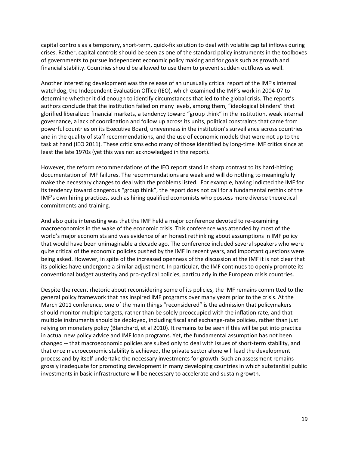capital controls as a temporary, short-term, quick-fix solution to deal with volatile capital inflows during crises. Rather, capital controls should be seen as one of the standard policy instruments in the toolboxes of governments to pursue independent economic policy making and for goals such as growth and financial stability. Countries should be allowed to use them to prevent sudden outflows as well.

Another interesting development was the release of an unusually critical report of the IMF's internal watchdog, the Independent Evaluation Office (IEO), which examined the IMF's work in 2004-07 to determine whether it did enough to identify circumstances that led to the global crisis. The report's authors conclude that the institution failed on many levels, among them, "ideological blinders" that glorified liberalized financial markets, a tendency toward "group think" in the institution, weak internal governance, a lack of coordination and follow up across its units, political constraints that came from powerful countries on its Executive Board, unevenness in the institution's surveillance across countries and in the quality of staff recommendations, and the use of economic models that were not up to the task at hand (IEO 2011). These criticisms echo many of those identified by long-time IMF critics since at least the late 1970s (yet this was not acknowledged in the report).

However, the reform recommendations of the IEO report stand in sharp contrast to its hard-hitting documentation of IMF failures. The recommendations are weak and will do nothing to meaningfully make the necessary changes to deal with the problems listed. For example, having indicted the IMF for its tendency toward dangerous "group think", the report does not call for a fundamental rethink of the IMF's own hiring practices, such as hiring qualified economists who possess more diverse theoretical commitments and training.

And also quite interesting was that the IMF held a major conference devoted to re-examining macroeconomics in the wake of the economic crisis. This conference was attended by most of the world's major economists and was evidence of an honest rethinking about assumptions in IMF policy that would have been unimaginable a decade ago. The conference included several speakers who were quite critical of the economic policies pushed by the IMF in recent years, and important questions were being asked. However, in spite of the increased openness of the discussion at the IMF it is not clear that its policies have undergone a similar adjustment. In particular, the IMF continues to openly promote its conventional budget austerity and pro-cyclical policies, particularly in the European crisis countries.

Despite the recent rhetoric about reconsidering some of its policies, the IMF remains committed to the general policy framework that has inspired IMF programs over many years prior to the crisis. At the March 2011 conference, one of the main things "reconsidered" is the admission that policymakers should monitor multiple targets, rather than be solely preoccupied with the inflation rate, and that multiple instruments should be deployed, including fiscal and exchange-rate policies, rather than just relying on monetary policy (Blanchard, et al 2010). It remains to be seen if this will be put into practice in actual new policy advice and IMF loan programs. Yet, the fundamental assumption has not been changed -- that macroeconomic policies are suited only to deal with issues of short-term stability, and that once macroeconomic stability is achieved, the private sector alone will lead the development process and by itself undertake the necessary investments for growth. Such an assessment remains grossly inadequate for promoting development in many developing countries in which substantial public investments in basic infrastructure will be necessary to accelerate and sustain growth.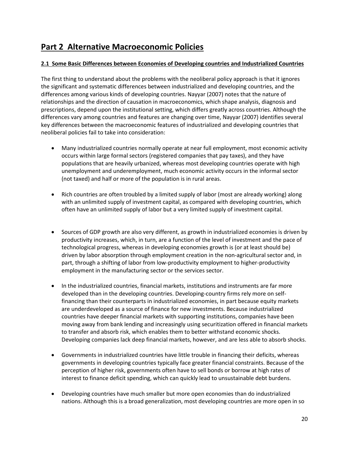# **Part 2 Alternative Macroeconomic Policies**

#### **2.1 Some Basic Differences between Economies of Developing countries and Industrialized Countries**

The first thing to understand about the problems with the neoliberal policy approach is that it ignores the significant and systematic differences between industrialized and developing countries, and the differences among various kinds of developing countries. Nayyar (2007) notes that the nature of relationships and the direction of causation in macroeconomics, which shape analysis, diagnosis and prescriptions, depend upon the institutional setting, which differs greatly across countries. Although the differences vary among countries and features are changing over time, Nayyar (2007) identifies several key differences between the macroeconomic features of industrialized and developing countries that neoliberal policies fail to take into consideration:

- Many industrialized countries normally operate at near full employment, most economic activity occurs within large formal sectors (registered companies that pay taxes), and they have populations that are heavily urbanized, whereas most developing countries operate with high unemployment and underemployment, much economic activity occurs in the informal sector (not taxed) and half or more of the population is in rural areas.
- Rich countries are often troubled by a limited supply of labor (most are already working) along with an unlimited supply of investment capital, as compared with developing countries, which often have an unlimited supply of labor but a very limited supply of investment capital.
- Sources of GDP growth are also very different, as growth in industrialized economies is driven by productivity increases, which, in turn, are a function of the level of investment and the pace of technological progress, whereas in developing economies growth is (or at least should be) driven by labor absorption through employment creation in the non-agricultural sector and, in part, through a shifting of labor from low-productivity employment to higher-productivity employment in the manufacturing sector or the services sector.
- In the industrialized countries, financial markets, institutions and instruments are far more developed than in the developing countries. Developing-country firms rely more on selffinancing than their counterparts in industrialized economies, in part because equity markets are underdeveloped as a source of finance for new investments. Because industrialized countries have deeper financial markets with supporting institutions, companies have been moving away from bank lending and increasingly using securitization offered in financial markets to transfer and absorb risk, which enables them to better withstand economic shocks. Developing companies lack deep financial markets, however, and are less able to absorb shocks.
- Governments in industrialized countries have little trouble in financing their deficits, whereas governments in developing countries typically face greater financial constraints. Because of the perception of higher risk, governments often have to sell bonds or borrow at high rates of interest to finance deficit spending, which can quickly lead to unsustainable debt burdens.
- Developing countries have much smaller but more open economies than do industrialized nations. Although this is a broad generalization, most developing countries are more open in so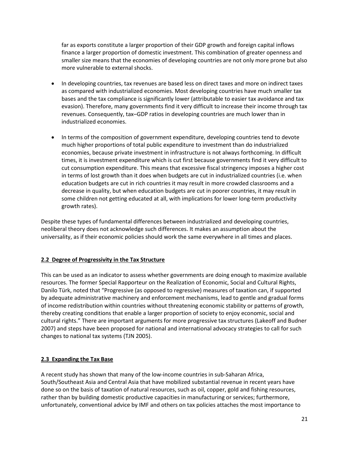far as exports constitute a larger proportion of their GDP growth and foreign capital inflows finance a larger proportion of domestic investment. This combination of greater openness and smaller size means that the economies of developing countries are not only more prone but also more vulnerable to external shocks.

- In developing countries, tax revenues are based less on direct taxes and more on indirect taxes as compared with industrialized economies. Most developing countries have much smaller tax bases and the tax compliance is significantly lower (attributable to easier tax avoidance and tax evasion). Therefore, many governments find it very difficult to increase their income through tax revenues. Consequently, tax–GDP ratios in developing countries are much lower than in industrialized economies.
- In terms of the composition of government expenditure, developing countries tend to devote much higher proportions of total public expenditure to investment than do industrialized economies, because private investment in infrastructure is not always forthcoming. In difficult times, it is investment expenditure which is cut first because governments find it very difficult to cut consumption expenditure. This means that excessive fiscal stringency imposes a higher cost in terms of lost growth than it does when budgets are cut in industrialized countries (i.e. when education budgets are cut in rich countries it may result in more crowded classrooms and a decrease in quality, but when education budgets are cut in poorer countries, it may result in some children not getting educated at all, with implications for lower long-term productivity growth rates).

Despite these types of fundamental differences between industrialized and developing countries, neoliberal theory does not acknowledge such differences. It makes an assumption about the universality, as if their economic policies should work the same everywhere in all times and places.

#### **2.2 Degree of Progressivity in the Tax Structure**

This can be used as an indicator to assess whether governments are doing enough to maximize available resources. The former Special Rapporteur on the Realization of Economic, Social and Cultural Rights, Danilo Türk, noted that "Progressive (as opposed to regressive) measures of taxation can, if supported by adequate administrative machinery and enforcement mechanisms, lead to gentle and gradual forms of income redistribution within countries without threatening economic stability or patterns of growth, thereby creating conditions that enable a larger proportion of society to enjoy economic, social and cultural rights." There are important arguments for more progressive tax structures (Lakeoff and Budner 2007) and steps have been proposed for national and international advocacy strategies to call for such changes to national tax systems (TJN 2005).

#### **2.3 Expanding the Tax Base**

A recent study has shown that many of the low-income countries in sub-Saharan Africa, South/Southeast Asia and Central Asia that have mobilized substantial revenue in recent years have done so on the basis of taxation of natural resources, such as oil, copper, gold and fishing resources, rather than by building domestic productive capacities in manufacturing or services; furthermore, unfortunately, conventional advice by IMF and others on tax policies attaches the most importance to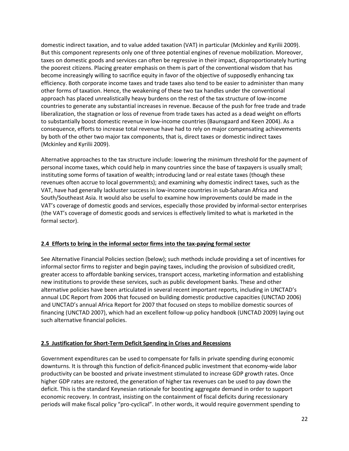domestic indirect taxation, and to value added taxation (VAT) in particular (Mckinley and Kyrilii 2009). But this component represents only one of three potential engines of revenue mobilization. Moreover, taxes on domestic goods and services can often be regressive in their impact, disproportionately hurting the poorest citizens. Placing greater emphasis on them is part of the conventional wisdom that has become increasingly willing to sacrifice equity in favor of the objective of supposedly enhancing tax efficiency. Both corporate income taxes and trade taxes also tend to be easier to administer than many other forms of taxation. Hence, the weakening of these two tax handles under the conventional approach has placed unrealistically heavy burdens on the rest of the tax structure of low-income countries to generate any substantial increases in revenue. Because of the push for free trade and trade liberalization, the stagnation or loss of revenue from trade taxes has acted as a dead weight on efforts to substantially boost domestic revenue in low-income countries (Baunsgaard and Keen 2004). As a consequence, efforts to increase total revenue have had to rely on major compensating achievements by both of the other two major tax components, that is, direct taxes or domestic indirect taxes (Mckinley and Kyrilii 2009).

Alternative approaches to the tax structure include: lowering the minimum threshold for the payment of personal income taxes, which could help in many countries since the base of taxpayers is usually small; instituting some forms of taxation of wealth; introducing land or real estate taxes (though these revenues often accrue to local governments); and examining why domestic indirect taxes, such as the VAT, have had generally lackluster success in low-income countries in sub-Saharan Africa and South/Southeast Asia. It would also be useful to examine how improvements could be made in the VAT's coverage of domestic goods and services, especially those provided by informal-sector enterprises (the VAT's coverage of domestic goods and services is effectively limited to what is marketed in the formal sector).

#### **2.4 Efforts to bring in the informal sector firms into the tax-paying formal sector**

See Alternative Financial Policies section (below); such methods include providing a set of incentives for informal sector firms to register and begin paying taxes, including the provision of subsidized credit, greater access to affordable banking services, transport access, marketing information and establishing new institutions to provide these services, such as public development banks. These and other alternative policies have been articulated in several recent important reports, including in UNCTAD's annual LDC Report from 2006 that focused on building domestic productive capacities (UNCTAD 2006) and UNCTAD's annual Africa Report for 2007 that focused on steps to mobilize domestic sources of financing (UNCTAD 2007), which had an excellent follow-up policy handbook (UNCTAD 2009) laying out such alternative financial policies.

#### **2.5 Justification for Short-Term Deficit Spending in Crises and Recessions**

Government expenditures can be used to compensate for falls in private spending during economic downturns. It is through this function of deficit-financed public investment that economy-wide labor productivity can be boosted and private investment stimulated to increase GDP growth rates. Once higher GDP rates are restored, the generation of higher tax revenues can be used to pay down the deficit. This is the standard Keynesian rationale for boosting aggregate demand in order to support economic recovery. In contrast, insisting on the containment of fiscal deficits during recessionary periods will make fiscal policy "pro-cyclical". In other words, it would require government spending to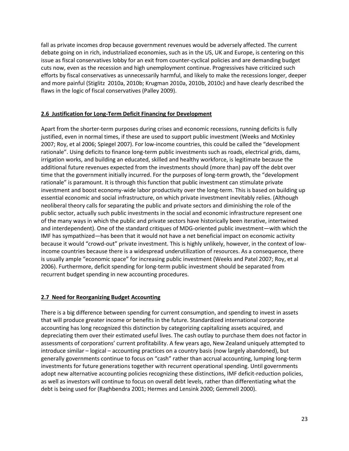fall as private incomes drop because government revenues would be adversely affected. The current debate going on in rich, industrialized economies, such as in the US, UK and Europe, is centering on this issue as fiscal conservatives lobby for an exit from counter-cyclical policies and are demanding budget cuts now, even as the recession and high unemployment continue. Progressives have criticized such efforts by fiscal conservatives as unnecessarily harmful, and likely to make the recessions longer, deeper and more painful (Stiglitz 2010a, 2010b; Krugman 2010a, 2010b, 2010c) and have clearly described the flaws in the logic of fiscal conservatives (Palley 2009).

#### **2.6 Justification for Long-Term Deficit Financing for Development**

Apart from the shorter-term purposes during crises and economic recessions, running deficits is fully justified, even in normal times, if these are used to support public investment (Weeks and McKinley 2007; Roy, et al 2006; Spiegel 2007). For low-income countries, this could be called the "development rationale". Using deficits to finance long-term public investments such as roads, electrical grids, dams, irrigation works, and building an educated, skilled and healthy workforce, is legitimate because the additional future revenues expected from the investments should (more than) pay off the debt over time that the government initially incurred. For the purposes of long-term growth, the "development rationale" is paramount. It is through this function that public investment can stimulate private investment and boost economy-wide labor productivity over the long-term. This is based on building up essential economic and social infrastructure, on which private investment inevitably relies. (Although neoliberal theory calls for separating the public and private sectors and diminishing the role of the public sector, actually such public investments in the social and economic infrastructure represent one of the many ways in which the public and private sectors have historically been iterative, intertwined and interdependent). One of the standard critiques of MDG-oriented public investment—with which the IMF has sympathized—has been that it would not have a net beneficial impact on economic activity because it would "crowd-out" private investment. This is highly unlikely, however, in the context of lowincome countries because there is a widespread underutilization of resources. As a consequence, there is usually ample "economic space" for increasing public investment (Weeks and Patel 2007; Roy, et al 2006). Furthermore, deficit spending for long-term public investment should be separated from recurrent budget spending in new accounting procedures.

#### **2.7 Need for Reorganizing Budget Accounting**

There is a big difference between spending for current consumption, and spending to invest in assets that will produce greater income or benefits in the future. Standardized international corporate accounting has long recognized this distinction by categorizing capitalizing assets acquired, and depreciating them over their estimated useful lives. The cash outlay to purchase them does not factor in assessments of corporations' current profitability. A few years ago, New Zealand uniquely attempted to introduce similar – logical – accounting practices on a country basis (now largely abandoned), but generally governments continue to focus on "cash" rather than accrual accounting, lumping long-term investments for future generations together with recurrent operational spending. Until governments adopt new alternative accounting policies recognizing these distinctions, IMF deficit-reduction policies, as well as investors will continue to focus on overall debt levels, rather than differentiating what the debt is being used for (Raghbendra 2001; Hermes and Lensink 2000; Gemmell 2000).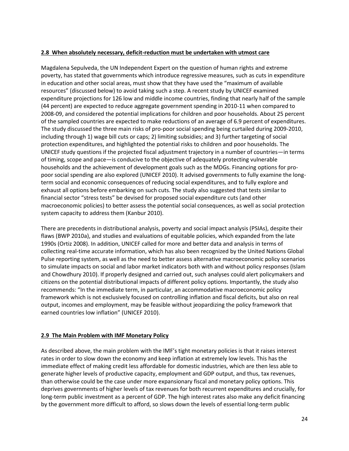#### **2.8 When absolutely necessary, deficit-reduction must be undertaken with utmost care**

Magdalena Sepulveda, the UN Independent Expert on the question of human rights and extreme poverty, has stated that governments which introduce regressive measures, such as cuts in expenditure in education and other social areas, must show that they have used the "maximum of available resources" (discussed below) to avoid taking such a step. A recent study by UNICEF examined expenditure projections for 126 low and middle income countries, finding that nearly half of the sample (44 percent) are expected to reduce aggregate government spending in 2010-11 when compared to 2008-09, and considered the potential implications for children and poor households. About 25 percent of the sampled countries are expected to make reductions of an average of 6.9 percent of expenditures. The study discussed the three main risks of pro-poor social spending being curtailed during 2009-2010, including through 1) wage bill cuts or caps; 2) limiting subsidies; and 3) further targeting of social protection expenditures, and highlighted the potential risks to children and poor households. The UNICEF study questions if the projected fiscal adjustment trajectory in a number of countries—in terms of timing, scope and pace—is conducive to the objective of adequately protecting vulnerable households and the achievement of development goals such as the MDGs. Financing options for propoor social spending are also explored (UNICEF 2010). It advised governments to fully examine the longterm social and economic consequences of reducing social expenditures, and to fully explore and exhaust all options before embarking on such cuts. The study also suggested that tests similar to financial sector "stress tests" be devised for proposed social expenditure cuts (and other macroeconomic policies) to better assess the potential social consequences, as well as social protection system capacity to address them (Kanbur 2010).

There are precedents in distributional analysis, poverty and social impact analysis (PSIAs), despite their flaws (BWP 2010a), and studies and evaluations of equitable policies, which expanded from the late 1990s (Ortiz 2008). In addition, UNICEF called for more and better data and analysis in terms of collecting real-time accurate information, which has also been recognized by the United Nations Global Pulse reporting system, as well as the need to better assess alternative macroeconomic policy scenarios to simulate impacts on social and labor market indicators both with and without policy responses (Islam and Chowdhury 2010). If properly designed and carried out, such analyses could alert policymakers and citizens on the potential distributional impacts of different policy options. Importantly, the study also recommends: "In the immediate term, in particular, an accommodative macroeconomic policy framework which is not exclusively focused on controlling inflation and fiscal deficits, but also on real output, incomes and employment, may be feasible without jeopardizing the policy framework that earned countries low inflation" (UNICEF 2010).

#### **2.9 The Main Problem with IMF Monetary Policy**

As described above, the main problem with the IMF's tight monetary policies is that it raises interest rates in order to slow down the economy and keep inflation at extremely low levels. This has the immediate effect of making credit less affordable for domestic industries, which are then less able to generate higher levels of productive capacity, employment and GDP output, and thus, tax revenues, than otherwise could be the case under more expansionary fiscal and monetary policy options. This deprives governments of higher levels of tax revenues for both recurrent expenditures and crucially, for long-term public investment as a percent of GDP. The high interest rates also make any deficit financing by the government more difficult to afford, so slows down the levels of essential long-term public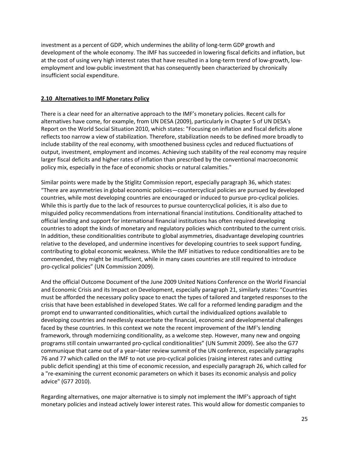investment as a percent of GDP, which undermines the ability of long-term GDP growth and development of the whole economy. The IMF has succeeded in lowering fiscal deficits and inflation, but at the cost of using very high interest rates that have resulted in a long-term trend of low-growth, lowemployment and low-public investment that has consequently been characterized by chronically insufficient social expenditure.

#### **2.10 Alternatives to IMF Monetary Policy**

There is a clear need for an alternative approach to the IMF's monetary policies. Recent calls for alternatives have come, for example, from UN DESA (2009), particularly in Chapter 5 of UN DESA's Report on the World Social Situation 2010, which states: "Focusing on inflation and fiscal deficits alone reflects too narrow a view of stabilization. Therefore, stabilization needs to be defined more broadly to include stability of the real economy, with smoothened business cycles and reduced fluctuations of output, investment, employment and incomes. Achieving such stability of the real economy may require larger fiscal deficits and higher rates of inflation than prescribed by the conventional macroeconomic policy mix, especially in the face of economic shocks or natural calamities."

Similar points were made by the Stiglitz Commission report, especially paragraph 36, which states: "There are asymmetries in global economic policies—countercyclical policies are pursued by developed countries, while most developing countries are encouraged or induced to pursue pro-cyclical policies. While this is partly due to the lack of resources to pursue countercyclical policies, it is also due to misguided policy recommendations from international financial institutions. Conditionality attached to official lending and support for international financial institutions has often required developing countries to adopt the kinds of monetary and regulatory policies which contributed to the current crisis. In addition, these conditionalities contribute to global asymmetries, disadvantage developing countries relative to the developed, and undermine incentives for developing countries to seek support funding, contributing to global economic weakness. While the IMF initiatives to reduce conditionalities are to be commended, they might be insufficient, while in many cases countries are still required to introduce pro-cyclical policies" (UN Commission 2009).

And the official Outcome Document of the June 2009 United Nations Conference on the World Financial and Economic Crisis and its Impact on Development, especially paragraph 21, similarly states: "Countries must be afforded the necessary policy space to enact the types of tailored and targeted responses to the crisis that have been established in developed States. We call for a reformed lending paradigm and the prompt end to unwarranted conditionalities, which curtail the individualized options available to developing countries and needlessly exacerbate the financial, economic and developmental challenges faced by these countries. In this context we note the recent improvement of the IMF's lending framework, through modernizing conditionality, as a welcome step. However, many new and ongoing programs still contain unwarranted pro-cyclical conditionalities" (UN Summit 2009). See also the G77 communique that came out of a year–later review summit of the UN conference, especially paragraphs 76 and 77 which called on the IMF to not use pro-cyclical policies (raising interest rates and cutting public deficit spending) at this time of economic recession, and especially paragraph 26, which called for a "re-examining the current economic parameters on which it bases its economic analysis and policy advice" (G77 2010).

Regarding alternatives, one major alternative is to simply not implement the IMF's approach of tight monetary policies and instead actively lower interest rates. This would allow for domestic companies to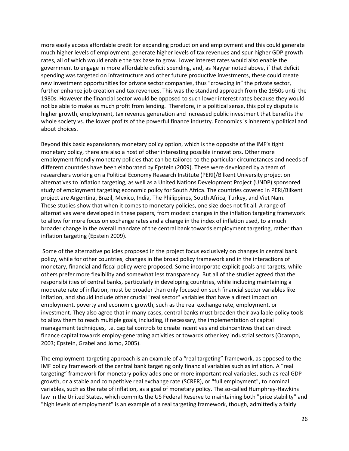more easily access affordable credit for expanding production and employment and this could generate much higher levels of employment, generate higher levels of tax revenues and spur higher GDP growth rates, all of which would enable the tax base to grow. Lower interest rates would also enable the government to engage in more affordable deficit spending, and, as Nayyar noted above, if that deficit spending was targeted on infrastructure and other future productive investments, these could create new investment opportunities for private sector companies, thus "crowding in" the private sector, further enhance job creation and tax revenues. This was the standard approach from the 1950s until the 1980s. However the financial sector would be opposed to such lower interest rates because they would not be able to make as much profit from lending. Therefore, in a political sense, this policy dispute is higher growth, employment, tax revenue generation and increased public investment that benefits the whole society vs. the lower profits of the powerful finance industry. Economics is inherently political and about choices.

Beyond this basic expansionary monetary policy option, which is the opposite of the IMF's tight monetary policy, there are also a host of other interesting possible innovations. Other more employment friendly monetary policies that can be tailored to the particular circumstances and needs of different countries have been elaborated by Epstein (2009). These were developed by a team of researchers working on a Political Economy Research Institute (PERI)/Bilkent University project on alternatives to inflation targeting, as well as a United Nations Development Project (UNDP) sponsored study of employment targeting economic policy for South Africa. The countries covered in PERI/Bilkent project are Argentina, Brazil, Mexico, India, The Philippines, South Africa, Turkey, and Viet Nam. These studies show that when it comes to monetary policies, one size does not fit all. A range of alternatives were developed in these papers, from modest changes in the inflation targeting framework to allow for more focus on exchange rates and a change in the index of inflation used, to a much broader change in the overall mandate of the central bank towards employment targeting, rather than inflation targeting (Epstein 2009).

Some of the alternative policies proposed in the project focus exclusively on changes in central bank policy, while for other countries, changes in the broad policy framework and in the interactions of monetary, financial and fiscal policy were proposed. Some incorporate explicit goals and targets, while others prefer more flexibility and somewhat less transparency. But all of the studies agreed that the responsibilities of central banks, particularly in developing countries, while including maintaining a moderate rate of inflation, must be broader than only focused on such financial sector variables like inflation, and should include other crucial "real sector" variables that have a direct impact on employment, poverty and economic growth, such as the real exchange rate, employment, or investment. They also agree that in many cases, central banks must broaden their available policy tools to allow them to reach multiple goals, including, if necessary, the implementation of capital management techniques, i.e. capital controls to create incentives and disincentives that can direct finance capital towards employ-generating activities or towards other key industrial sectors (Ocampo, 2003; Epstein, Grabel and Jomo, 2005).

The employment-targeting approach is an example of a "real targeting" framework, as opposed to the IMF policy framework of the central bank targeting only financial variables such as inflation. A "real targeting" framework for monetary policy adds one or more important real variables, such as real GDP growth, or a stable and competitive real exchange rate (SCRER), or "full employment", to nominal variables, such as the rate of inflation, as a goal of monetary policy. The so-called Humphrey-Hawkins law in the United States, which commits the US Federal Reserve to maintaining both "price stability" and "high levels of employment" is an example of a real targeting framework, though, admittedly a fairly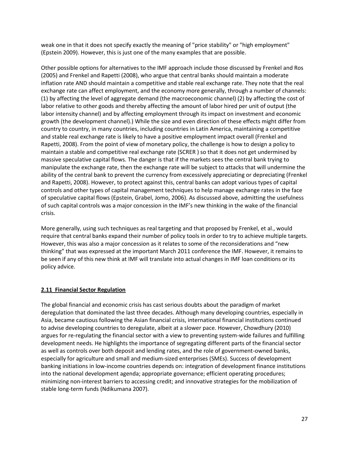weak one in that it does not specify exactly the meaning of "price stability" or "high employment" (Epstein 2009). However, this is just one of the many examples that are possible.

Other possible options for alternatives to the IMF approach include those discussed by Frenkel and Ros (2005) and Frenkel and Rapetti (2008), who argue that central banks should maintain a moderate inflation rate AND should maintain a competitive and stable real exchange rate. They note that the real exchange rate can affect employment, and the economy more generally, through a number of channels: (1) by affecting the level of aggregate demand (the macroeconomic channel) (2) by affecting the cost of labor relative to other goods and thereby affecting the amount of labor hired per unit of output (the labor intensity channel) and by affecting employment through its impact on investment and economic growth (the development channel).) While the size and even direction of these effects might differ from country to country, in many countries, including countries in Latin America, maintaining a competitive and stable real exchange rate is likely to have a positive employment impact overall (Frenkel and Rapetti, 2008). From the point of view of monetary policy, the challenge is how to design a policy to maintain a stable and competitive real exchange rate (SCRER ) so that it does not get undermined by massive speculative capital flows. The danger is that if the markets sees the central bank trying to manipulate the exchange rate, then the exchange rate will be subject to attacks that will undermine the ability of the central bank to prevent the currency from excessively appreciating or depreciating (Frenkel and Rapetti, 2008). However, to protect against this, central banks can adopt various types of capital controls and other types of capital management techniques to help manage exchange rates in the face of speculative capital flows (Epstein, Grabel, Jomo, 2006). As discussed above, admitting the usefulness of such capital controls was a major concession in the IMF's new thinking in the wake of the financial crisis.

More generally, using such techniques as real targeting and that proposed by Frenkel, et al., would require that central banks expand their number of policy tools in order to try to achieve multiple targets. However, this was also a major concession as it relates to some of the reconsiderations and "new thinking" that was expressed at the important March 2011 conference the IMF. However, it remains to be seen if any of this new think at IMF will translate into actual changes in IMF loan conditions or its policy advice.

#### **2.11 Financial Sector Regulation**

The global financial and economic crisis has cast serious doubts about the paradigm of market deregulation that dominated the last three decades. Although many developing countries, especially in Asia, became cautious following the Asian financial crisis, international financial institutions continued to advise developing countries to deregulate, albeit at a slower pace. However, Chowdhury (2010) argues for re-regulating the financial sector with a view to preventing system-wide failures and fulfilling development needs. He highlights the importance of segregating different parts of the financial sector as well as controls over both deposit and lending rates, and the role of government-owned banks, especially for agriculture and small and medium-sized enterprises (SMEs). Success of development banking initiations in low-income countries depends on: integration of development finance institutions into the national development agenda; appropriate governance; efficient operating procedures; minimizing non-interest barriers to accessing credit; and innovative strategies for the mobilization of stable long-term funds (Ndikumana 2007).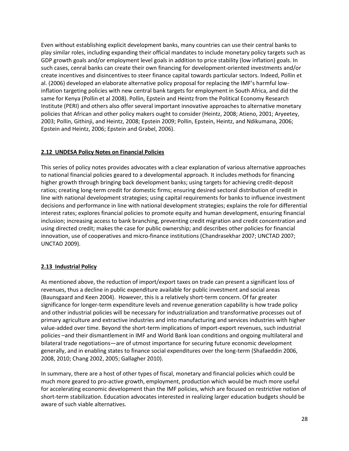Even without establishing explicit development banks, many countries can use their central banks to play similar roles, including expanding their official mandates to include monetary policy targets such as GDP growth goals and/or employment level goals in addition to price stability (low inflation) goals. In such cases, cenral banks can create their own financing for development-oriented investments and/or create incentives and disincentives to steer finance capital towards particular sectors. Indeed, Pollin et al. (2006) developed an elaborate alternative policy proposal for replacing the IMF's harmful lowinflation targeting policies with new central bank targets for employment in South Africa, and did the same for Kenya (Pollin et al 2008). Pollin, Epstein and Heintz from the Political Economy Research Institute (PERI) and others also offer several important innovative approaches to alternative monetary policies that African and other policy makers ought to consider (Heintz, 2008; Atieno, 2001; Aryeetey, 2003; Pollin, Githinji, and Heintz, 2008; Epstein 2009; Pollin, Epstein, Heintz, and Ndikumana, 2006; Epstein and Heintz, 2006; Epstein and Grabel, 2006).

#### **2.12 UNDESA Policy Notes on Financial Policies**

This series of policy notes provides advocates with a clear explanation of various alternative approaches to national financial policies geared to a developmental approach. It includes methods for financing higher growth through bringing back development banks; using targets for achieving credit-deposit ratios; creating long-term credit for domestic firms; ensuring desired sectoral distribution of credit in line with national development strategies; using capital requirements for banks to influence investment decisions and performance in line with national development strategies; explains the role for differential interest rates; explores financial policies to promote equity and human development, ensuring financial inclusion; increasing access to bank branching, preventing credit migration and credit concentration and using directed credit; makes the case for public ownership; and describes other policies for financial innovation, use of cooperatives and micro-finance institutions (Chandrasekhar 2007; UNCTAD 2007; UNCTAD 2009).

#### **2.13 Industrial Policy**

As mentioned above, the reduction of import/export taxes on trade can present a significant loss of revenues, thus a decline in public expenditure available for public investment and social areas (Baunsgaard and Keen 2004). However, this is a relatively short-term concern. Of far greater significance for longer-term expenditure levels and revenue generation capability is how trade policy and other industrial policies will be necessary for industrialization and transformative processes out of primary agriculture and extractive industries and into manufacturing and services industries with higher value-added over time. Beyond the short-term implications of import-export revenues, such industrial policies –and their dismantlement in IMF and World Bank loan conditions and ongoing multilateral and bilateral trade negotiations—are of utmost importance for securing future economic development generally, and in enabling states to finance social expenditures over the long-term (Shafaeddin 2006, 2008, 2010; Chang 2002, 2005; Gallagher 2010).

In summary, there are a host of other types of fiscal, monetary and financial policies which could be much more geared to pro-active growth, employment, production which would be much more useful for accelerating economic development than the IMF policies, which are focused on restrictive notion of short-term stabilization. Education advocates interested in realizing larger education budgets should be aware of such viable alternatives.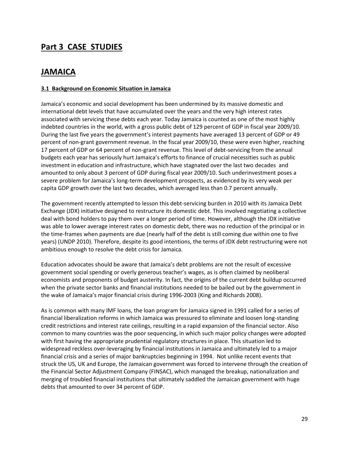# **Part 3 CASE STUDIES**

# **JAMAICA**

#### **3.1 Background on Economic Situation in Jamaica**

Jamaica's economic and social development has been undermined by its massive domestic and international debt levels that have accumulated over the years and the very high interest rates associated with servicing these debts each year. Today Jamaica is counted as one of the most highly indebted countries in the world, with a gross public debt of 129 percent of GDP in fiscal year 2009/10. During the last five years the government's interest payments have averaged 13 percent of GDP or 49 percent of non-grant government revenue. In the fiscal year 2009/10, these were even higher, reaching 17 percent of GDP or 64 percent of non-grant revenue. This level of debt-servicing from the annual budgets each year has seriously hurt Jamaica's efforts to finance of crucial necessities such as public investment in education and infrastructure, which have stagnated over the last two decades and amounted to only about 3 percent of GDP during fiscal year 2009/10. Such underinvestment poses a severe problem for Jamaica's long-term development prospects, as evidenced by its very weak per capita GDP growth over the last two decades, which averaged less than 0.7 percent annually.

The government recently attempted to lesson this debt-servicing burden in 2010 with its Jamaica Debt Exchange (JDX) initiative designed to restructure its domestic debt. This involved negotiating a collective deal with bond holders to pay them over a longer period of time. However, although the JDX initiative was able to lower average interest rates on domestic debt, there was no reduction of the principal or in the time-frames when payments are due (nearly half of the debt is still coming due within one to five years) (UNDP 2010). Therefore, despite its good intentions, the terms of JDX debt restructuring were not ambitious enough to resolve the debt crisis for Jamaica.

Education advocates should be aware that Jamaica's debt problems are not the result of excessive government social spending or overly generous teacher's wages, as is often claimed by neoliberal economists and proponents of budget austerity. In fact, the origins of the current debt buildup occurred when the private sector banks and financial institutions needed to be bailed out by the government in the wake of Jamaica's major financial crisis during 1996-2003 (King and Richards 2008).

As is common with many IMF loans, the loan program for Jamaica signed in 1991 called for a series of financial liberalization reforms in which Jamaica was pressured to eliminate and loosen long-standing credit restrictions and interest rate ceilings, resulting in a rapid expansion of the financial sector. Also common to many countries was the poor sequencing, in which such major policy changes were adopted with first having the appropriate prudential regulatory structures in place. This situation led to widespread reckless over-leveraging by financial institutions in Jamaica and ultimately led to a major financial crisis and a series of major bankruptcies beginning in 1994. Not unlike recent events that struck the US, UK and Europe, the Jamaican government was forced to intervene through the creation of the Financial Sector Adjustment Company (FINSAC), which managed the breakup, nationalization and merging of troubled financial institutions that ultimately saddled the Jamaican government with huge debts that amounted to over 34 percent of GDP.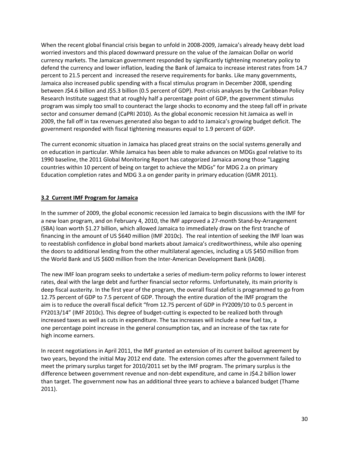When the recent global financial crisis began to unfold in 2008-2009, Jamaica's already heavy debt load worried investors and this placed downward pressure on the value of the Jamaican Dollar on world currency markets. The Jamaican government responded by significantly tightening monetary policy to defend the currency and lower inflation, leading the Bank of Jamaica to increase interest rates from 14.7 percent to 21.5 percent and increased the reserve requirements for banks. Like many governments, Jamaica also increased public spending with a fiscal stimulus program in December 2008, spending between J\$4.6 billion and J\$5.3 billion (0.5 percent of GDP). Post-crisis analyses by the Caribbean Policy Research Institute suggest that at roughly half a percentage point of GDP, the government stimulus program was simply too small to counteract the large shocks to economy and the steep fall off in private sector and consumer demand (CaPRI 2010). As the global economic recession hit Jamaica as well in 2009, the fall off in tax revenues generated also began to add to Jamaica's growing budget deficit. The government responded with fiscal tightening measures equal to 1.9 percent of GDP.

The current economic situation in Jamaica has placed great strains on the social systems generally and on education in particular. While Jamaica has been able to make advances on MDGs goal relative to its 1990 baseline, the 2011 Global Monitoring Report has categorized Jamaica among those "Lagging countries within 10 percent of being on target to achieve the MDGs" for MDG 2.a on primary Education completion rates and MDG 3.a on gender parity in primary education (GMR 2011).

#### **3.2 Current IMF Program for Jamaica**

In the summer of 2009, the global economic recession led Jamaica to begin discussions with the IMF for a new loan program, and on February 4, 2010, the IMF approved a 27-month Stand-by-Arrangement (SBA) loan worth \$1.27 billion, which allowed Jamaica to immediately draw on the first tranche of financing in the amount of US \$640 million (IMF 2010c). The real intention of seeking the IMF loan was to reestablish confidence in global bond markets about Jamaica's creditworthiness, while also opening the doors to additional lending from the other multilateral agencies, including a US \$450 million from the World Bank and US \$600 million from the Inter-American Development Bank (IADB).

The new IMF loan program seeks to undertake a series of medium-term policy reforms to lower interest rates, deal with the large debt and further financial sector reforms. Unfortunately, its main priority is deep fiscal austerity. In the first year of the program, the overall fiscal deficit is programmed to go from 12.75 percent of GDP to 7.5 percent of GDP. Through the entire duration of the IMF program the aim is to reduce the overall fiscal deficit "from 12.75 percent of GDP in FY2009/10 to 0.5 percent in FY2013/14" (IMF 2010c). This degree of budget-cutting is expected to be realized both through increased taxes as well as cuts in expenditure. The tax increases will include a new fuel tax, a one percentage point increase in the general consumption tax, and an increase of the tax rate for high income earners.

In recent negotiations in April 2011, the IMF granted an extension of its current bailout agreement by two years, beyond the initial May 2012 end date. The extension comes after the government failed to meet the primary surplus target for 2010/2011 set by the IMF program. The primary surplus is the difference between government revenue and non-debt expenditure, and came in J\$4.2 billion lower than target. The government now has an additional three years to achieve a balanced budget (Thame 2011).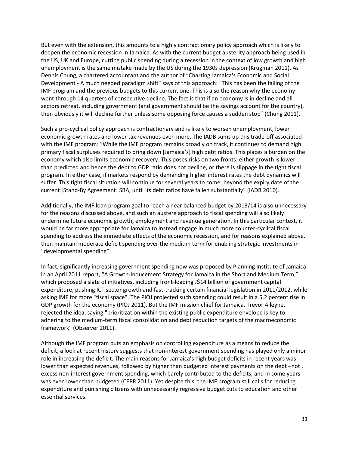But even with the extension, this amounts to a highly contractionary policy approach which is likely to deepen the economic recession in Jamaica. As with the current budget austerity approach being used in the US, UK and Europe, cutting public spending during a recession in the context of low growth and high unemployment is the same mistake made by the US during the 1930s depression (Krugman 2011). As Dennis Chung, a chartered accountant and the author of "Charting Jamaica's Economic and Social Development - A much needed paradigm shift" says of this approach: "This has been the failing of the IMF program and the previous budgets to this current one. This is also the reason why the economy went through 14 quarters of consecutive decline. The fact is that if an economy is in decline and all sectors retreat, including government (and government should be the savings account for the country), then obviously it will decline further unless some opposing force causes a sudden stop" (Chung 2011).

Such a pro-cyclical policy approach is contractionary and is likely to worsen unemployment, lower economic growth rates and lower tax revenues even more. The IADB sums up this trade-off associated with the IMF program: "While the IMF program remains broadly on track, it continues to demand high primary fiscal surpluses required to bring down [Jamaica's] high debt ratios. This places a burden on the economy which also limits economic recovery. This poses risks on two fronts: either growth is lower than predicted and hence the debt to GDP ratio does not decline, or there is slippage in the tight fiscal program. In either case, if markets respond by demanding higher interest rates the debt dynamics will suffer. This tight fiscal situation will continue for several years to come, beyond the expiry date of the current [Stand-By Agreement] SBA, until its debt ratios have fallen substantially" (IADB 2010).

Additionally, the IMF loan program goal to reach a near balanced budget by 2013/14 is also unnecessary for the reasons discussed above, and such an austere approach to fiscal spending will also likely undermine future economic growth, employment and revenue generation. In this particular context, it would be far more appropriate for Jamaica to instead engage in much more counter-cyclical fiscal spending to address the immediate effects of the economic recession, and for reasons explained above, then maintain moderate deficit spending over the medium term for enabling strategic investments in "developmental spending".

In fact, significantly increasing government spending now was proposed by Planning Institute of Jamaica in an April 2011 report, "A Growth-Inducement Strategy for Jamaica in the Short and Medium Term," which proposed a slate of initiatives, including front-loading J\$14 billion of government capital expenditure, pushing ICT sector growth and fast-tracking certain financial legislation in 2011/2012, while asking IMF for more "fiscal space". The PIOJ projected such spending could result in a 5.2 percent rise in GDP growth for the economy (PIOJ 2011). But the IMF mission chief for Jamaica, Trevor Alleyne, rejected the idea, saying "prioritization within the existing public expenditure envelope is key to adhering to the medium-term fiscal consolidation and debt reduction targets of the macroeconomic framework" (Observer 2011).

Although the IMF program puts an emphasis on controlling expenditure as a means to reduce the deficit, a look at recent history suggests that non-interest government spending has played only a minor role in increasing the deficit. The main reasons for Jamaica's high budget deficits in recent years was lower than expected revenues, followed by higher than budgeted interest payments on the debt –not . excess non-interest government spending, which barely contributed to the deficits, and in some years was even lower than budgeted (CEPR 2011). Yet despite this, the IMF program still calls for reducing expenditure and punishing citizens with unnecessarily regressive budget cuts to education and other essential services.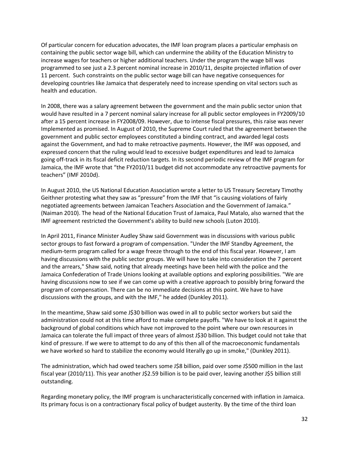Of particular concern for education advocates, the IMF loan program places a particular emphasis on containing the public sector wage bill, which can undermine the ability of the Education Ministry to increase wages for teachers or higher additional teachers. Under the program the wage bill was programmed to see just a 2.3 percent nominal increase in 2010/11, despite projected inflation of over 11 percent. Such constraints on the public sector wage bill can have negative consequences for developing countries like Jamaica that desperately need to increase spending on vital sectors such as health and education.

In 2008, there was a salary agreement between the government and the main public sector union that would have resulted in a 7 percent nominal salary increase for all public sector employees in FY2009/10 after a 15 percent increase in FY2008/09. However, due to intense fiscal pressures, this raise was never Implemented as promised. In August of 2010, the Supreme Court ruled that the agreement between the government and public sector employees constituted a binding contract, and awarded legal costs against the Government, and had to make retroactive payments. However, the IMF was opposed, and expressed concern that the ruling would lead to excessive budget expenditures and lead to Jamaica going off-track in its fiscal deficit reduction targets. In its second periodic review of the IMF program for Jamaica, the IMF wrote that "the FY2010/11 budget did not accommodate any retroactive payments for teachers" (IMF 2010d).

In August 2010, the US National Education Association wrote a letter to US Treasury Secretary Timothy Geithner protesting what they saw as "pressure" from the IMF that "is causing violations of fairly negotiated agreements between Jamaican Teachers Association and the Government of Jamaica." (Naiman 2010). The head of the National Education Trust of Jamaica, Paul Matalo, also warned that the IMF agreement restricted the Government's ability to build new schools (Luton 2010).

In April 2011, Finance Minister Audley Shaw said Government was in discussions with various public sector groups to fast forward a program of compensation. "Under the IMF Standby Agreement, the medium-term program called for a wage freeze through to the end of this fiscal year. However, I am having discussions with the public sector groups. We will have to take into consideration the 7 percent and the arrears," Shaw said, noting that already meetings have been held with the police and the Jamaica Confederation of Trade Unions looking at available options and exploring possibilities. "We are having discussions now to see if we can come up with a creative approach to possibly bring forward the program of compensation. There can be no immediate decisions at this point. We have to have discussions with the groups, and with the IMF," he added (Dunkley 2011).

In the meantime, Shaw said some J\$30 billion was owed in all to public sector workers but said the administration could not at this time afford to make complete payoffs. "We have to look at it against the background of global conditions which have not improved to the point where our own resources in Jamaica can tolerate the full impact of three years of almost J\$30 billion. This budget could not take that kind of pressure. If we were to attempt to do any of this then all of the macroeconomic fundamentals we have worked so hard to stabilize the economy would literally go up in smoke," (Dunkley 2011).

The administration, which had owed teachers some J\$8 billion, paid over some J\$500 million in the last fiscal year (2010/11). This year another J\$2.59 billion is to be paid over, leaving another J\$5 billion still outstanding.

Regarding monetary policy, the IMF program is uncharacteristically concerned with inflation in Jamaica. Its primary focus is on a contractionary fiscal policy of budget austerity. By the time of the third loan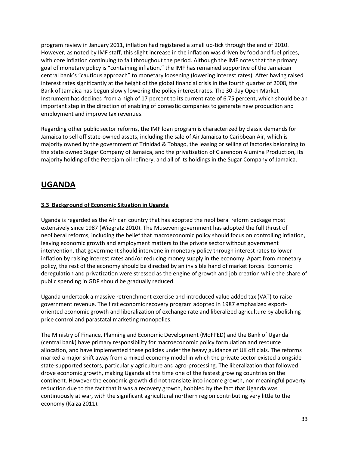program review in January 2011, inflation had registered a small up-tick through the end of 2010. However, as noted by IMF staff, this slight increase in the inflation was driven by food and fuel prices, with core inflation continuing to fall throughout the period. Although the IMF notes that the primary goal of monetary policy is "containing inflation," the IMF has remained supportive of the Jamaican central bank's "cautious approach" to monetary loosening (lowering interest rates). After having raised interest rates significantly at the height of the global financial crisis in the fourth quarter of 2008, the Bank of Jamaica has begun slowly lowering the policy interest rates. The 30-day Open Market Instrument has declined from a high of 17 percent to its current rate of 6.75 percent, which should be an important step in the direction of enabling of domestic companies to generate new production and employment and improve tax revenues.

Regarding other public sector reforms, the IMF loan program is characterized by classic demands for Jamaica to sell off state-owned assets, including the sale of Air Jamaica to Caribbean Air, which is majority owned by the government of Trinidad & Tobago, the leasing or selling of factories belonging to the state owned Sugar Company of Jamaica, and the privatization of Clarendon Alumina Production, its majority holding of the Petrojam oil refinery, and all of its holdings in the Sugar Company of Jamaica.

## **UGANDA**

#### **3.3 Background of Economic Situation in Uganda**

Uganda is regarded as the African country that has adopted the neoliberal reform package most extensively since 1987 (Wiegratz 2010). The Museveni government has adopted the full thrust of neoliberal reforms, including the belief that macroeconomic policy should focus on controlling inflation, leaving economic growth and employment matters to the private sector without government intervention, that government should intervene in monetary policy through interest rates to lower inflation by raising interest rates and/or reducing money supply in the economy. Apart from monetary policy, the rest of the economy should be directed by an invisible hand of market forces. Economic deregulation and privatization were stressed as the engine of growth and job creation while the share of public spending in GDP should be gradually reduced.

Uganda undertook a massive retrenchment exercise and introduced value added tax (VAT) to raise government revenue. The first economic recovery program adopted in 1987 emphasized exportoriented economic growth and liberalization of exchange rate and liberalized agriculture by abolishing price control and parastatal marketing monopolies.

The Ministry of Finance, Planning and Economic Development (MoFPED) and the Bank of Uganda (central bank) have primary responsibility for macroeconomic policy formulation and resource allocation, and have implemented these policies under the heavy guidance of UK officials. The reforms marked a major shift away from a mixed-economy model in which the private sector existed alongside state-supported sectors, particularly agriculture and agro-processing. The liberalization that followed drove economic growth, making Uganda at the time one of the fastest growing countries on the continent. However the economic growth did not translate into income growth, nor meaningful poverty reduction due to the fact that it was a recovery growth, hobbled by the fact that Uganda was continuously at war, with the significant agricultural northern region contributing very little to the economy (Kaiza 2011).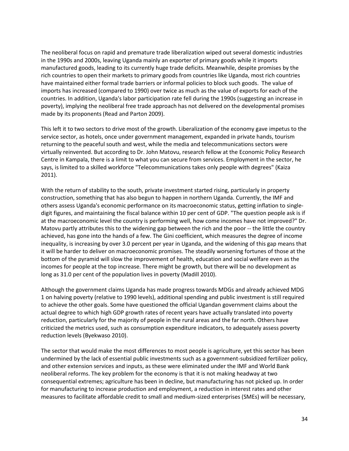The neoliberal focus on rapid and premature trade liberalization wiped out several domestic industries in the 1990s and 2000s, leaving Uganda mainly an exporter of primary goods while it imports manufactured goods, leading to its currently huge trade deficits. Meanwhile, despite promises by the rich countries to open their markets to primary goods from countries like Uganda, most rich countries have maintained either formal trade barriers or informal policies to block such goods. The value of imports has increased (compared to 1990) over twice as much as the value of exports for each of the countries. In addition, Uganda's labor participation rate fell during the 1990s (suggesting an increase in poverty), implying the neoliberal free trade approach has not delivered on the developmental promises made by its proponents (Read and Parton 2009).

This left it to two sectors to drive most of the growth. Liberalization of the economy gave impetus to the service sector, as hotels, once under government management, expanded in private hands, tourism returning to the peaceful south and west, while the media and telecommunications sectors were virtually reinvented. But according to Dr. John Matovu, research fellow at the Economic Policy Research Centre in Kampala, there is a limit to what you can secure from services. Employment in the sector, he says, is limited to a skilled workforce "Telecommunications takes only people with degrees" (Kaiza 2011).

With the return of stability to the south, private investment started rising, particularly in property construction, something that has also begun to happen in northern Uganda. Currently, the IMF and others assess Uganda's economic performance on its macroeconomic status, getting inflation to singledigit figures, and maintaining the fiscal balance within 10 per cent of GDP. "The question people ask is if at the macroeconomic level the country is performing well, how come incomes have not improved?" Dr. Matovu partly attributes this to the widening gap between the rich and the poor -- the little the country achieved, has gone into the hands of a few. The Gini coefficient, which measures the degree of income inequality, is increasing by over 3.0 percent per year in Uganda, and the widening of this gap means that it will be harder to deliver on macroeconomic promises. The steadily worsening fortunes of those at the bottom of the pyramid will slow the improvement of health, education and social welfare even as the incomes for people at the top increase. There might be growth, but there will be no development as long as 31.0 per cent of the population lives in poverty (Madill 2010).

Although the government claims Uganda has made progress towards MDGs and already achieved MDG 1 on halving poverty (relative to 1990 levels), additional spending and public investment is still required to achieve the other goals. Some have questioned the official Ugandan government claims about the actual degree to which high GDP growth rates of recent years have actually translated into poverty reduction, particularly for the majority of people in the rural areas and the far north. Others have criticized the metrics used, such as consumption expenditure indicators, to adequately assess poverty reduction levels (Byekwaso 2010).

The sector that would make the most differences to most people is agriculture, yet this sector has been undermined by the lack of essential public investments such as a government-subsidized fertilizer policy, and other extension services and inputs, as these were eliminated under the IMF and World Bank neoliberal reforms. The key problem for the economy is that it is not making headway at two consequential extremes; agriculture has been in decline, but manufacturing has not picked up. In order for manufacturing to increase production and employment, a reduction in interest rates and other measures to facilitate affordable credit to small and medium-sized enterprises (SMEs) will be necessary,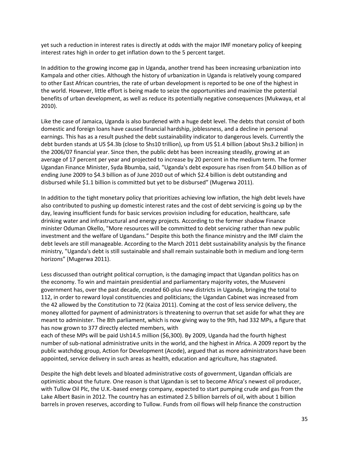yet such a reduction in interest rates is directly at odds with the major IMF monetary policy of keeping interest rates high in order to get inflation down to the 5 percent target.

In addition to the growing income gap in Uganda, another trend has been increasing urbanization into Kampala and other cities. Although the history of urbanization in Uganda is relatively young compared to other East African countries, the rate of urban development is reported to be one of the highest in the world. However, little effort is being made to seize the opportunities and maximize the potential benefits of urban development, as well as reduce its potentially negative consequences (Mukwaya, et al 2010).

Like the case of Jamaica, Uganda is also burdened with a huge debt level. The debts that consist of both domestic and foreign loans have caused financial hardship, joblessness, and a decline in personal earnings. This has as a result pushed the debt sustainability indicator to dangerous levels. Currently the debt burden stands at US \$4.3b (close to Shs10 trillion), up from US \$1.4 billion (about Shs3.2 billion) in the 2006/07 financial year. Since then, the public debt has been increasing steadily, growing at an average of 17 percent per year and projected to increase by 20 percent in the medium term. The former Ugandan Finance Minister, Syda Bbumba, said, "Uganda's debt exposure has risen from \$4.0 billion as of ending June 2009 to \$4.3 billion as of June 2010 out of which \$2.4 billion is debt outstanding and disbursed while \$1.1 billion is committed but yet to be disbursed" (Mugerwa 2011).

In addition to the tight monetary policy that prioritizes achieving low inflation, the high debt levels have also contributed to pushing up domestic interest rates and the cost of debt servicing is going up by the day, leaving insufficient funds for basic services provision including for education, healthcare, safe drinking water and infrastructural and energy projects. According to the former shadow Finance minister Oduman Okello, "More resources will be committed to debt servicing rather than new public investment and the welfare of Ugandans." Despite this both the finance ministry and the IMF claim the debt levels are still manageable. According to the March 2011 debt sustainability analysis by the finance ministry, "Uganda's debt is still sustainable and shall remain sustainable both in medium and long-term horizons" (Mugerwa 2011).

Less discussed than outright political corruption, is the damaging impact that Ugandan politics has on the economy. To win and maintain presidential and parliamentary majority votes, the Museveni government has, over the past decade, created 60-plus new districts in Uganda, bringing the total to 112, in order to reward loyal constituencies and politicians; the Ugandan Cabinet was increased from the 42 allowed by the Constitution to 72 (Kaiza 2011). Coming at the cost of less service delivery, the money allotted for payment of administrators is threatening to overrun that set aside for what they are meant to administer. The 8th parliament, which is now giving way to the 9th, had 332 MPs, a figure that has now grown to 377 directly elected members, with

each of these MPs will be paid Ush14.5 million (\$6,300). By 2009, Uganda had the fourth highest number of sub-national administrative units in the world, and the highest in Africa. A 2009 report by the public watchdog group, Action for Development (Acode), argued that as more administrators have been appointed, service delivery in such areas as health, education and agriculture, has stagnated.

Despite the high debt levels and bloated administrative costs of government, Ugandan officials are optimistic about the future. One reason is that Ugandan is set to become Africa's newest oil producer, with Tullow Oil Plc, the U.K.-based energy company, expected to start pumping crude and gas from the Lake Albert Basin in 2012. The country has an estimated 2.5 billion barrels of oil, with about 1 billion barrels in proven reserves, according to Tullow. Funds from oil flows will help finance the construction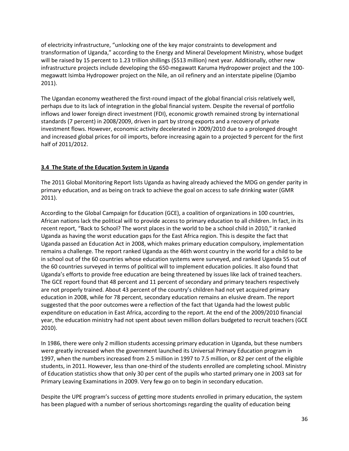of electricity infrastructure, "unlocking one of the key major constraints to development and transformation of Uganda," according to the Energy and Mineral Development Ministry, whose budget will be raised by 15 percent to 1.23 trillion shillings (\$513 million) next year. Additionally, other new infrastructure projects include developing the 650-megawatt Karuma Hydropower project and the 100 megawatt Isimba Hydropower project on the Nile, an oil refinery and an interstate pipeline (Ojambo 2011).

The Ugandan economy weathered the first-round impact of the global financial crisis relatively well, perhaps due to its lack of integration in the global financial system. Despite the reversal of portfolio inflows and lower foreign direct investment (FDI), economic growth remained strong by international standards (7 percent) in 2008/2009, driven in part by strong exports and a recovery of private investment flows. However, economic activity decelerated in 2009/2010 due to a prolonged drought and increased global prices for oil imports, before increasing again to a projected 9 percent for the first half of 2011/2012.

#### **3.4 The State of the Education System in Uganda**

The 2011 Global Monitoring Report lists Uganda as having already achieved the MDG on gender parity in primary education, and as being on track to achieve the goal on access to safe drinking water (GMR 2011).

According to the Global Campaign for Education (GCE), a coalition of organizations in 100 countries, African nations lack the political will to provide access to primary education to all children. In fact, in its recent report, "Back to School? The worst places in the world to be a school child in 2010," it ranked Uganda as having the worst education gaps for the East Africa region. This is despite the fact that Uganda passed an Education Act in 2008, which makes primary education compulsory, implementation remains a challenge. The report ranked Uganda as the 46th worst country in the world for a child to be in school out of the 60 countries whose education systems were surveyed, and ranked Uganda 55 out of the 60 countries surveyed in terms of political will to implement education policies. It also found that Uganda's efforts to provide free education are being threatened by issues like lack of trained teachers. The GCE report found that 48 percent and 11 percent of secondary and primary teachers respectively are not properly trained. About 43 percent of the country's children had not yet acquired primary education in 2008, while for 78 percent, secondary education remains an elusive dream. The report suggested that the poor outcomes were a reflection of the fact that Uganda had the lowest public expenditure on education in East Africa, according to the report. At the end of the 2009/2010 financial year, the education ministry had not spent about seven million dollars budgeted to recruit teachers (GCE 2010).

In 1986, there were only 2 million students accessing primary education in Uganda, but these numbers were greatly increased when the government launched its Universal Primary Education program in 1997, when the numbers increased from 2.5 million in 1997 to 7.5 million, or 82 per cent of the eligible students, in 2011. However, less than one-third of the students enrolled are completing school. Ministry of Education statistics show that only 30 per cent of the pupils who started primary one in 2003 sat for Primary Leaving Examinations in 2009. Very few go on to begin in secondary education.

Despite the UPE program's success of getting more students enrolled in primary education, the system has been plagued with a number of serious shortcomings regarding the quality of education being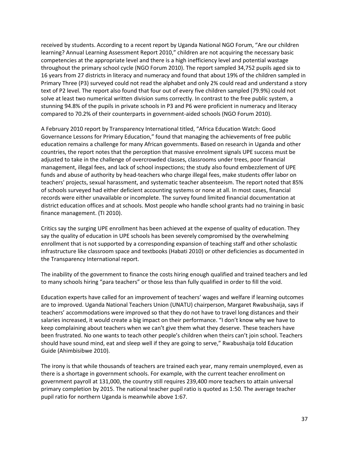received by students. According to a recent report by Uganda National NGO Forum, "Are our children learning? Annual Learning Assessment Report 2010," children are not acquiring the necessary basic competencies at the appropriate level and there is a high inefficiency level and potential wastage throughout the primary school cycle (NGO Forum 2010). The report sampled 34,752 pupils aged six to 16 years from 27 districts in literacy and numeracy and found that about 19% of the children sampled in Primary Three (P3) surveyed could not read the alphabet and only 2% could read and understand a story text of P2 level. The report also found that four out of every five children sampled (79.9%) could not solve at least two numerical written division sums correctly. In contrast to the free public system, a stunning 94.8% of the pupils in private schools in P3 and P6 were proficient in numeracy and literacy compared to 70.2% of their counterparts in government-aided schools (NGO Forum 2010).

A February 2010 report by Transparency International titled, "Africa Education Watch: Good Governance Lessons for Primary Education," found that managing the achievements of free public education remains a challenge for many African governments. Based on research in Uganda and other countries, the report notes that the perception that massive enrolment signals UPE success must be adjusted to take in the challenge of overcrowded classes, classrooms under trees, poor financial management, illegal fees, and lack of school inspections; the study also found embezzlement of UPE funds and abuse of authority by head-teachers who charge illegal fees, make students offer labor on teachers' projects, sexual harassment, and systematic teacher absenteeism. The report noted that 85% of schools surveyed had either deficient accounting systems or none at all. In most cases, financial records were either unavailable or incomplete. The survey found limited financial documentation at district education offices and at schools. Most people who handle school grants had no training in basic finance management. (TI 2010).

Critics say the surging UPE enrollment has been achieved at the expense of quality of education. They say the quality of education in UPE schools has been severely compromised by the overwhelming enrollment that is not supported by a corresponding expansion of teaching staff and other scholastic infrastructure like classroom space and textbooks (Habati 2010) or other deficiencies as documented in the Transparency International report.

The inability of the government to finance the costs hiring enough qualified and trained teachers and led to many schools hiring "para teachers" or those less than fully qualified in order to fill the void.

Education experts have called for an improvement of teachers' wages and welfare if learning outcomes are to improved. Uganda National Teachers Union (UNATU) chairperson, Margaret Rwabushaija, says if teachers' accommodations were improved so that they do not have to travel long distances and their salaries increased, it would create a big impact on their performance. "I don't know why we have to keep complaining about teachers when we can't give them what they deserve. These teachers have been frustrated. No one wants to teach other people's children when theirs can't join school. Teachers should have sound mind, eat and sleep well if they are going to serve," Rwabushaija told Education Guide (Ahimbisibwe 2010).

The irony is that while thousands of teachers are trained each year, many remain unemployed, even as there is a shortage in government schools. For example, with the current teacher enrollment on government payroll at 131,000, the country still requires 239,400 more teachers to attain universal primary completion by 2015. The national teacher pupil ratio is quoted as 1:50. The average teacher pupil ratio for northern Uganda is meanwhile above 1:67.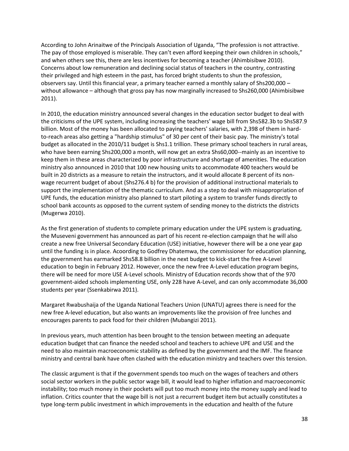According to John Arinaitwe of the Principals Association of Uganda, "The profession is not attractive. The pay of those employed is miserable. They can't even afford keeping their own children in schools," and when others see this, there are less incentives for becoming a teacher (Ahimbisibwe 2010). Concerns about low remuneration and declining social status of teachers in the country, contrasting their privileged and high esteem in the past, has forced bright students to shun the profession, observers say. Until this financial year, a primary teacher earned a monthly salary of Shs200,000 – without allowance – although that gross pay has now marginally increased to Shs260,000 (Ahimbisibwe 2011).

In 2010, the education ministry announced several changes in the education sector budget to deal with the criticisms of the UPE system, including increasing the teachers' wage bill from Shs582.3b to Shs587.9 billion. Most of the money has been allocated to paying teachers' salaries, with 2,398 of them in hardto-reach areas also getting a "hardship stimulus" of 30 per cent of their basic pay. The ministry's total budget as allocated in the 2010/11 budget is Shs1.1 trillion. These primary school teachers in rural areas, who have been earning Shs200,000 a month, will now get an extra Shs60,000--mainly as an incentive to keep them in these areas characterized by poor infrastructure and shortage of amenities. The education ministry also announced in 2010 that 100 new housing units to accommodate 400 teachers would be built in 20 districts as a measure to retain the instructors, and it would allocate 8 percent of its nonwage recurrent budget of about (Shs276.4 b) for the provision of additional instructional materials to support the implementation of the thematic curriculum. And as a step to deal with misappropriation of UPE funds, the education ministry also planned to start piloting a system to transfer funds directly to school bank accounts as opposed to the current system of sending money to the districts the districts (Mugerwa 2010).

As the first generation of students to complete primary education under the UPE system is graduating, the Museveni government has announced as part of his recent re-election campaign that he will also create a new free Universal Secondary Education (USE) initiative, however there will be a one year gap until the funding is in place. Acoording to Godfrey Dhatemwa, the commissioner for education planning, the government has earmarked Shs58.8 billion in the next budget to kick-start the free A-Level education to begin in February 2012. However, once the new free A-Level education program begins, there will be need for more USE A-Level schools. Ministry of Education records show that of the 970 government-aided schools implementing USE, only 228 have A-Level, and can only accommodate 36,000 students per year (Ssenkabirwa 2011).

Margaret Rwabushaija of the Uganda National Teachers Union (UNATU) agrees there is need for the new free A-level education, but also wants an improvements like the provision of free lunches and encourages parents to pack food for their children (Mubangizi 2011).

In previous years, much attention has been brought to the tension between meeting an adequate education budget that can finance the needed school and teachers to achieve UPE and USE and the need to also maintain macroeconomic stability as defined by the government and the IMF. The finance ministry and central bank have often clashed with the education ministry and teachers over this tension.

The classic argument is that if the government spends too much on the wages of teachers and others social sector workers in the public sector wage bill, it would lead to higher inflation and macroeconomic instability; too much money in their pockets will put too much money into the money supply and lead to inflation. Critics counter that the wage bill is not just a recurrent budget item but actually constitutes a type long-term public investment in which improvements in the education and health of the future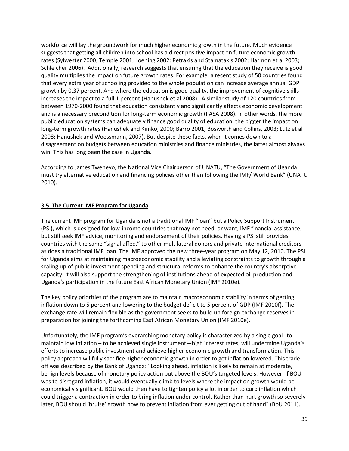workforce will lay the groundwork for much higher economic growth in the future. Much evidence suggests that getting all children into school has a direct positive impact on future economic growth rates (Sylwester 2000; Temple 2001; Loening 2002: Petrakis and Stamatakis 2002; Harmon et al 2003; Schleicher 2006). Additionally, research suggests that ensuring that the education they receive is good quality multiplies the impact on future growth rates. For example, a recent study of 50 countries found that every extra year of schooling provided to the whole population can increase average annual GDP growth by 0.37 percent. And where the education is good quality, the improvement of cognitive skills increases the impact to a full 1 percent (Hanushek et al 2008). A similar study of 120 countries from between 1970-2000 found that education consistently and significantly affects economic development and is a necessary precondition for long-term economic growth (IIASA 2008). In other words, the more public education systems can adequately finance good quality of education, the bigger the impact on long-term growth rates (Hanushek and Kimko, 2000; Barro 2001; Bosworth and Collins, 2003; Lutz et al 2008; Hanushek and Woessmann, 2007). But despite these facts, when it comes down to a disagreement on budgets between education ministries and finance ministries, the latter almost always win. This has long been the case in Uganda.

According to James Tweheyo, the National Vice Chairperson of UNATU, "The Government of Uganda must try alternative education and financing policies other than following the IMF/ World Bank" (UNATU 2010).

# **3.5 The Current IMF Program for Uganda**

The current IMF program for Uganda is not a traditional IMF "loan" but a Policy Support Instrument (PSI), which is designed for low-income countries that may not need, or want, IMF financial assistance, but still seek IMF advice, monitoring and endorsement of their policies. Having a PSI still provides countries with the same "signal affect" to other multilateral donors and private international creditors as does a traditional IMF loan. The IMF approved the new three-year program on May 12, 2010. The PSI for Uganda aims at maintaining macroeconomic stability and alleviating constraints to growth through a scaling up of public investment spending and structural reforms to enhance the country's absorptive capacity. It will also support the strengthening of institutions ahead of expected oil production and Uganda's participation in the future East African Monetary Union (IMF 2010e).

The key policy priorities of the program are to maintain macroeconomic stability in terms of getting inflation down to 5 percent and lowering to the budget deficit to 5 percent of GDP (IMF 2010f). The exchange rate will remain flexible as the government seeks to build up foreign exchange reserves in preparation for joining the forthcoming East African Monetary Union (IMF 2010e).

Unfortunately, the IMF program's overarching monetary policy is characterized by a single goal--to maintain low inflation – to be achieved single instrument—high interest rates, will undermine Uganda's efforts to increase public investment and achieve higher economic growth and transformation. This policy approach willfully sacrifice higher economic growth in order to get inflation lowered. This tradeoff was described by the Bank of Uganda: "Looking ahead, inflation is likely to remain at moderate, benign levels because of monetary policy action but above the BOU's targeted levels. However, if BOU was to disregard inflation, it would eventually climb to levels where the impact on growth would be economically significant. BOU would then have to tighten policy a lot in order to curb inflation which could trigger a contraction in order to bring inflation under control. Rather than hurt growth so severely later, BOU should 'bruise' growth now to prevent inflation from ever getting out of hand" (BoU 2011).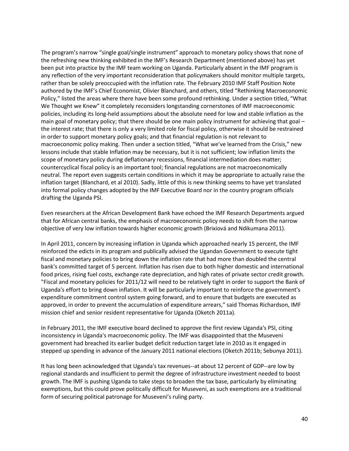The program's narrow "single goal/single instrument" approach to monetary policy shows that none of the refreshing new thinking exhibited in the IMF's Research Department (mentioned above) has yet been put into practice by the IMF team working on Uganda. Particularly absent in the IMF program is any reflection of the very important reconsideration that policymakers should monitor multiple targets, rather than be solely preoccupied with the inflation rate. The February 2010 IMF Staff Position Note authored by the IMF's Chief Economist, Olivier Blanchard, and others, titled "Rethinking Macroeconomic Policy," listed the areas where there have been some profound rethinking. Under a section titled, "What We Thought we Knew" it completely reconsiders longstanding cornerstones of IMF macroeconomic policies, including its long-held assumptions about the absolute need for low and stable inflation as the main goal of monetary policy; that there should be one main policy instrument for achieving that goal – the interest rate; that there is only a very limited role for fiscal policy, otherwise it should be restrained in order to support monetary policy goals; and that financial regulation is not relevant to macroeconomic policy making. Then under a section titled, "What we've learned from the Crisis," new lessons include that stable Inflation may be necessary, but it is not sufficient; low inflation limits the scope of monetary policy during deflationary recessions, financial intermediation does matter; countercyclical fiscal policy is an important tool; financial regulations are not macroeconomically neutral. The report even suggests certain conditions in which it may be appropriate to actually raise the inflation target (Blanchard, et al 2010). Sadly, little of this is new thinking seems to have yet translated into formal policy changes adopted by the IMF Executive Board nor in the country program officials drafting the Uganda PSI.

Even researchers at the African Development Bank have echoed the IMF Research Departments argued that for African central banks, the emphasis of macroeconomic policy needs to shift from the narrow objective of very low inflation towards higher economic growth (Brixiová and Ndikumana 2011).

In April 2011, concern by increasing inflation in Uganda which approached nearly 15 percent, the IMF reinforced the edicts in its program and publically advised the Ugandan Government to execute tight fiscal and monetary policies to bring down the inflation rate that had more than doubled the central bank's committed target of 5 percent. Inflation has risen due to both higher domestic and international food prices, rising fuel costs, exchange rate depreciation, and high rates of private sector credit growth. "Fiscal and monetary policies for 2011/12 will need to be relatively tight in order to support the Bank of Uganda's effort to bring down inflation. It will be particularly important to reinforce the government's expenditure commitment control system going forward, and to ensure that budgets are executed as approved, in order to prevent the accumulation of expenditure arrears," said Thomas Richardson, IMF mission chief and senior resident representative for Uganda (Oketch 2011a).

In February 2011, the IMF executive board declined to approve the first review Uganda's PSI, citing inconsistency in Uganda's macroeconomic policy. The IMF was disappointed that the Museveni government had breached its earlier budget deficit reduction target late in 2010 as it engaged in stepped up spending in advance of the January 2011 national elections (Oketch 2011b; Sebunya 2011).

It has long been acknowledged that Uganda's tax revenues--at about 12 percent of GDP--are low by regional standards and insufficient to permit the degree of infrastructure investment needed to boost growth. The IMF is pushing Uganda to take steps to broaden the tax base, particularly by eliminating exemptions, but this could prove politically difficult for Museveni, as such exemptions are a traditional form of securing political patronage for Museveni's ruling party.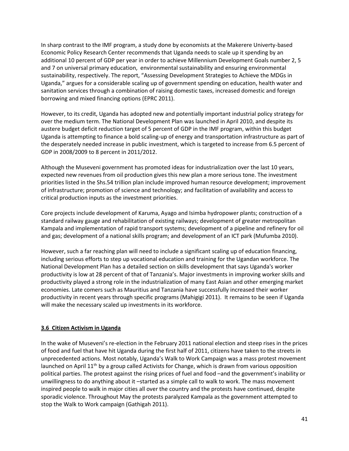In sharp contrast to the IMF program, a study done by economists at the Makerere Univerty-based Economic Policy Research Center recommends that Uganda needs to scale up it spending by an additional 10 percent of GDP per year in order to achieve Millennium Development Goals number 2, 5 and 7 on universal primary education, environmental sustainability and ensuring environmental sustainability, respectively. The report, "Assessing Development Strategies to Achieve the MDGs in Uganda," argues for a considerable scaling up of government spending on education, health water and sanitation services through a combination of raising domestic taxes, increased domestic and foreign borrowing and mixed financing options (EPRC 2011).

However, to its credit, Uganda has adopted new and potentially important industrial policy strategy for over the medium term. The National Development Plan was launched in April 2010, and despite its austere budget deficit reduction target of 5 percent of GDP in the IMF program, within this budget Uganda is attempting to finance a bold scaling-up of energy and transportation infrastructure as part of the desperately needed increase in public investment, which is targeted to increase from 6.5 percent of GDP in 2008/2009 to 8 percent in 2011/2012.

Although the Museveni government has promoted ideas for industrialization over the last 10 years, expected new revenues from oil production gives this new plan a more serious tone. The investment priorities listed in the Shs.54 trillion plan include improved human resource development; improvement of infrastructure; promotion of science and technology; and facilitation of availability and access to critical production inputs as the investment priorities.

Core projects include development of Karuma, Ayago and Isimba hydropower plants; construction of a standard railway gauge and rehabilitation of existing railways; development of greater metropolitan Kampala and implementation of rapid transport systems; development of a pipeline and refinery for oil and gas; development of a national skills program; and development of an ICT park (Mufumba 2010).

However, such a far reaching plan will need to include a significant scaling up of education financing, including serious efforts to step up vocational education and training for the Ugandan workforce. The National Development Plan has a detailed section on skills development that says Uganda's worker productivity is low at 28 percent of that of Tanzania's. Major investments in improving worker skills and productivity played a strong role in the industrialization of many East Asian and other emerging market economies. Late comers such as Mauritius and Tanzania have successfully increased their worker productivity in recent years through specific programs (Mahigigi 2011). It remains to be seen if Uganda will make the necessary scaled up investments in its workforce.

# **3.6 Citizen Activism in Uganda**

In the wake of Museveni's re-election in the February 2011 national election and steep rises in the prices of food and fuel that have hit Uganda during the first half of 2011, citizens have taken to the streets in unprecedented actions. Most notably, Uganda's Walk to Work Campaign was a mass protest movement launched on April 11<sup>th</sup> by a group called Activists for Change, which is drawn from various opposition political parties. The protest against the rising prices of fuel and food –and the government's inability or unwillingness to do anything about it –started as a simple call to walk to work. The mass movement inspired people to walk in major cities all over the country and the protests have continued, despite sporadic violence. Throughout May the protests paralyzed Kampala as the government attempted to stop the Walk to Work campaign (Gathigah 2011).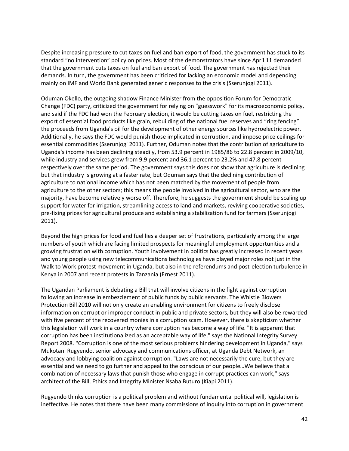Despite increasing pressure to cut taxes on fuel and ban export of food, the government has stuck to its standard "no intervention" policy on prices. Most of the demonstrators have since April 11 demanded that the government cuts taxes on fuel and ban export of food. The government has rejected their demands. In turn, the government has been criticized for lacking an economic model and depending mainly on IMF and World Bank generated generic responses to the crisis (Sserunjogi 2011).

Oduman Okello, the outgoing shadow Finance Minister from the opposition Forum for Democratic Change (FDC) party, criticized the government for relying on "guesswork" for its macroeconomic policy, and said if the FDC had won the February election, it would be cutting taxes on fuel, restricting the export of essential food products like grain, rebuilding of the national fuel reserves and "ring fencing" the proceeds from Uganda's oil for the development of other energy sources like hydroelectric power. Additionally, he says the FDC would punish those implicated in corruption, and impose price ceilings for essential commodities (Sserunjogi 2011). Further, Oduman notes that the contribution of agriculture to Uganda's income has been declining steadily, from 53.9 percent in 1985/86 to 22.8 percent in 2009/10, while industry and services grew from 9.9 percent and 36.1 percent to 23.2% and 47.8 percent respectively over the same period. The government says this does not show that agriculture is declining but that industry is growing at a faster rate, but Oduman says that the declining contribution of agriculture to national income which has not been matched by the movement of people from agriculture to the other sectors; this means the people involved in the agricultural sector, who are the majority, have become relatively worse off. Therefore, he suggests the government should be scaling up support for water for irrigation, streamlining access to land and markets, reviving cooperative societies, pre-fixing prices for agricultural produce and establishing a stabilization fund for farmers (Sserunjogi 2011).

Beyond the high prices for food and fuel lies a deeper set of frustrations, particularly among the large numbers of youth which are facing limited prospects for meaningful employment opportunities and a growing frustration with corruption. Youth involvement in politics has greatly increased in recent years and young people using new telecommunications technologies have played major roles not just in the Walk to Work protest movement in Uganda, but also in the referendums and post-election turbulence in Kenya in 2007 and recent protests in Tanzania (Ernest 2011).

The Ugandan Parliament is debating a Bill that will involve citizens in the fight against corruption following an increase in embezzlement of public funds by public servants. The Whistle Blowers Protection Bill 2010 will not only create an enabling environment for citizens to freely disclose information on corrupt or improper conduct in public and private sectors, but they will also be rewarded with five percent of the recovered monies in a corruption scam. However, there is skepticism whether this legislation will work in a country where corruption has become a way of life. "It is apparent that corruption has been institutionalized as an acceptable way of life," says the National Integrity Survey Report 2008. "Corruption is one of the most serious problems hindering development in Uganda," says Mukotani Rugyendo, senior advocacy and communications officer, at Uganda Debt Network, an advocacy and lobbying coalition against corruption. "Laws are not necessarily the cure, but they are essential and we need to go further and appeal to the conscious of our people…We believe that a combination of necessary laws that punish those who engage in corrupt practices can work," says architect of the Bill, Ethics and Integrity Minister Nsaba Buturo (Kiapi 2011).

Rugyendo thinks corruption is a political problem and without fundamental political will, legislation is ineffective. He notes that there have been many commissions of inquiry into corruption in government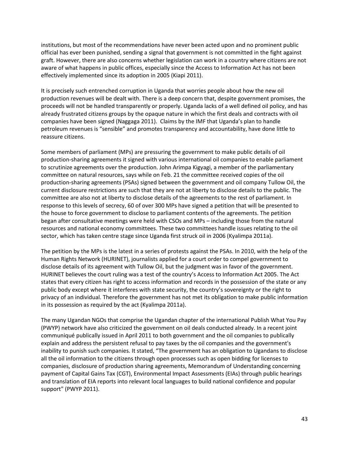institutions, but most of the recommendations have never been acted upon and no prominent public official has ever been punished, sending a signal that government is not committed in the fight against graft. However, there are also concerns whether legislation can work in a country where citizens are not aware of what happens in public offices, especially since the Access to Information Act has not been effectively implemented since its adoption in 2005 (Kiapi 2011).

It is precisely such entrenched corruption in Uganda that worries people about how the new oil production revenues will be dealt with. There is a deep concern that, despite government promises, the proceeds will not be handled transparently or properly. Uganda lacks of a well defined oil policy, and has already frustrated citizens groups by the opaque nature in which the first deals and contracts with oil companies have been signed (Naggaga 2011). Claims by the IMF that Uganda's plan to handle petroleum revenues is "sensible" and promotes transparency and accountability, have done little to reassure citizens.

Some members of parliament (MPs) are pressuring the government to make public details of oil production-sharing agreements it signed with various international oil companies to enable parliament to scrutinize agreements over the production. John Arimpa Kigyagi, a member of the parliamentary committee on natural resources, says while on Feb. 21 the committee received copies of the oil production-sharing agreements (PSAs) signed between the government and oil company Tullow Oil, the current disclosure restrictions are such that they are not at liberty to disclose details to the public. The committee are also not at liberty to disclose details of the agreements to the rest of parliament. In response to this levels of secrecy, 60 of over 300 MPs have signed a petition that will be presented to the house to force government to disclose to parliament contents of the agreements. The petition began after consultative meetings were held with CSOs and MPs – including those from the natural resources and national economy committees. These two committees handle issues relating to the oil sector, which has taken centre stage since Uganda first struck oil in 2006 (Kyalimpa 2011a).

The petition by the MPs is the latest in a series of protests against the PSAs. In 2010, with the help of the Human Rights Network (HURINET), journalists applied for a court order to compel government to disclose details of its agreement with Tullow Oil, but the judgment was in favor of the government. HURINET believes the court ruling was a test of the country's Access to Information Act 2005. The Act states that every citizen has right to access information and records in the possession of the state or any public body except where it interferes with state security, the country's sovereignty or the right to privacy of an individual. Therefore the government has not met its obligation to make public information in its possession as required by the act (Kyalimpa 2011a).

The many Ugandan NGOs that comprise the Ugandan chapter of the international Publish What You Pay (PWYP) network have also criticized the government on oil deals conducted already. In a recent joint communiqué publically issued in April 2011 to both government and the oil companies to publically explain and address the persistent refusal to pay taxes by the oil companies and the government's inability to punish such companies. It stated, "The government has an obligation to Ugandans to disclose all the oil information to the citizens through open processes such as open bidding for licenses to companies, disclosure of production sharing agreements, Memorandum of Understanding concerning payment of Capital Gains Tax (CGT), Environmental Impact Assessments (EIAs) through public hearings and translation of EIA reports into relevant local languages to build national confidence and popular support" (PWYP 2011).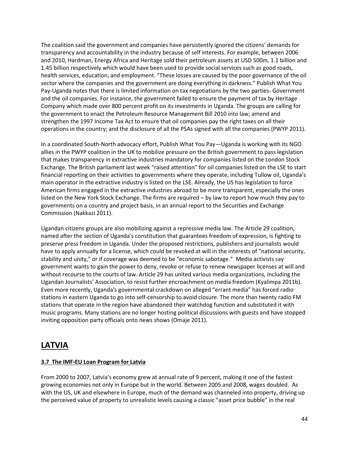The coalition said the government and companies have persistently ignored the citizens' demands for transparency and accountability in the industry because of self interests. For example, between 2006 and 2010, Hardman, Energy Africa and Heritage sold their petroleum assets at USD 500m, 1.1 billion and 1.45 billion respectively which would have been used to provide social services such as good roads, health services, education, and employment. "These losses are caused by the poor governance of the oil sector where the companies and the government are doing everything in darkness." Publish What You Pay-Uganda notes that there is limited information on tax negotiations by the two parties- Government and the oil companies. For instance, the government failed to ensure the payment of tax by Heritage Company which made over 800 percent profit on its investments in Uganda. The groups are calling for the government to enact the Petroleum Resource Management Bill 2010 into law; amend and strengthen the 1997 Income Tax Act to ensure that oil companies pay the right taxes on all their operations in the country; and the disclosure of all the PSAs signed with all the companies (PWYP 2011).

In a coordinated South-North advocacy effort, Publish What You Pay—Uganda is working with its NGO allies in the PWYP coalition in the UK to mobilize pressure on the British government to pass legislation that makes transparency in extractive industries mandatory for companies listed on the London Stock Exchange. The British parliament last week "raised attention" for oil companies listed on the LSE to start financial reporting on their activities to governments where they operate, including Tullow oil, Uganda's main operator in the extractive industry is listed on the LSE. Already, the US has legislation to force American firms engaged in the extractive industries abroad to be more transparent, especially the ones listed on the New York Stock Exchange. The firms are required – by law to report how much they pay to governments on a country and project basis, in an annual report to the Securities and Exchange Commission (Nakkazi 2011).

Ugandan citizens groups are also mobilizing against a repressive media law. The Article 29 coalition, named after the section of Uganda's constitution that guarantees freedom of expression, is fighting to preserve press freedom in Uganda. Under the proposed restrictions, publishers and journalists would have to apply annually for a license, which could be revoked at will in the interests of "national security, stability and unity," or if coverage was deemed to be "economic sabotage." Media activists say government wants to gain the power to deny, revoke or refuse to renew newspaper licenses at will and without recourse to the courts of law. Article 29 has united various media organizations, including the Ugandan Journalists' Association, to resist further encroachment on media freedom (Kyalimpa 2011b). Even more recently, Uganda's governmental crackdown on alleged "errant media" has forced radio stations in eastern Uganda to go into self-censorship to avoid closure. The more than twenty radio FM stations that operate in the region have abandoned their watchdog function and substituted it with music programs. Many stations are no longer hosting political discussions with guests and have stopped inviting opposition party officials onto news shows (Omaje 2011).

# **LATVIA**

# **3.7 The IMF-EU Loan Program for Latvia**

From 2000 to 2007, Latvia's economy grew at annual rate of 9 percent, making it one of the fastest growing economies not only in Europe but in the world. Between 2005 and 2008, wages doubled. As with the US, UK and elsewhere in Europe, much of the demand was channeled into property, driving up the perceived value of property to unrealistic levels causing a classic "asset price bubble" in the real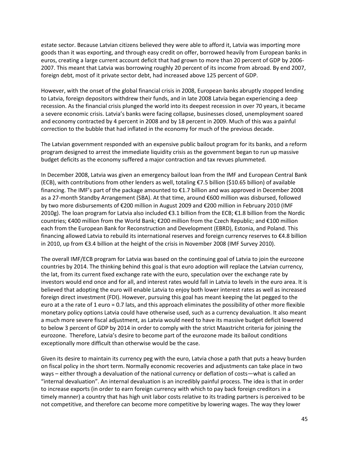estate sector. Because Latvian citizens believed they were able to afford it, Latvia was importing more goods than it was exporting, and through easy credit on offer, borrowed heavily from European banks in euros, creating a large current account deficit that had grown to more than 20 percent of GDP by 2006- 2007. This meant that Latvia was borrowing roughly 20 percent of its income from abroad. By end 2007, foreign debt, most of it private sector debt, had increased above 125 percent of GDP.

However, with the onset of the global financial crisis in 2008, European banks abruptly stopped lending to Latvia, foreign depositors withdrew their funds, and in late 2008 Latvia began experiencing a deep recession. As the financial crisis plunged the world into its deepest recession in over 70 years, it became a severe economic crisis. Latvia's banks were facing collapse, businesses closed, unemployment soared and economy contracted by 4 percent in 2008 and by 18 percent in 2009. Much of this was a painful correction to the bubble that had inflated in the economy for much of the previous decade.

The Latvian government responded with an expensive public bailout program for its banks, and a reform program designed to arrest the immediate liquidity crisis as the government began to run up massive budget deficits as the economy suffered a major contraction and tax revues plummeted.

In December 2008, Latvia was given an emergency bailout loan from the IMF and European Central Bank (ECB), with contributions from other lenders as well, totaling €7.5 billion (\$10.65 billion) of available financing. The IMF's part of the package amounted to €1.7 billion and was approved in December 2008 as a 27-month Standby Arrangement (SBA). At that time, around €600 million was disbursed, followed by two more disbursements of €200 million in August 2009 and €200 million in February 2010 (IMF 2010g). The loan program for Latvia also included  $\epsilon$ 3.1 billion from the ECB;  $\epsilon$ 1.8 billion from the Nordic countries; €400 million from the World Bank; €200 million from the Czech Republic; and €100 million each from the European Bank for Reconstruction and Development (EBRD), Estonia, and Poland. This financing allowed Latvia to rebuild its international reserves and foreign currency reserves to €4.8 billion in 2010, up from €3.4 billion at the height of the crisis in November 2008 (IMF Survey 2010).

The overall IMF/ECB program for Latvia was based on the continuing goal of Latvia to join the eurozone countries by 2014. The thinking behind this goal is that euro adoption will replace the Latvian currency, the lat, from its current fixed exchange rate with the euro, speculation over the exchange rate by investors would end once and for all, and interest rates would fall in Latvia to levels in the euro area. It is believed that adopting the euro will enable Latvia to enjoy both lower interest rates as well as increased foreign direct investment (FDI). However, pursuing this goal has meant keeping the lat pegged to the euro at a the rate of 1 euro = 0.7 lats, and this approach eliminates the possibility of other more flexible monetary policy options Latvia could have otherwise used, such as a currency devaluation. It also meant a much more severe fiscal adjustment, as Latvia would need to have its massive budget deficit lowered to below 3 percent of GDP by 2014 in order to comply with the strict Maastricht criteria for joining the eurozone. Therefore, Latvia's desire to become part of the eurozone made its bailout conditions exceptionally more difficult than otherwise would be the case.

Given its desire to maintain its currency peg with the euro, Latvia chose a path that puts a heavy burden on fiscal policy in the short term. Normally economic recoveries and adjustments can take place in two ways – either through a devaluation of the national currency or deflation of costs—what is called an "internal devaluation". An internal devaluation is an incredibly painful process. The idea is that in order to increase exports (in order to earn foreign currency with which to pay back foreign creditors in a timely manner) a country that has high unit labor costs relative to its trading partners is perceived to be not competitive, and therefore can become more competitive by lowering wages. The way they lower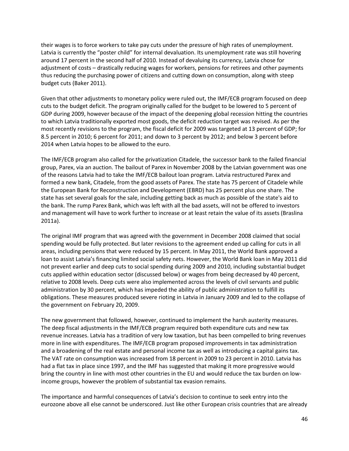their wages is to force workers to take pay cuts under the pressure of high rates of unemployment. Latvia is currently the "poster child" for internal devaluation. Its unemployment rate was still hovering around 17 percent in the second half of 2010. Instead of devaluing its currency, Latvia chose for adjustment of costs – drastically reducing wages for workers, pensions for retirees and other payments thus reducing the purchasing power of citizens and cutting down on consumption, along with steep budget cuts (Baker 2011).

Given that other adjustments to monetary policy were ruled out, the IMF/ECB program focused on deep cuts to the budget deficit. The program originally called for the budget to be lowered to 5 percent of GDP during 2009, however because of the impact of the deepening global recession hitting the countries to which Latvia traditionally exported most goods, the deficit reduction target was revised. As per the most recently revisions to the program, the fiscal deficit for 2009 was targeted at 13 percent of GDP; for 8.5 percent in 2010; 6 percent for 2011; and down to 3 percent by 2012; and below 3 percent before 2014 when Latvia hopes to be allowed to the euro.

The IMF/ECB program also called for the privatization Citadele, the successor bank to the failed financial group, Parex, via an auction. The bailout of Parex in November 2008 by the Latvian government was one of the reasons Latvia had to take the IMF/ECB bailout loan program. Latvia restructured Parex and formed a new bank, Citadele, from the good assets of Parex. The state has 75 percent of Citadele while the European Bank for Reconstruction and Development (EBRD) has 25 percent plus one share. The state has set several goals for the sale, including getting back as much as possible of the state's aid to the bank. The rump Parex Bank, which was left with all the bad assets, will not be offered to investors and management will have to work further to increase or at least retain the value of its assets (Braslina 2011a).

The original IMF program that was agreed with the government in December 2008 claimed that social spending would be fully protected. But later revisions to the agreement ended up calling for cuts in all areas, including pensions that were reduced by 15 percent. In May 2011, the World Bank approved a loan to assist Latvia's financing limited social safety nets. However, the World Bank loan in May 2011 did not prevent earlier and deep cuts to social spending during 2009 and 2010, including substantial budget cuts applied within education sector (discussed below) or wages from being decreased by 40 percent, relative to 2008 levels. Deep cuts were also implemented across the levels of civil servants and public administration by 30 percent, which has impeded the ability of public administration to fulfill its obligations. These measures produced severe rioting in Latvia in January 2009 and led to the collapse of the government on February 20, 2009.

The new government that followed, however, continued to implement the harsh austerity measures. The deep fiscal adjustments in the IMF/ECB program required both expenditure cuts and new tax revenue increases. Latvia has a tradition of very low taxation, but has been compelled to bring revenues more in line with expenditures. The IMF/ECB program proposed improvements in tax administration and a broadening of the real estate and personal income tax as well as introducing a capital gains tax. The VAT rate on consumption was increased from 18 percent in 2009 to 23 percent in 2010. Latvia has had a flat tax in place since 1997, and the IMF has suggested that making it more progressive would bring the country in line with most other countries in the EU and would reduce the tax burden on lowincome groups, however the problem of substantial tax evasion remains.

The importance and harmful consequences of Latvia's decision to continue to seek entry into the eurozone above all else cannot be underscored. Just like other European crisis countries that are already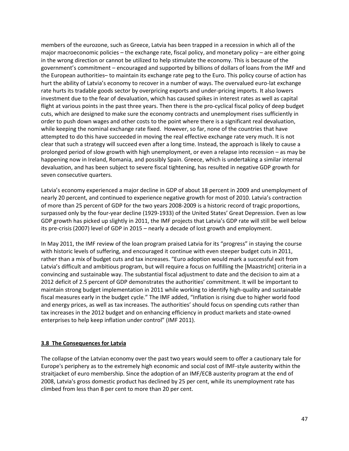members of the eurozone, such as Greece, Latvia has been trapped in a recession in which all of the major macroeconomic policies – the exchange rate, fiscal policy, and monetary policy – are either going in the wrong direction or cannot be utilized to help stimulate the economy. This is because of the government's commitment – encouraged and supported by billions of dollars of loans from the IMF and the European authorities– to maintain its exchange rate peg to the Euro. This policy course of action has hurt the ability of Latvia's economy to recover in a number of ways. The overvalued euro-lat exchange rate hurts its tradable goods sector by overpricing exports and under-pricing imports. It also lowers investment due to the fear of devaluation, which has caused spikes in interest rates as well as capital flight at various points in the past three years. Then there is the pro-cyclical fiscal policy of deep budget cuts, which are designed to make sure the economy contracts and unemployment rises sufficiently in order to push down wages and other costs to the point where there is a significant real devaluation, while keeping the nominal exchange rate fixed. However, so far, none of the countries that have attempted to do this have succeeded in moving the real effective exchange rate very much. It is not clear that such a strategy will succeed even after a long time. Instead, the approach is likely to cause a prolonged period of slow growth with high unemployment, or even a relapse into recession – as may be happening now in Ireland, Romania, and possibly Spain. Greece, which is undertaking a similar internal devaluation, and has been subject to severe fiscal tightening, has resulted in negative GDP growth for seven consecutive quarters.

Latvia's economy experienced a major decline in GDP of about 18 percent in 2009 and unemployment of nearly 20 percent, and continued to experience negative growth for most of 2010. Latvia's contraction of more than 25 percent of GDP for the two years 2008-2009 is a historic record of tragic proportions, surpassed only by the four-year decline (1929-1933) of the United States' Great Depression. Even as low GDP growth has picked up slightly in 2011, the IMF projects that Latvia's GDP rate will still be well below its pre-crisis (2007) level of GDP in 2015 – nearly a decade of lost growth and employment.

In May 2011, the IMF review of the loan program praised Latvia for its "progress" in staying the course with historic levels of suffering, and encouraged it continue with even steeper budget cuts in 2011, rather than a mix of budget cuts and tax increases. "Euro adoption would mark a successful exit from Latvia's difficult and ambitious program, but will require a focus on fulfilling the [Maastricht] criteria in a convincing and sustainable way. The substantial fiscal adjustment to date and the decision to aim at a 2012 deficit of 2.5 percent of GDP demonstrates the authorities' commitment. It will be important to maintain strong budget implementation in 2011 while working to identify high-quality and sustainable fiscal measures early in the budget cycle." The IMF added, "Inflation is rising due to higher world food and energy prices, as well as tax increases. The authorities' should focus on spending cuts rather than tax increases in the 2012 budget and on enhancing efficiency in product markets and state-owned enterprises to help keep inflation under control" (IMF 2011).

#### **3.8 The Consequences for Latvia**

The collapse of the Latvian economy over the past two years would seem to offer a cautionary tale for Europe's periphery as to the extremely high economic and social cost of IMF-style austerity within the straitjacket of euro membership. Since the adoption of an IMF/ECB austerity program at the end of 2008, Latvia's gross domestic product has declined by 25 per cent, while its unemployment rate has climbed from less than 8 per cent to more than 20 per cent.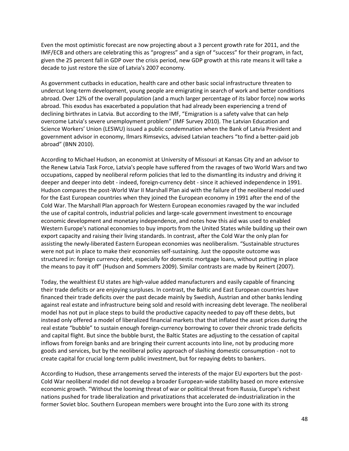Even the most optimistic forecast are now projecting about a 3 percent growth rate for 2011, and the IMF/ECB and others are celebrating this as "progress" and a sign of "success" for their program, in fact, given the 25 percent fall in GDP over the crisis period, new GDP growth at this rate means it will take a decade to just restore the size of Latvia's 2007 economy.

As government cutbacks in education, health care and other basic social infrastructure threaten to undercut long-term development, young people are emigrating in search of work and better conditions abroad. Over 12% of the overall population (and a much larger percentage of its labor force) now works abroad. This exodus has exacerbated a population that had already been experiencing a trend of declining birthrates in Latvia. But according to the IMF, "Emigration is a safety valve that can help overcome Latvia's severe unemployment problem" (IMF Survey 2010). The Latvian Education and Science Workers' Union (LESWU) issued a public condemnation when the Bank of Latvia President and government advisor in economy, Ilmars Rimsevics, advised Latvian teachers "to find a better-paid job abroad" (BNN 2010).

According to Michael Hudson, an economist at University of Missouri at Kansas City and an advisor to the Renew Latvia Task Force, Latvia's people have suffered from the ravages of two World Wars and two occupations, capped by neoliberal reform policies that led to the dismantling its industry and driving it deeper and deeper into debt - indeed, foreign-currency debt - since it achieved independence in 1991. Hudson compares the post-World War II Marshall Plan aid with the failure of the neoliberal model used for the East European countries when they joined the European economy in 1991 after the end of the Cold War. The Marshall Plan approach for Western European economies ravaged by the war included the use of capital controls, industrial policies and large-scale government investment to encourage economic development and monetary independence, and notes how this aid was used to enabled Western Europe's national economies to buy imports from the United States while building up their own export capacity and raising their living standards. In contrast, after the Cold War the only plan for assisting the newly-liberated Eastern European economies was neoliberalism. "Sustainable structures were not put in place to make their economies self-sustaining. Just the opposite outcome was structured in: foreign currency debt, especially for domestic mortgage loans, without putting in place the means to pay it off" (Hudson and Sommers 2009). Similar contrasts are made by Reinert (2007).

Today, the wealthiest EU states are high-value added manufacturers and easily capable of financing their trade deficits or are enjoying surpluses. In contrast, the Baltic and East European countries have financed their trade deficits over the past decade mainly by Swedish, Austrian and other banks lending against real estate and infrastructure being sold and resold with increasing debt leverage. The neoliberal model has not put in place steps to build the productive capacity needed to pay off these debts, but instead only offered a model of liberalized financial markets that that inflated the asset prices during the real estate "bubble" to sustain enough foreign-currency borrowing to cover their chronic trade deficits and capital flight. But since the bubble burst, the Baltic States are adjusting to the cessation of capital inflows from foreign banks and are bringing their current accounts into line, not by producing more goods and services, but by the neoliberal policy approach of slashing domestic consumption - not to create capital for crucial long-term public investment, but for repaying debts to bankers.

According to Hudson, these arrangements served the interests of the major EU exporters but the post-Cold War neoliberal model did not develop a broader European-wide stability based on more extensive economic growth. "Without the looming threat of war or political threat from Russia, Europe's richest nations pushed for trade liberalization and privatizations that accelerated de-industrialization in the former Soviet bloc. Southern European members were brought into the Euro zone with its strong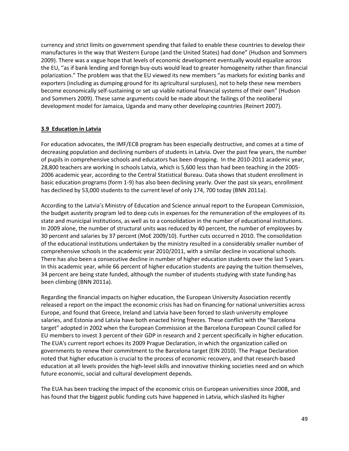currency and strict limits on government spending that failed to enable these countries to develop their manufactures in the way that Western Europe (and the United States) had done" (Hudson and Sommers 2009). There was a vague hope that levels of economic development eventually would equalize across the EU, "as if bank lending and foreign buy-outs would lead to greater homogeneity rather than financial polarization." The problem was that the EU viewed its new members "as markets for existing banks and exporters (including as dumping ground for its agricultural surpluses), not to help these new members become economically self-sustaining or set up viable national financial systems of their own" (Hudson and Sommers 2009). These same arguments could be made about the failings of the neoliberal development model for Jamaica, Uganda and many other developing countries (Reinert 2007).

#### **3.9 Education in Latvia**

For education advocates, the IMF/ECB program has been especially destructive, and comes at a time of decreasing population and declining numbers of students in Latvia. Over the past few years, the number of pupils in comprehensive schools and educators has been dropping. In the 2010-2011 academic year, 28,800 teachers are working in schools Latvia, which is 5,600 less than had been teaching in the 2005- 2006 academic year, according to the Central Statistical Bureau. Data shows that student enrollment in basic education programs (form 1-9) has also been declining yearly. Over the past six years, enrollment has declined by 53,000 students to the current level of only 174, 700 today (BNN 2011a).

According to the Latvia's Ministry of Education and Science annual report to the European Commission, the budget austerity program led to deep cuts in expenses for the remuneration of the employees of its state and municipal institutions, as well as to a consolidation in the number of educational institutions. In 2009 alone, the number of structural units was reduced by 40 percent, the number of employees by 30 percent and salaries by 37 percent (MoE 2009/10). Further cuts occurred n 2010. The consolidation of the educational institutions undertaken by the ministry resulted in a considerably smaller number of comprehensive schools in the academic year 2010/2011, with a similar decline in vocational schools. There has also been a consecutive decline in number of higher education students over the last 5 years. In this academic year, while 66 percent of higher education students are paying the tuition themselves, 34 percent are being state funded, although the number of students studying with state funding has been climbing (BNN 2011a).

Regarding the financial impacts on higher education, the European University Association recently released a report on the impact the economic crisis has had on financing for national universities across Europe, and found that Greece, Ireland and Latvia have been forced to slash university employee salaries, and Estonia and Latvia have both enacted hiring freezes. These conflict with the "Barcelona target" adopted in 2002 when the European Commission at the Barcelona European Council called for EU members to invest 3 percent of their GDP in research and 2 percent specifically in higher education. The EUA's current report echoes its 2009 Prague Declaration, in which the organization called on governments to renew their commitment to the Barcelona target (EIN 2010). The Prague Declaration noted that higher education is crucial to the process of economic recovery, and that research-based education at all levels provides the high-level skills and innovative thinking societies need and on which future economic, social and cultural development depends.

The EUA has been tracking the impact of the economic crisis on European universities since 2008, and has found that the biggest public funding cuts have happened in Latvia, which slashed its higher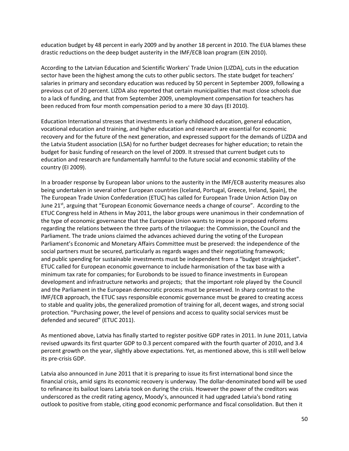education budget by 48 percent in early 2009 and by another 18 percent in 2010. The EUA blames these drastic reductions on the deep budget austerity in the IMF/ECB loan program (EIN 2010).

According to the Latvian Education and Scientific Workers' Trade Union (LIZDA), cuts in the education sector have been the highest among the cuts to other public sectors. The state budget for teachers' salaries in primary and secondary education was reduced by 50 percent in September 2009, following a previous cut of 20 percent. LIZDA also reported that certain municipalities that must close schools due to a lack of funding, and that from September 2009, unemployment compensation for teachers has been reduced from four month compensation period to a mere 30 days (EI 2010).

Education International stresses that investments in early childhood education, general education, vocational education and training, and higher education and research are essential for economic recovery and for the future of the next generation, and expressed support for the demands of LIZDA and the Latvia Student association (LSA) for no further budget decreases for higher education; to retain the budget for basic funding of research on the level of 2009. It stressed that current budget cuts to education and research are fundamentally harmful to the future social and economic stability of the country (EI 2009).

In a broader response by European labor unions to the austerity in the IMF/ECB austerity measures also being undertaken in several other European countries (Iceland, Portugal, Greece, Ireland, Spain), the The European Trade Union Confederation (ETUC) has called for European Trade Union Action Day on June 21<sup>st</sup>, arguing that "European Economic Governance needs a change of course". According to the ETUC Congress held in Athens in May 2011, the labor groups were unanimous in their condemnation of the type of economic governance that the European Union wants to impose in proposed reforms regarding the relations between the three parts of the trilaogue: the Commission, the Council and the Parliament. The trade unions claimed the advances achieved during the voting of the European Parliament's Economic and Monetary Affairs Committee must be preserved: the independence of the social partners must be secured, particularly as regards wages and their negotiating framework; and public spending for sustainable investments must be independent from a "budget straightjacket". ETUC called for European economic governance to include harmonisation of the tax base with a minimum tax rate for companies; for Eurobonds to be issued to finance investments in European development and infrastructure networks and projects; that the important role played by the Council and the Parliament in the European democratic process must be preserved. In sharp contrast to the IMF/ECB approach, the ETUC says responsible economic governance must be geared to creating access to stable and quality jobs, the generalized promotion of training for all, decent wages, and strong social protection. "Purchasing power, the level of pensions and access to quality social services must be defended and secured" (ETUC 2011).

As mentioned above, Latvia has finally started to register positive GDP rates in 2011. In June 2011, Latvia revised upwards its first quarter GDP to 0.3 percent compared with the fourth quarter of 2010, and 3.4 percent growth on the year, slightly above expectations. Yet, as mentioned above, this is still well below its pre-crisis GDP.

Latvia also announced in June 2011 that it is preparing to issue its first international bond since the financial crisis, amid signs its economic recovery is underway. The dollar-denominated bond will be used to refinance its bailout loans Latvia took on during the crisis. However the power of the creditors was underscored as the credit rating agency, Moody's, announced it had upgraded Latvia's bond rating outlook to positive from stable, citing good economic performance and fiscal consolidation. But then it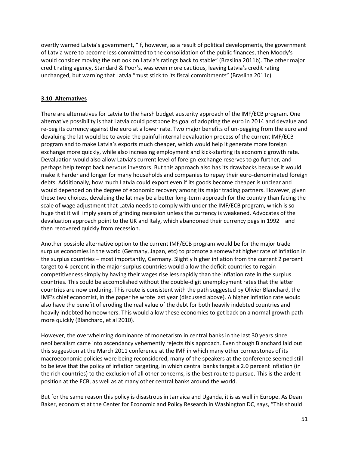overtly warned Latvia's government, "If, however, as a result of political developments, the government of Latvia were to become less committed to the consolidation of the public finances, then Moody's would consider moving the outlook on Latvia's ratings back to stable" (Braslina 2011b). The other major credit rating agency, Standard & Poor's, was even more cautious, leaving Latvia's credit rating unchanged, but warning that Latvia "must stick to its fiscal commitments" (Braslina 2011c).

#### **3.10 Alternatives**

There are alternatives for Latvia to the harsh budget austerity approach of the IMF/ECB program. One alternative possibility is that Latvia could postpone its goal of adopting the euro in 2014 and devalue and re-peg its currency against the euro at a lower rate. Two major benefits of un-pegging from the euro and devaluing the lat would be to avoid the painful internal devaluation process of the current IMF/ECB program and to make Latvia's exports much cheaper, which would help it generate more foreign exchange more quickly, while also increasing employment and kick-starting its economic growth rate. Devaluation would also allow Latvia's current level of foreign-exchange reserves to go further, and perhaps help tempt back nervous investors. But this approach also has its drawbacks because it would make it harder and longer for many households and companies to repay their euro-denominated foreign debts. Additionally, how much Latvia could export even if its goods become cheaper is unclear and would depended on the degree of economic recovery among its major trading partners. However, given these two choices, devaluing the lat may be a better long-term approach for the country than facing the scale of wage adjustment that Latvia needs to comply with under the IMF/ECB program, which is so huge that it will imply years of grinding recession unless the currency is weakened. Advocates of the devaluation approach point to the UK and Italy, which abandoned their currency pegs in 1992—and then recovered quickly from recession.

Another possible alternative option to the current IMF/ECB program would be for the major trade surplus economies in the world (Germany, Japan, etc) to promote a somewhat higher rate of inflation in the surplus countries – most importantly, Germany. Slightly higher inflation from the current 2 percent target to 4 percent in the major surplus countries would allow the deficit countries to regain competitiveness simply by having their wages rise less rapidly than the inflation rate in the surplus countries. This could be accomplished without the double-digit unemployment rates that the latter countries are now enduring. This route is consistent with the path suggested by Olivier Blanchard, the IMF's chief economist, in the paper he wrote last year (discussed above). A higher inflation rate would also have the benefit of eroding the real value of the debt for both heavily indebted countries and heavily indebted homeowners. This would allow these economies to get back on a normal growth path more quickly (Blanchard, et al 2010).

However, the overwhelming dominance of monetarism in central banks in the last 30 years since neoliberalism came into ascendancy vehemently rejects this approach. Even though Blanchard laid out this suggestion at the March 2011 conference at the IMF in which many other cornerstones of its macroeconomic policies were being reconsidered, many of the speakers at the conference seemed still to believe that the policy of inflation targeting, in which central banks target a 2.0 percent inflation (in the rich countries) to the exclusion of all other concerns, is the best route to pursue. This is the ardent position at the ECB, as well as at many other central banks around the world.

But for the same reason this policy is disastrous in Jamaica and Uganda, it is as well in Europe. As Dean Baker, economist at the Center for Economic and Policy Research in Washington DC, says, "This should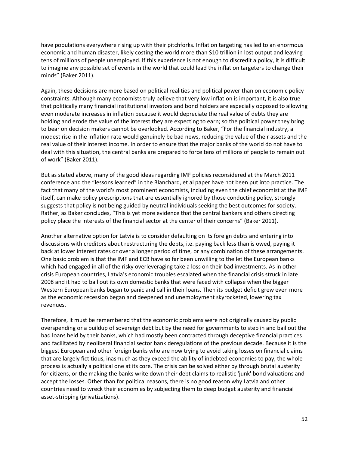have populations everywhere rising up with their pitchforks. Inflation targeting has led to an enormous economic and human disaster, likely costing the world more than \$10 trillion in lost output and leaving tens of millions of people unemployed. If this experience is not enough to discredit a policy, it is difficult to imagine any possible set of events in the world that could lead the inflation targeters to change their minds" (Baker 2011).

Again, these decisions are more based on political realities and political power than on economic policy constraints. Although many economists truly believe that very low inflation is important, it is also true that politically many financial institutional investors and bond holders are especially opposed to allowing even moderate increases in inflation because it would depreciate the real value of debts they are holding and erode the value of the interest they are expecting to earn; so the political power they bring to bear on decision makers cannot be overlooked. According to Baker, "For the financial industry, a modest rise in the inflation rate would genuinely be bad news, reducing the value of their assets and the real value of their interest income. In order to ensure that the major banks of the world do not have to deal with this situation, the central banks are prepared to force tens of millions of people to remain out of work" (Baker 2011).

But as stated above, many of the good ideas regarding IMF policies reconsidered at the March 2011 conference and the "lessons learned" in the Blanchard, et al paper have not been put into practice. The fact that many of the world's most prominent economists, including even the chief economist at the IMF itself, can make policy prescriptions that are essentially ignored by those conducting policy, strongly suggests that policy is not being guided by neutral individuals seeking the best outcomes for society. Rather, as Baker concludes, "This is yet more evidence that the central bankers and others directing policy place the interests of the financial sector at the center of their concerns" (Baker 2011).

Another alternative option for Latvia is to consider defaulting on its foreign debts and entering into discussions with creditors about restructuring the debts, i.e. paying back less than is owed, paying it back at lower interest rates or over a longer period of time, or any combination of these arrangements. One basic problem is that the IMF and ECB have so far been unwilling to the let the European banks which had engaged in all of the risky overleveraging take a loss on their bad investments. As in other crisis European countries, Latvia's economic troubles escalated when the financial crisis struck in late 2008 and it had to bail out its own domestic banks that were faced with collapse when the bigger Western European banks began to panic and call in their loans. Then its budget deficit grew even more as the economic recession began and deepened and unemployment skyrocketed, lowering tax revenues.

Therefore, it must be remembered that the economic problems were not originally caused by public overspending or a buildup of sovereign debt but by the need for governments to step in and bail out the bad loans held by their banks, which had mostly been contracted through deceptive financial practices and facilitated by neoliberal financial sector bank deregulations of the previous decade. Because it is the biggest European and other foreign banks who are now trying to avoid taking losses on financial claims that are largely fictitious, inasmuch as they exceed the ability of indebted economies to pay, the whole process is actually a political one at its core. The crisis can be solved either by through brutal austerity for citizens, or the making the banks write down their debt claims to realistic 'junk' bond valuations and accept the losses. Other than for political reasons, there is no good reason why Latvia and other countries need to wreck their economies by subjecting them to deep budget austerity and financial asset-stripping (privatizations).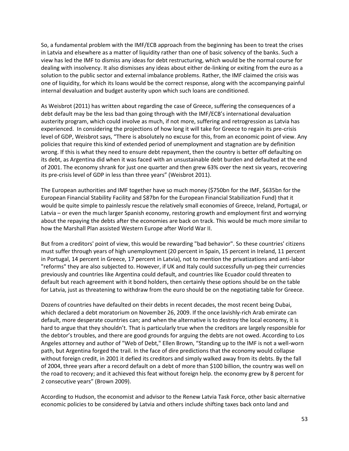So, a fundamental problem with the IMF/ECB approach from the beginning has been to treat the crises in Latvia and elsewhere as a matter of liquidity rather than one of basic solvency of the banks. Such a view has led the IMF to dismiss any ideas for debt restructuring, which would be the normal course for dealing with insolvency. It also dismisses any ideas about either de-linking or exiting from the euro as a solution to the public sector and external imbalance problems. Rather, the IMF claimed the crisis was one of liquidity, for which its loans would be the correct response, along with the accompanying painful internal devaluation and budget austerity upon which such loans are conditioned.

As Weisbrot (2011) has written about regarding the case of Greece, suffering the consequences of a debt default may be the less bad than going through with the IMF/ECB's international devaluation austerity program, which could involve as much, if not more, suffering and retrogression as Latvia has experienced. In considering the projections of how long it will take for Greece to regain its pre-crisis level of GDP, Weisbrot says, "There is absolutely no excuse for this, from an economic point of view. Any policies that require this kind of extended period of unemployment and stagnation are by definition wrong. If this is what they need to ensure debt repayment, then the country is better off defaulting on its debt, as Argentina did when it was faced with an unsustainable debt burden and defaulted at the end of 2001. The economy shrank for just one quarter and then grew 63% over the next six years, recovering its pre-crisis level of GDP in less than three years" (Weisbrot 2011).

The European authorities and IMF together have so much money (\$750bn for the IMF, \$635bn for the European Financial Stability Facility and \$87bn for the European Financial Stabilization Fund) that it would be quite simple to painlessly rescue the relatively small economies of Greece, Ireland, Portugal, or Latvia – or even the much larger Spanish economy, restoring growth and employment first and worrying about the repaying the debts after the economies are back on track. This would be much more similar to how the Marshall Plan assisted Western Europe after World War II.

But from a creditors' point of view, this would be rewarding "bad behavior". So these countries' citizens must suffer through years of high unemployment (20 percent in Spain, 15 percent in Ireland, 11 percent in Portugal, 14 percent in Greece, 17 percent in Latvia), not to mention the privatizations and anti-labor "reforms" they are also subjected to. However, if UK and Italy could successfully un-peg their currencies previously and countries like Argentina could default, and countries like Ecuador could threaten to default but reach agreement with it bond holders, then certainly these options should be on the table for Latvia, just as threatening to withdraw from the euro should be on the negotiating table for Greece.

Dozens of countries have defaulted on their debts in recent decades, the most recent being Dubai, which declared a debt moratorium on November 26, 2009. If the once lavishly-rich Arab emirate can default, more desperate countries can; and when the alternative is to destroy the local economy, it is hard to argue that they shouldn't. That is particularly true when the creditors are largely responsible for the debtor's troubles, and there are good grounds for arguing the debts are not owed. According to Los Angeles attorney and author of "Web of Debt," Ellen Brown, "Standing up to the IMF is not a well-worn path, but Argentina forged the trail. In the face of dire predictions that the economy would collapse without foreign credit, in 2001 it defied its creditors and simply walked away from its debts. By the fall of 2004, three years after a record default on a debt of more than \$100 billion, the country was well on the road to recovery; and it achieved this feat without foreign help. the economy grew by 8 percent for 2 consecutive years" (Brown 2009).

According to Hudson, the economist and advisor to the Renew Latvia Task Force, other basic alternative economic policies to be considered by Latvia and others include shifting taxes back onto land and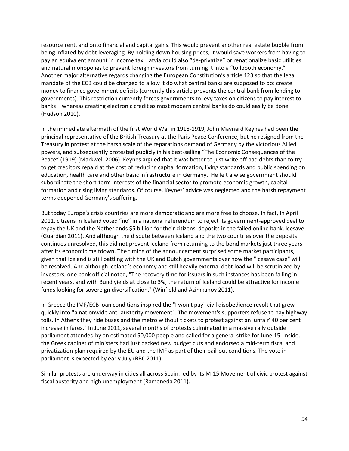resource rent, and onto financial and capital gains. This would prevent another real estate bubble from being inflated by debt leveraging. By holding down housing prices, it would save workers from having to pay an equivalent amount in income tax. Latvia could also "de-privatize" or renationalize basic utilities and natural monopolies to prevent foreign investors from turning it into a "tollbooth economy." Another major alternative regards changing the European Constitution's article 123 so that the legal mandate of the ECB could be changed to allow it do what central banks are supposed to do: create money to finance government deficits (currently this article prevents the central bank from lending to governments). This restriction currently forces governments to levy taxes on citizens to pay interest to banks – whereas creating electronic credit as most modern central banks do could easily be done (Hudson 2010).

In the immediate aftermath of the first World War in 1918-1919, John Maynard Keynes had been the principal representative of the British Treasury at the Paris Peace Conference, but he resigned from the Treasury in protest at the harsh scale of the reparations demand of Germany by the victorious Allied powers, and subsequently protested publicly in his best-selling "The Economic Consequences of the Peace" (1919) (Markwell 2006). Keynes argued that it was better to just write off bad debts than to try to get creditors repaid at the cost of reducing capital formation, living standards and public spending on education, health care and other basic infrastructure in Germany. He felt a wise government should subordinate the short-term interests of the financial sector to promote economic growth, capital formation and rising living standards. Of course, Keynes' advice was neglected and the harsh repayment terms deepened Germany's suffering.

But today Europe's crisis countries are more democratic and are more free to choose. In fact, In April 2011, citizens in Iceland voted "no" in a national referendum to reject its government-approved deal to repay the UK and the Netherlands \$5 billion for their citizens' deposits in the failed online bank, Icesave (Guardian 2011). And although the dispute between Iceland and the two countries over the deposits continues unresolved, this did not prevent Iceland from returning to the bond markets just three years after its economic meltdown. The timing of the announcement surprised some market participants, given that Iceland is still battling with the UK and Dutch governments over how the "Icesave case" will be resolved. And although Iceland's economy and still heavily external debt load will be scrutinized by investors, one bank official noted, "The recovery time for issuers in such instances has been falling in recent years, and with Bund yields at close to 3%, the return of Iceland could be attractive for income funds looking for sovereign diversification," (Winfield and Azimkanov 2011).

In Greece the IMF/ECB loan conditions inspired the "I won't pay" civil disobedience revolt that grew quickly into "a nationwide anti-austerity movement". The movement's supporters refuse to pay highway tolls. In Athens they ride buses and the metro without tickets to protest against an 'unfair' 40 per cent increase in fares." In June 2011, several months of protests culminated in a massive rally outside parliament attended by an estimated 50,000 people and called for a general strike for June 15. Inside, the Greek cabinet of ministers had just backed new budget cuts and endorsed a mid-term fiscal and privatization plan required by the EU and the IMF as part of their bail-out conditions. The vote in parliament is expected by early July (BBC 2011).

Similar protests are underway in cities all across Spain, led by its M-15 Movement of civic protest against fiscal austerity and high unemployment (Ramoneda 2011).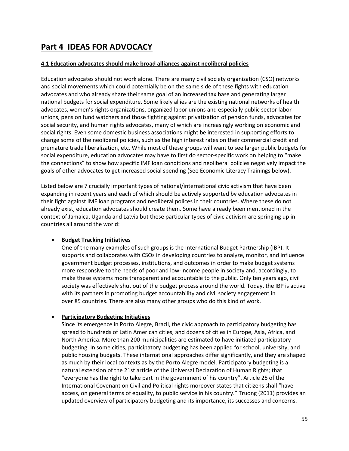# **Part 4 IDEAS FOR ADVOCACY**

#### **4.1 Education advocates should make broad alliances against neoliberal policies**

Education advocates should not work alone. There are many civil society organization (CSO) networks and social movements which could potentially be on the same side of these fights with education advocates and who already share their same goal of an increased tax base and generating larger national budgets for social expenditure. Some likely allies are the existing national networks of health advocates, women's rights organizations, organized labor unions and especially public sector labor unions, pension fund watchers and those fighting against privatization of pension funds, advocates for social security, and human rights advocates, many of which are increasingly working on economic and social rights. Even some domestic business associations might be interested in supporting efforts to change some of the neoliberal policies, such as the high interest rates on their commercial credit and premature trade liberalization, etc. While most of these groups will want to see larger public budgets for social expenditure, education advocates may have to first do sector-specific work on helping to "make the connections" to show how specific IMF loan conditions and neoliberal policies negatively impact the goals of other advocates to get increased social spending (See Economic Literacy Trainings below).

Listed below are 7 crucially important types of national/international civic activism that have been expanding in recent years and each of which should be actively supported by education advocates in their fight against IMF loan programs and neoliberal polices in their countries. Where these do not already exist, education advocates should create them. Some have already been mentioned in the context of Jamaica, Uganda and Latvia but these particular types of civic activism are springing up in countries all around the world:

#### • **Budget Tracking Initiatives**

One of the many examples of such groups is the International Budget Partnership (IBP). It supports and collaborates with CSOs in developing countries to analyze, monitor, and influence government budget processes, institutions, and outcomes in order to make budget systems more responsive to the needs of poor and low-income people in society and, accordingly, to make these systems more transparent and accountable to the public. Only ten years ago, civil society was effectively shut out of the budget process around the world. Today, the IBP is active with its partners in promoting budget accountability and civil society engagement in over 85 countries. There are also many other groups who do this kind of work.

# • **Participatory Budgeting Initiatives**

Since its emergence in Porto Alegre, Brazil, the civic approach to participatory budgeting has spread to hundreds of Latin American cities, and dozens of cities in Europe, Asia, Africa, and North America. More than 200 municipalities are estimated to have initiated participatory budgeting. In some cities, participatory budgeting has been applied for school, university, and public housing budgets. These international approaches differ significantly, and they are shaped as much by their local contexts as by the Porto Alegre model. Participatory budgeting is a natural extension of the 21st article of the Universal Declaration of Human Rights; that "everyone has the right to take part in the government of his country". Article 25 of the International Covenant on Civil and Political rights moreover states that citizens shall "have access, on general terms of equality, to public service in his country." Truong (2011) provides an updated overview of participatory budgeting and its importance, its successes and concerns.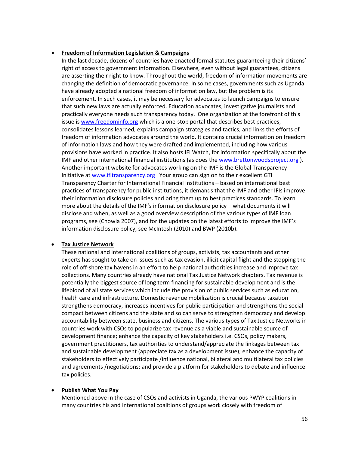# • **Freedom of Information Legislation & Campaigns**

In the last decade, dozens of countries have enacted formal statutes guaranteeing their citizens' right of access to government information. Elsewhere, even without legal guarantees, citizens are asserting their right to know. Throughout the world, freedom of information movements are changing the definition of democratic governance. In some cases, governments such as Uganda have already adopted a national freedom of information law, but the problem is its enforcement. In such cases, it may be necessary for advocates to launch campaigns to ensure that such new laws are actually enforced. Education advocates, investigative journalists and practically everyone needs such transparency today. One organization at the forefront of this issue is [www.freedominfo.org](http://www.freedominfo.org/) which is a one-stop portal that describes best practices, consolidates lessons learned, explains campaign strategies and tactics, and links the efforts of freedom of information advocates around the world. It contains crucial information on freedom of information laws and how they were drafted and implemented, including how various provisions have worked in practice. It also hosts IFI Watch, for information specifically about the IMF and other international financial institutions (as does the [www.brettonwoodsproject.org](http://www.brettonwoodsproject.org/) ). Another important website for advocates working on the IMF is the Global Transparency Initiative at [www.ifitransparency.org](http://www.ifitransparency.org/) Your group can sign on to their excellent GTI Transparency Charter for International Financial Institutions – based on international best practices of transparency for public institutions, it demands that the IMF and other IFIs improve their information disclosure policies and bring them up to best practices standards. To learn more about the details of the IMF's information disclosure policy – what documents it will disclose and when, as well as a good overview description of the various types of IMF loan programs, see (Chowla 2007), and for the updates on the latest efforts to improve the IMF's information disclosure policy, see McIntosh (2010) and BWP (2010b).

#### • **Tax Justice Network**

These national and international coalitions of groups, activists, tax accountants and other experts has sought to take on issues such as tax evasion, illicit capital flight and the stopping the role of off-shore tax havens in an effort to help national authorities increase and improve tax collections. Many countries already have national Tax Justice Network chapters. Tax revenue is potentially the biggest source of long term financing for sustainable development and is the lifeblood of all state services which include the provision of public services such as education, health care and infrastructure. Domestic revenue mobilization is crucial because taxation strengthens democracy, increases incentives for public participation and strengthens the social compact between citizens and the state and so can serve to strengthen democracy and develop accountability between state, business and citizens. The various types of Tax Justice Networks in countries work with CSOs to popularize tax revenue as a viable and sustainable source of development finance; enhance the capacity of key stakeholders i.e. CSOs, policy makers, government practitioners, tax authorities to understand/appreciate the linkages between tax and sustainable development (appreciate tax as a development issue); enhance the capacity of stakeholders to effectively participate /influence national, bilateral and multilateral tax policies and agreements /negotiations; and provide a platform for stakeholders to debate and influence tax policies.

#### • **Publish What You Pay**

Mentioned above in the case of CSOs and activists in Uganda, the various PWYP coalitions in many countries his and international coalitions of groups work closely with freedom of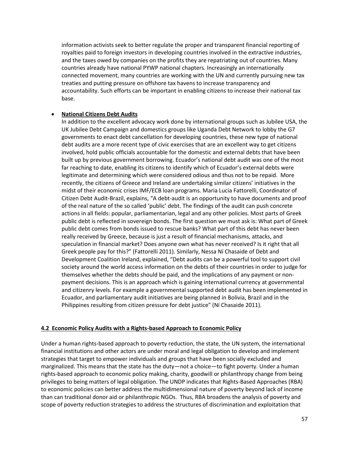information activists seek to better regulate the proper and transparent financial reporting of royalties paid to foreign investors in developing countries involved in the extractive industries, and the taxes owed by companies on the profits they are repatriating out of countries. Many countries already have national PYWP national chapters. Increasingly an internationally connected movement, many countries are working with the UN and currently pursuing new tax treaties and putting pressure on offshore tax havens to increase transparency and accountability. Such efforts can be important in enabling citizens to increase their national tax base.

#### • **National Citizens Debt Audits**

In addition to the excellent advocacy work done by international groups such as Jubilee USA, the UK Jubilee Debt Campaign and domestics groups like Uganda Debt Network to lobby the G7 governments to enact debt cancellation for developing countries, these new type of national debt audits are a more recent type of civic exercises that are an excellent way to get citizens involved, hold public officials accountable for the domestic and external debts that have been built up by previous government borrowing. Ecuador's national debt audit was one of the most far reaching to date, enabling its citizens to identify which of Ecuador's external debts were legitimate and determining which were considered odious and thus not to be repaid. More recently, the citizens of Greece and Ireland are undertaking similar citizens' initiatives in the midst of their economic crises IMF/ECB loan programs. Maria Lucia Fattorelli, Coordinator of Citizen Debt Audit-Brazil, explains, "A debt-audit is an opportunity to have documents and proof of the real nature of the so called 'public' debt. The findings of the audit can push concrete actions in all fields: popular, parliamentarian, legal and any other policies. Most parts of Greek public debt is reflected in sovereign bonds. The first question we must ask is: What part of Greek public debt comes from bonds issued to rescue banks? What part of this debt has never been really received by Greece, because is just a result of financial mechanisms, attacks, and speculation in financial market? Does anyone own what has never received? Is it right that all Greek people pay for this?" (Fattorelli 2011). Similarly, Nessa Ní Chasaide of Debt and Development Coalition Ireland, explained, "Debt audits can be a powerful tool to support civil society around the world access information on the debts of their countries in order to judge for themselves whether the debts should be paid, and the implications of any payment or nonpayment decisions. This is an approach which is gaining international currency at governmental and citizenry levels. For example a governmental supported debt audit has been implemented in Ecuador, and parliamentary audit initiatives are being planned in Bolivia, Brazil and in the Philippines resulting from citizen pressure for debt justice" (Ní Chasaide 2011).

#### **4.2 Economic Policy Audits with a Rights-based Approach to Economic Policy**

Under a human rights-based approach to poverty reduction, the state, the UN system, the international financial institutions and other actors are under moral and legal obligation to develop and implement strategies that target to empower individuals and groups that have been socially excluded and marginalized. This means that the state has the duty—not a choice—to fight poverty. Under a human rights-based approach to economic policy making, charity, goodwill or philanthropy change from being privileges to being matters of legal obligation. The UNDP indicates that Rights-Based Approaches (RBA) to economic policies can better address the multidimensional nature of poverty beyond lack of income than can traditional donor aid or philanthropic NGOs. Thus, RBA broadens the analysis of poverty and scope of poverty reduction strategies to address the structures of discrimination and exploitation that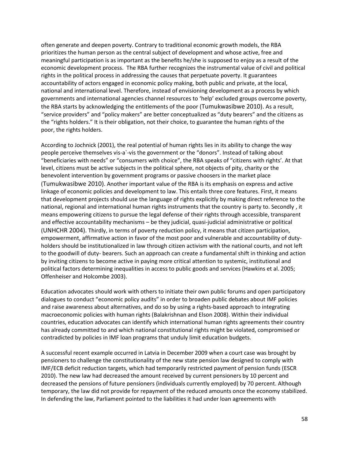often generate and deepen poverty. Contrary to traditional economic growth models, the RBA prioritizes the human person as the central subject of development and whose active, free and meaningful participation is as important as the benefits he/she is supposed to enjoy as a result of the economic development process. The RBA further recognizes the instrumental value of civil and political rights in the political process in addressing the causes that perpetuate poverty. It guarantees accountability of actors engaged in economic policy making, both public and private, at the local, national and international level. Therefore, instead of envisioning development as a process by which governments and international agencies channel resources to 'help' excluded groups overcome poverty, the RBA starts by acknowledging the entitlements of the poor (Tumukwasibwe 2010). As a result, "service providers" and "policy makers" are better conceptualized as "duty bearers" and the citizens as the "rights holders." It is their obligation, not their choice, to guarantee the human rights of the poor, the rights holders.

According to Jochnick (2001), the real potential of human rights lies in its ability to change the way people perceive themselves vis-a`-vis the government or the "donors". Instead of talking about "beneficiaries with needs" or "consumers with choice", the RBA speaks of "citizens with rights'. At that level, citizens must be active subjects in the political sphere, not objects of pity, charity or the benevolent intervention by government programs or passive choosers in the market place (Tumukwasibwe 2010). Another important value of the RBA is its emphasis on express and active linkage of economic policies and development to law. This entails three core features. First, it means that development projects should use the language of rights explicitly by making direct reference to the national, regional and international human rights instruments that the country is party to. Secondly , it means empowering citizens to pursue the legal defense of their rights through accessible, transparent and effective accountability mechanisms – be they judicial, quasi-judicial administrative or political (UNHCHR 2004). Thirdly, in terms of poverty reduction policy, it means that citizen participation, empowerment, affirmative action in favor of the most poor and vulnerable and accountability of dutyholders should be institutionalized in law through citizen activism with the national courts, and not left to the goodwill of duty- bearers. Such an approach can create a fundamental shift in thinking and action by inviting citizens to become active in paying more critical attention to systemic, institutional and political factors determining inequalities in access to public goods and services (Hawkins et al. 2005; Offenheiser and Holcombe 2003).

Education advocates should work with others to initiate their own public forums and open participatory dialogues to conduct "economic policy audits" in order to broaden public debates about IMF policies and raise awareness about alternatives, and do so by using a rights-based approach to integrating macroeconomic policies with human rights (Balakrishnan and Elson 2008). Within their individual countries, education advocates can identify which international human rights agreements their country has already committed to and which national constitutional rights might be violated, compromised or contradicted by policies in IMF loan programs that unduly limit education budgets.

A successful recent example occurred in Latvia in December 2009 when a court case was brought by pensioners to challenge the constitutionality of the new state pension law designed to comply with IMF/ECB deficit reduction targets, which had temporarily restricted payment of pension funds (ESCR 2010). The new law had decreased the amount received by current pensioners by 10 percent and decreased the pensions of future pensioners (individuals currently employed) by 70 percent. Although temporary, the law did not provide for repayment of the reduced amounts once the economy stabilized. In defending the law, Parliament pointed to the liabilities it had under loan agreements with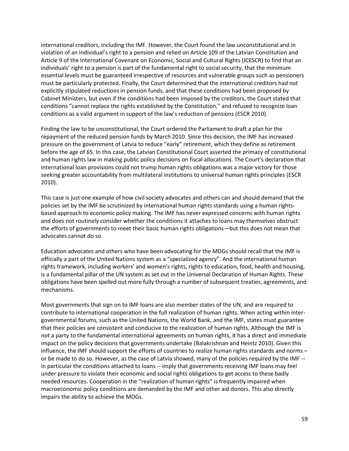international creditors, including the IMF. However, the Court found the law unconstitutional and in violation of an individual's right to a pension and relied on Article 109 of the Latvian Constitution and Article 9 of the International Covenant on Economic, Social and Cultural Rights (ICESCR) to find that an individuals' right to a pension is part of the fundamental right to social security, that the minimum essential levels must be guaranteed irrespective of resources and vulnerable groups such as pensioners must be particularly protected. Finally, the Court determined that the international creditors had not explicitly stipulated reductions in pension funds, and that these conditions had been proposed by Cabinet Ministers, but even if the conditions had been imposed by the creditors, the Court stated that conditions "cannot replace the rights established by the Constitution," and refused to recognize loan conditions as a valid argument in support of the law's reduction of pensions (ESCR 2010).

Finding the law to be unconstitutional, the Court ordered the Parliament to draft a plan for the repayment of the reduced pension funds by March 2010. Since this decision, the IMF has increased pressure on the government of Latvia to reduce "early" retirement, which they define as retirement before the age of 65. In this case, the Latvian Constitutional Court asserted the primacy of constitutional and human rights law in making public policy decisions on fiscal allocations. The Court's declaration that international loan provisions could not trump human rights obligations was a major victory for those seeking greater accountability from multilateral institutions to universal human rights principles (ESCR 2010).

This case is just one example of how civil society advocates and others can and should demand that the policies set by the IMF be scrutinized by international human rights standards using a human rightsbased approach to economic policy making. The IMF has never expressed concerns with human rights and does not routinely consider whether the conditions it attaches to loans may themselves obstruct the efforts of governments to meet their basic human rights obligations—but this does not mean that advocates cannot do so.

Education advocates and others who have been advocating for the MDGs should recall that the IMF is officially a part of the United Nations system as a "specialized agency". And the international human rights framework, including workers' and women's rights, rights to education, food, health and housing, is a fundamental pillar of the UN system as set out in the Universal Declaration of Human Rights. These obligations have been spelled out more fully through a number of subsequent treaties, agreements, and mechanisms.

Most governments that sign on to IMF loans are also member states of the UN, and are required to contribute to international cooperation in the full realization of human rights. When acting within intergovernmental forums, such as the United Nations, the World Bank, and the IMF, states must guarantee that their policies are consistent and conducive to the realization of human rights. Although the IMF is not a party to the fundamental international agreements on human rights, it has a direct and immediate impact on the policy decisions that governments undertake (Balakrishnan and Heintz 2010). Given this influence, the IMF should support the efforts of countries to realize human rights standards and norms – or be made to do so. However, as the case of Latvia showed, many of the policies required by the IMF - in particular the conditions attached to loans -- imply that governments receiving IMF loans may feel under pressure to violate their economic and social rights obligations to get access to these badly needed resources. Cooperation in the "realization of human rights" is frequently impaired when macroeconomic policy conditions are demanded by the IMF and other aid donors. This also directly impairs the ability to achieve the MDGs.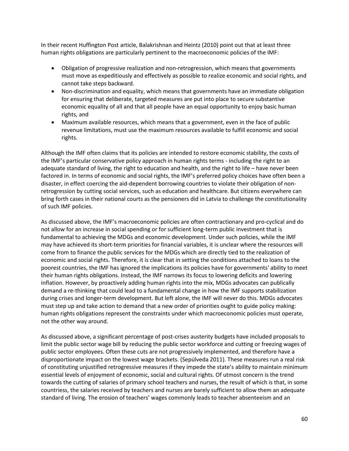In their recent Huffington Post article, Balakrishnan and Heintz (2010) point out that at least three human rights obligations are particularly pertinent to the macroeconomic policies of the IMF:

- Obligation of progressive realization and non-retrogression, which means that governments must move as expeditiously and effectively as possible to realize economic and social rights, and cannot take steps backward.
- Non-discrimination and equality, which means that governments have an immediate obligation for ensuring that deliberate, targeted measures are put into place to secure substantive economic equality of all and that all people have an equal opportunity to enjoy basic human rights, and
- Maximum available resources, which means that a government, even in the face of public revenue limitations, must use the maximum resources available to fulfill economic and social rights.

Although the IMF often claims that its policies are intended to restore economic stability, the costs of the IMF's particular conservative policy approach in human rights terms - including the right to an adequate standard of living, the right to education and health, and the right to life – have never been factored in. In terms of economic and social rights, the IMF's preferred policy choices have often been a disaster, in effect coercing the aid-dependent borrowing countries to violate their obligation of nonretrogression by cutting social services, such as education and healthcare. But citizens everywhere can bring forth cases in their national courts as the pensioners did in Latvia to challenge the constitutionality of such IMF policies.

As discussed above, the IMF's macroeconomic policies are often contractionary and pro-cyclical and do not allow for an increase in social spending or for sufficient long-term public investment that is fundamental to achieving the MDGs and economic development. Under such policies, while the IMF may have achieved its short-term priorities for financial variables, it is unclear where the resources will come from to finance the public services for the MDGs which are directly tied to the realization of economic and social rights. Therefore, it is clear that in setting the conditions attached to loans to the poorest countries, the IMF has ignored the implications its policies have for governments' ability to meet their human rights obligations. Instead, the IMF narrows its focus to lowering deficits and lowering inflation. However, by proactively adding human rights into the mix, MDGs advocates can publically demand a re-thinking that could lead to a fundamental change in how the IMF supports stabilization during crises and longer-term development. But left alone, the IMF will never do this. MDGs advocates must step up and take action to demand that a new order of priorities ought to guide policy making: human rights obligations represent the constraints under which macroeconomic policies must operate, not the other way around.

As discussed above, a significant percentage of post-crises austerity budgets have included proposals to limit the public sector wage bill by reducing the public sector workforce and cutting or freezing wages of public sector employees. Often these cuts are not progressively implemented, and therefore have a disproportionate impact on the lowest wage brackets. (Sepúlveda 2011). These measures run a real risk of constituting unjustified retrogressive measures if they impede the state's ability to maintain minimum essential levels of enjoyment of economic, social and cultural rights. Of utmost concern is the trend towards the cutting of salaries of primary school teachers and nurses, the result of which is that, in some countriess, the salaries received by teachers and nurses are barely sufficient to allow them an adequate standard of living. The erosion of teachers' wages commonly leads to teacher absenteeism and an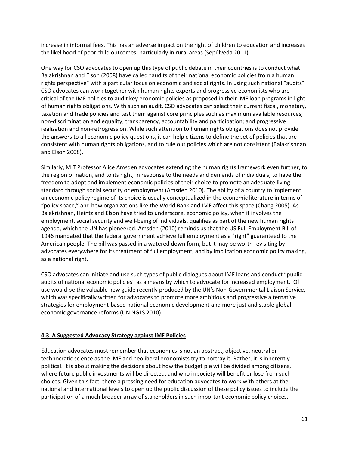increase in informal fees. This has an adverse impact on the right of children to education and increases the likelihood of poor child outcomes, particularly in rural areas (Sepúlveda 2011).

One way for CSO advocates to open up this type of public debate in their countries is to conduct what Balakrishnan and Elson (2008) have called "audits of their national economic policies from a human rights perspective" with a particular focus on economic and social rights. In using such national "audits" CSO advocates can work together with human rights experts and progressive economists who are critical of the IMF policies to audit key economic policies as proposed in their IMF loan programs in light of human rights obligations. With such an audit, CSO advocates can select their current fiscal, monetary, taxation and trade policies and test them against core principles such as maximum available resources; non-discrimination and equality; transparency, accountability and participation; and progressive realization and non-retrogression. While such attention to human rights obligations does not provide the answers to all economic policy questions, it can help citizens to define the set of policies that are consistent with human rights obligations, and to rule out policies which are not consistent (Balakrishnan and Elson 2008).

Similarly, MIT Professor Alice Amsden advocates extending the human rights framework even further, to the region or nation, and to its right, in response to the needs and demands of individuals, to have the freedom to adopt and implement economic policies of their choice to promote an adequate living standard through social security or employment (Amsden 2010). The ability of a country to implement an economic policy regime of its choice is usually conceptualized in the economic literature in terms of "policy space," and how organizations like the World Bank and IMF affect this space (Chang 2005). As Balakrishnan, Heintz and Elson have tried to underscore, economic policy, when it involves the employment, social security and well-being of individuals, qualifies as part of the new human rights agenda, which the UN has pioneered. Amsden (2010) reminds us that the US Full Employment Bill of 1946 mandated that the federal government achieve full employment as a "right" guaranteed to the American people. The bill was passed in a watered down form, but it may be worth revisiting by advocates everywhere for its treatment of full employment, and by implication economic policy making, as a national right.

CSO advocates can initiate and use such types of public dialogues about IMF loans and conduct "public audits of national economic policies" as a means by which to advocate for increased employment. Of use would be the valuable new guide recently produced by the UN's Non-Governmental Liaison Service, which was specifically written for advocates to promote more ambitious and progressive alternative strategies for employment-based national economic development and more just and stable global economic governance reforms (UN NGLS 2010).

# **4.3 A Suggested Advocacy Strategy against IMF Policies**

Education advocates must remember that economics is not an abstract, objective, neutral or technocratic science as the IMF and neoliberal economists try to portray it. Rather, it is inherently political. It is about making the decisions about how the budget pie will be divided among citizens, where future public investments will be directed, and who in society will benefit or lose from such choices. Given this fact, there a pressing need for education advocates to work with others at the national and international levels to open up the public discussion of these policy issues to include the participation of a much broader array of stakeholders in such important economic policy choices.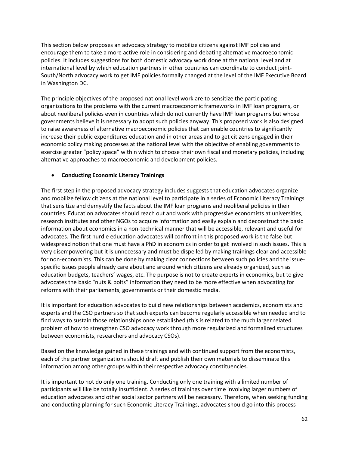This section below proposes an advocacy strategy to mobilize citizens against IMF policies and encourage them to take a more active role in considering and debating alternative macroeconomic policies. It includes suggestions for both domestic advocacy work done at the national level and at international level by which education partners in other countries can coordinate to conduct joint-South/North advocacy work to get IMF policies formally changed at the level of the IMF Executive Board in Washington DC.

The principle objectives of the proposed national level work are to sensitize the participating organizations to the problems with the current macroeconomic frameworks in IMF loan programs, or about neoliberal policies even in countries which do not currently have IMF loan programs but whose governments believe it is necessary to adopt such policies anyway. This proposed work is also designed to raise awareness of alternative macroeconomic policies that can enable countries to significantly increase their public expenditures education and in other areas and to get citizens engaged in their economic policy making processes at the national level with the objective of enabling governments to exercise greater "policy space" within which to choose their own fiscal and monetary policies, including alternative approaches to macroeconomic and development policies.

#### • **Conducting Economic Literacy Trainings**

The first step in the proposed advocacy strategy includes suggests that education advocates organize and mobilize fellow citizens at the national level to participate in a series of Economic Literacy Trainings that sensitize and demystify the facts about the IMF loan programs and neoliberal policies in their countries. Education advocates should reach out and work with progressive economists at universities, research institutes and other NGOs to acquire information and easily explain and deconstruct the basic information about economics in a non-technical manner that will be accessible, relevant and useful for advocates. The first hurdle education advocates will confront in this proposed work is the false but widespread notion that one must have a PhD in economics in order to get involved in such issues. This is very disempowering but it is unnecessary and must be dispelled by making trainings clear and accessible for non-economists. This can be done by making clear connections between such policies and the issuespecific issues people already care about and around which citizens are already organized, such as education budgets, teachers' wages, etc. The purpose is not to create experts in economics, but to give advocates the basic "nuts & bolts" information they need to be more effective when advocating for reforms with their parliaments, governments or their domestic media.

It is important for education advocates to build new relationships between academics, economists and experts and the CSO partners so that such experts can become regularly accessible when needed and to find ways to sustain those relationships once established (this is related to the much larger related problem of how to strengthen CSO advocacy work through more regularized and formalized structures between economists, researchers and advocacy CSOs).

Based on the knowledge gained in these trainings and with continued support from the economists, each of the partner organizations should draft and publish their own materials to disseminate this information among other groups within their respective advocacy constituencies.

It is important to not do only one training. Conducting only one training with a limited number of participants will like be totally insufficient. A series of trainings over time involving larger numbers of education advocates and other social sector partners will be necessary. Therefore, when seeking funding and conducting planning for such Economic Literacy Trainings, advocates should go into this process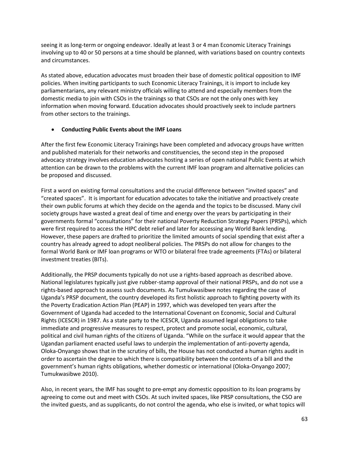seeing it as long-term or ongoing endeavor. Ideally at least 3 or 4 man Economic Literacy Trainings involving up to 40 or 50 persons at a time should be planned, with variations based on country contexts and circumstances.

As stated above, education advocates must broaden their base of domestic political opposition to IMF policies. When inviting participants to such Economic Literacy Trainings, it is import to include key parliamentarians, any relevant ministry officials willing to attend and especially members from the domestic media to join with CSOs in the trainings so that CSOs are not the only ones with key information when moving forward. Education advocates should proactively seek to include partners from other sectors to the trainings.

#### • **Conducting Public Events about the IMF Loans**

After the first few Economic Literacy Trainings have been completed and advocacy groups have written and published materials for their networks and constituencies, the second step in the proposed advocacy strategy involves education advocates hosting a series of open national Public Events at which attention can be drawn to the problems with the current IMF loan program and alternative policies can be proposed and discussed.

First a word on existing formal consultations and the crucial difference between "invited spaces" and "created spaces". It is important for education advocates to take the initiative and proactively create their own public forums at which they decide on the agenda and the topics to be discussed. Many civil society groups have wasted a great deal of time and energy over the years by participating in their governments formal "consultations" for their national Poverty Reduction Strategy Papers (PRSPs), which were first required to access the HIPC debt relief and later for accessing any World Bank lending. However, these papers are drafted to prioritize the limited amounts of social spending that exist after a country has already agreed to adopt neoliberal policies. The PRSPs do not allow for changes to the formal World Bank or IMF loan programs or WTO or bilateral free trade agreements (FTAs) or bilateral investment treaties (BITs).

Additionally, the PRSP documents typically do not use a rights-based approach as described above. National legislatures typically just give rubber-stamp approval of their national PRSPs, and do not use a rights-based approach to assess such documents. As Tumukwasibwe notes regarding the case of Uganda's PRSP document, the country developed its first holistic approach to fighting poverty with its the Poverty Eradication Action Plan (PEAP) in 1997, which was developed ten years after the Government of Uganda had acceded to the International Covenant on Economic, Social and Cultural Rights (ICESCR) in 1987. As a state party to the ICESCR, Uganda assumed legal obligations to take immediate and progressive measures to respect, protect and promote social, economic, cultural, political and civil human rights of the citizens of Uganda. "While on the surface it would appear that the Ugandan parliament enacted useful laws to underpin the implementation of anti-poverty agenda, Oloka-Onyango shows that in the scrutiny of bills, the House has not conducted a human rights audit in order to ascertain the degree to which there is compatibility between the contents of a bill and the government's human rights obligations, whether domestic or international (Oloka-Onyango 2007; Tumukwasibwe 2010).

Also, in recent years, the IMF has sought to pre-empt any domestic opposition to its loan programs by agreeing to come out and meet with CSOs. At such invited spaces, like PRSP consultations, the CSO are the invited guests, and as supplicants, do not control the agenda, who else is invited, or what topics will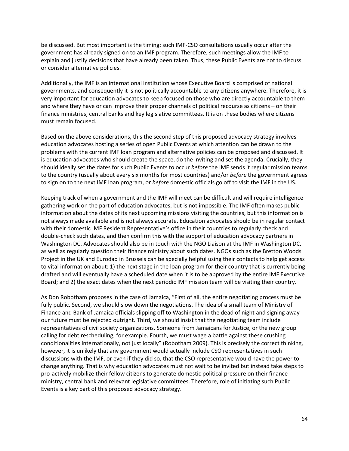be discussed. But most important is the timing: such IMF-CSO consultations usually occur after the government has already signed on to an IMF program. Therefore, such meetings allow the IMF to explain and justify decisions that have already been taken. Thus, these Public Events are not to discuss or consider alternative policies.

Additionally, the IMF is an international institution whose Executive Board is comprised of national governments, and consequently it is not politically accountable to any citizens anywhere. Therefore, it is very important for education advocates to keep focused on those who are directly accountable to them and where they have or can improve their proper channels of political recourse as citizens – on their finance ministries, central banks and key legislative committees. It is on these bodies where citizens must remain focused.

Based on the above considerations, this the second step of this proposed advocacy strategy involves education advocates hosting a series of open Public Events at which attention can be drawn to the problems with the current IMF loan program and alternative policies can be proposed and discussed. It is education advocates who should create the space, do the inviting and set the agenda. Crucially, they should ideally set the dates for such Public Events to occur *before* the IMF sends it regular mission teams to the country (usually about every six months for most countries) and/or *before* the government agrees to sign on to the next IMF loan program, or *before* domestic officials go off to visit the IMF in the US.

Keeping track of when a government and the IMF will meet can be difficult and will require intelligence gathering work on the part of education advocates, but is not impossible. The IMF often makes public information about the dates of its next upcoming missions visiting the countries, but this information is not always made available and is not always accurate. Education advocates should be in regular contact with their domestic IMF Resident Representative's office in their countries to regularly check and double-check such dates, and then confirm this with the support of education advocacy partners in Washington DC. Advocates should also be in touch with the NGO Liaison at the IMF in Washington DC, as well as regularly question their finance ministry about such dates. NGOs such as the Bretton Woods Project in the UK and Eurodad in Brussels can be specially helpful using their contacts to help get access to vital information about: 1) the next stage in the loan program for their country that is currently being drafted and will eventually have a scheduled date when it is to be approved by the entire IMF Executive Board; and 2) the exact dates when the next periodic IMF mission team will be visiting their country.

As Don Robotham proposes in the case of Jamaica, "First of all, the entire negotiating process must be fully public. Second, we should slow down the negotiations. The idea of a small team of Ministry of Finance and Bank of Jamaica officials slipping off to Washington in the dead of night and signing away our future must be rejected outright. Third, we should insist that the negotiating team include representatives of civil society organizations. Someone from Jamaicans for Justice, or the new group calling for debt rescheduling, for example. Fourth, we must wage a battle against these crushing conditionalities internationally, not just locally" (Robotham 2009). This is precisely the correct thinking, however, it is unlikely that any government would actually include CSO representatives in such discussions with the IMF, or even if they did so, that the CSO representative would have the power to change anything. That is why education advocates must not wait to be invited but instead take steps to pro-actively mobilize their fellow citizens to generate domestic political pressure on their finance ministry, central bank and relevant legislative committees. Therefore, role of initiating such Public Events is a key part of this proposed advocacy strategy.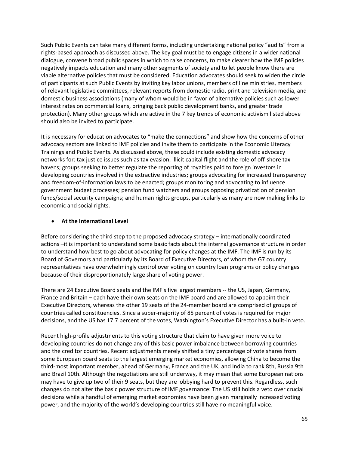Such Public Events can take many different forms, including undertaking national policy "audits" from a rights-based approach as discussed above. The key goal must be to engage citizens in a wider national dialogue, convene broad public spaces in which to raise concerns, to make clearer how the IMF policies negatively impacts education and many other segments of society and to let people know there are viable alternative policies that must be considered. Education advocates should seek to widen the circle of participants at such Public Events by inviting key labor unions, members of line ministries, members of relevant legislative committees, relevant reports from domestic radio, print and television media, and domestic business associations (many of whom would be in favor of alternative policies such as lower interest rates on commercial loans, bringing back public development banks, and greater trade protection). Many other groups which are active in the 7 key trends of economic activism listed above should also be invited to participate.

It is necessary for education advocates to "make the connections" and show how the concerns of other advocacy sectors are linked to IMF policies and invite them to participate in the Economic Literacy Trainings and Public Events. As discussed above, these could include existing domestic advocacy networks for: tax justice issues such as tax evasion, illicit capital flight and the role of off-shore tax havens; groups seeking to better regulate the reporting of royalties paid to foreign investors in developing countries involved in the extractive industries; groups advocating for increased transparency and freedom-of-information laws to be enacted; groups monitoring and advocating to influence government budget processes; pension fund watchers and groups opposing privatization of pension funds/social security campaigns; and human rights groups, particularly as many are now making links to economic and social rights.

#### • **At the International Level**

Before considering the third step to the proposed advocacy strategy – internationally coordinated actions –it is important to understand some basic facts about the internal governance structure in order to understand how best to go about advocating for policy changes at the IMF. The IMF is run by its Board of Governors and particularly by its Board of Executive Directors, of whom the G7 country representatives have overwhelmingly control over voting on country loan programs or policy changes because of their disproportionately large share of voting power.

There are 24 Executive Board seats and the IMF's five largest members -- the US, Japan, Germany, France and Britain – each have their own seats on the IMF board and are allowed to appoint their Executive Directors, whereas the other 19 seats of the 24-member board are comprised of groups of countries called constituencies. Since a super-majority of 85 percent of votes is required for major decisions, and the US has 17.7 percent of the votes, Washington's Executive Director has a built-in veto.

Recent high-profile adjustments to this voting structure that claim to have given more voice to developing countries do not change any of this basic power imbalance between borrowing countries and the creditor countries. Recent adjustments merely shifted a tiny percentage of vote shares from some European board seats to the largest emerging market economies, allowing China to become the third-most important member, ahead of Germany, France and the UK, and India to rank 8th, Russia 9th and Brazil 10th. Although the negotiations are still underway, it may mean that some European nations may have to give up two of their 9 seats, but they are lobbying hard to prevent this. Regardless, such changes do not alter the basic power structure of IMF governance: The US still holds a veto over crucial decisions while a handful of emerging market economies have been given marginally increased voting power, and the majority of the world's developing countries still have no meaningful voice.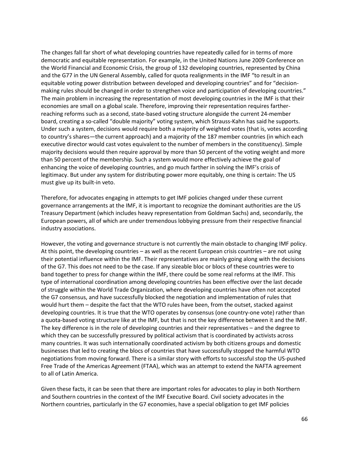The changes fall far short of what developing countries have repeatedly called for in terms of more democratic and equitable representation. For example, in the United Nations June 2009 Conference on the World Financial and Economic Crisis, the group of 132 developing countries, represented by China and the G77 in the UN General Assembly, called for quota realignments in the IMF "to result in an equitable voting power distribution between developed and developing countries" and for "decisionmaking rules should be changed in order to strengthen voice and participation of developing countries." The main problem in increasing the representation of most developing countries in the IMF is that their economies are small on a global scale. Therefore, improving their representation requires fartherreaching reforms such as a second, state-based voting structure alongside the current 24-member board, creating a so-called "double majority" voting system, which Strauss-Kahn has said he supports. Under such a system, decisions would require both a majority of weighted votes (that is, votes according to country's shares—the current approach) and a majority of the 187 member countries (in which each executive director would cast votes equivalent to the number of members in the constituency). Simple majority decisions would then require approval by more than 50 percent of the voting weight and more than 50 percent of the membership. Such a system would more effectively achieve the goal of enhancing the voice of developing countries, and go much farther in solving the IMF's crisis of legitimacy. But under any system for distributing power more equitably, one thing is certain: The US must give up its built-in veto.

Therefore, for advocates engaging in attempts to get IMF policies changed under these current governance arrangements at the IMF, it is important to recognize the dominant authorities are the US Treasury Department (which includes heavy representation from Goldman Sachs) and, secondarily, the European powers, all of which are under tremendous lobbying pressure from their respective financial industry associations.

However, the voting and governance structure is not currently the main obstacle to changing IMF policy. At this point, the developing countries – as well as the recent European crisis countries – are not using their potential influence within the IMF. Their representatives are mainly going along with the decisions of the G7. This does not need to be the case. If any sizeable bloc or blocs of these countries were to band together to press for change within the IMF, there could be some real reforms at the IMF. This type of international coordination among developing countries has been effective over the last decade of struggle within the World Trade Organization, where developing countries have often not accepted the G7 consensus, and have successfully blocked the negotiation and implementation of rules that would hurt them – despite the fact that the WTO rules have been, from the outset, stacked against developing countries. It is true that the WTO operates by consensus (one country-one vote) rather than a quota-based voting structure like at the IMF, but that is not the key difference between it and the IMF. The key difference is in the role of developing countries and their representatives – and the degree to which they can be successfully pressured by political activism that is coordinated by activists across many countries. It was such internationally coordinated activism by both citizens groups and domestic businesses that led to creating the blocs of countries that have successfully stopped the harmful WTO negotiations from moving forward. There is a similar story with efforts to successful stop the US-pushed Free Trade of the Americas Agreement (FTAA), which was an attempt to extend the NAFTA agreement to all of Latin America.

Given these facts, it can be seen that there are important roles for advocates to play in both Northern and Southern countries in the context of the IMF Executive Board. Civil society advocates in the Northern countries, particularly in the G7 economies, have a special obligation to get IMF policies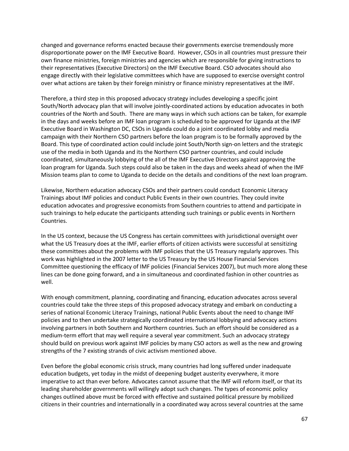changed and governance reforms enacted because their governments exercise tremendously more disproportionate power on the IMF Executive Board. However, CSOs in all countries must pressure their own finance ministries, foreign ministries and agencies which are responsible for giving instructions to their representatives (Executive Directors) on the IMF Executive Board. CSO advocates should also engage directly with their legislative committees which have are supposed to exercise oversight control over what actions are taken by their foreign ministry or finance ministry representatives at the IMF.

Therefore, a third step in this proposed advocacy strategy includes developing a specific joint South/North advocacy plan that will involve jointly-coordinated actions by education advocates in both countries of the North and South. There are many ways in which such actions can be taken, for example in the days and weeks before an IMF loan program is scheduled to be approved for Uganda at the IMF Executive Board in Washington DC, CSOs in Uganda could do a joint coordinated lobby and media campaign with their Northern CSO partners before the loan program is to be formally approved by the Board. This type of coordinated action could include joint South/North sign-on letters and the strategic use of the media in both Uganda and its the Northern CSO partner countries, and could include coordinated, simultaneously lobbying of the all of the IMF Executive Directors against approving the loan program for Uganda. Such steps could also be taken in the days and weeks ahead of when the IMF Mission teams plan to come to Uganda to decide on the details and conditions of the next loan program.

Likewise, Northern education advocacy CSOs and their partners could conduct Economic Literacy Trainings about IMF policies and conduct Public Events in their own countries. They could invite education advocates and progressive economists from Southern countries to attend and participate in such trainings to help educate the participants attending such trainings or public events in Northern Countries.

In the US context, because the US Congress has certain committees with jurisdictional oversight over what the US Treasury does at the IMF, earlier efforts of citizen activists were successful at sensitizing these committees about the problems with IMF policies that the US Treasury regularly approves. This work was highlighted in the 2007 letter to the US Treasury by the US House Financial Services Committee questioning the efficacy of IMF policies (Financial Services 2007), but much more along these lines can be done going forward, and a in simultaneous and coordinated fashion in other countries as well.

With enough commitment, planning, coordinating and financing, education advocates across several countries could take the three steps of this proposed advocacy strategy and embark on conducting a series of national Economic Literacy Trainings, national Public Events about the need to change IMF policies and to then undertake strategically coordinated international lobbying and advocacy actions involving partners in both Southern and Northern countries. Such an effort should be considered as a medium-term effort that may well require a several year commitment. Such an advocacy strategy should build on previous work against IMF policies by many CSO actors as well as the new and growing strengths of the 7 existing strands of civic activism mentioned above.

Even before the global economic crisis struck, many countries had long suffered under inadequate education budgets, yet today in the midst of deepening budget austerity everywhere, it more imperative to act than ever before. Advocates cannot assume that the IMF will reform itself, or that its leading shareholder governments will willingly adopt such changes. The types of economic policy changes outlined above must be forced with effective and sustained political pressure by mobilized citizens in their countries and internationally in a coordinated way across several countries at the same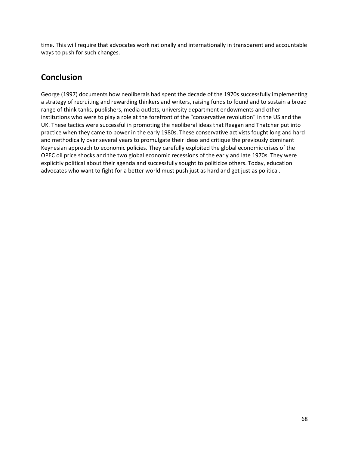time. This will require that advocates work nationally and internationally in transparent and accountable ways to push for such changes.

# **Conclusion**

George (1997) documents how neoliberals had spent the decade of the 1970s successfully implementing a strategy of recruiting and rewarding thinkers and writers, raising funds to found and to sustain a broad range of think tanks, publishers, media outlets, university department endowments and other institutions who were to play a role at the forefront of the "conservative revolution" in the US and the UK. These tactics were successful in promoting the neoliberal ideas that Reagan and Thatcher put into practice when they came to power in the early 1980s. These conservative activists fought long and hard and methodically over several years to promulgate their ideas and critique the previously dominant Keynesian approach to economic policies. They carefully exploited the global economic crises of the OPEC oil price shocks and the two global economic recessions of the early and late 1970s. They were explicitly political about their agenda and successfully sought to politicize others. Today, education advocates who want to fight for a better world must push just as hard and get just as political.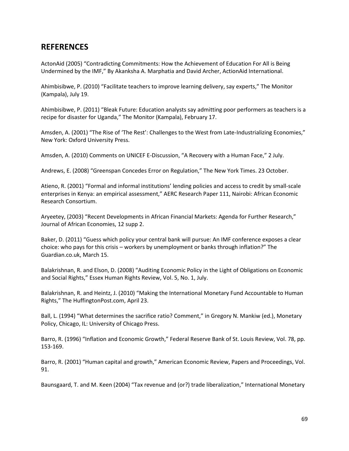# **REFERENCES**

ActonAid (2005) "Contradicting Commitments: How the Achievement of Education For All is Being Undermined by the IMF," By Akanksha A. Marphatia and David Archer, ActionAid International.

Ahimbisibwe, P. (2010) "Facilitate teachers to improve learning delivery, say experts," The Monitor (Kampala), July 19.

Ahimbisibwe, P. (2011) "Bleak Future: Education analysts say admitting poor performers as teachers is a recipe for disaster for Uganda," The Monitor (Kampala), February 17.

Amsden, A. (2001) "The Rise of 'The Rest': Challenges to the West from Late-Industrializing Economies," New York: Oxford University Press.

Amsden, A. (2010) Comments on UNICEF E-Discussion, "A Recovery with a Human Face," 2 July.

Andrews, E. (2008) "Greenspan Concedes Error on Regulation," The New York Times. 23 October.

Atieno, R. (2001) "Formal and informal institutions' lending policies and access to credit by small-scale enterprises in Kenya: an empirical assessment," AERC Research Paper 111, Nairobi: African Economic Research Consortium.

Aryeetey, (2003) "Recent Developments in African Financial Markets: Agenda for Further Research," Journal of African Economies, 12 supp 2.

Baker, D. (2011) "Guess which policy your central bank will pursue: An IMF conference exposes a clear choice: who pays for this crisis – workers by unemployment or banks through inflation?" The Guardian.co.uk, March 15.

Balakrishnan, R. and Elson, D. (2008) "Auditing Economic Policy in the Light of Obligations on Economic and Social Rights," Essex Human Rights Review, Vol. 5, No. 1, July.

Balakrishnan, R. and Heintz, J. (2010) "Making the International Monetary Fund Accountable to Human Rights," The HuffingtonPost.com, April 23.

Ball, L. (1994) "What determines the sacrifice ratio? Comment," in Gregory N. Mankiw (ed.), Monetary Policy, Chicago, IL: University of Chicago Press.

Barro, R. (1996) "Inflation and Economic Growth," Federal Reserve Bank of St. Louis Review, Vol. 78, pp. 153-169.

Barro, R. (2001) "Human capital and growth," American Economic Review, Papers and Proceedings, Vol. 91.

Baunsgaard, T. and M. Keen (2004) "Tax revenue and (or?) trade liberalization," International Monetary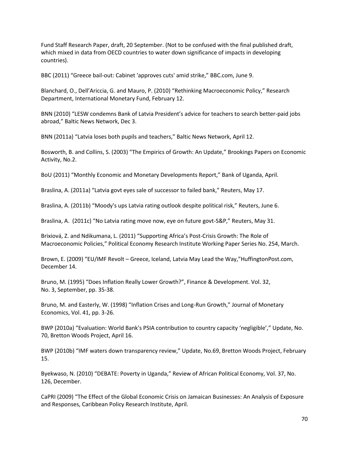Fund Staff Research Paper, draft, 20 September. (Not to be confused with the final published draft, which mixed in data from OECD countries to water down significance of impacts in developing countries).

BBC (2011) "Greece bail-out: Cabinet 'approves cuts' amid strike," BBC.com, June 9.

Blanchard, O., Dell'Ariccia, G. and Mauro, P. (2010) "Rethinking Macroeconomic Policy," Research Department, International Monetary Fund, February 12.

BNN (2010) "LESW condemns Bank of Latvia President's advice for teachers to search better-paid jobs abroad," Baltic News Network, Dec 3.

BNN (2011a) "Latvia loses both pupils and teachers," Baltic News Network, April 12.

Bosworth, B. and Collins, S. (2003) "The Empirics of Growth: An Update," Brookings Papers on Economic Activity, No.2.

BoU (2011) "Monthly Economic and Monetary Developments Report," Bank of Uganda, April.

Braslina, A. (2011a) "Latvia govt eyes sale of successor to failed bank," Reuters, May 17.

Braslina, A. (2011b) "Moody's ups Latvia rating outlook despite political risk," Reuters, June 6.

Braslina, A. (2011c) "No Latvia rating move now, eye on future govt-S&P," Reuters, May 31.

Brixiová, Z. and Ndikumana, L. (2011) "Supporting Africa's Post-Crisis Growth: The Role of Macroeconomic Policies," Political Economy Research Institute Working Paper Series No. 254, March.

Brown, E. (2009) "EU/IMF Revolt – Greece, Iceland, Latvia May Lead the Way,"HuffingtonPost.com, December 14.

Bruno, M. (1995) "Does Inflation Really Lower Growth?", Finance & Development. Vol. 32, No. 3, September, pp. 35-38.

Bruno, M. and Easterly, W. (1998) "Inflation Crises and Long-Run Growth," Journal of Monetary Economics, Vol. 41, pp. 3-26.

BWP (2010a) "Evaluation: World Bank's PSIA contribution to country capacity 'negligible'," Update, No. 70, Bretton Woods Project, April 16.

BWP (2010b) "IMF waters down transparency review," Update, No.69, Bretton Woods Project, February 15.

Byekwaso, N. (2010) "DEBATE: Poverty in Uganda," Review of African Political Economy, Vol. 37, No. 126, December.

CaPRI (2009) "The Effect of the Global Economic Crisis on Jamaican Businesses: An Analysis of Exposure and Responses, Caribbean Policy Research Institute, April.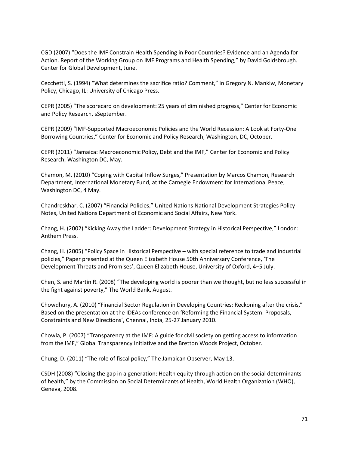CGD (2007) "Does the IMF Constrain Health Spending in Poor Countries? Evidence and an Agenda for Action. Report of the Working Group on IMF Programs and Health Spending," by David Goldsbrough. Center for Global Development, June.

Cecchetti, S. (1994) "What determines the sacrifice ratio? Comment," in Gregory N. Mankiw, Monetary Policy, Chicago, IL: University of Chicago Press.

CEPR (2005) "The scorecard on development: 25 years of diminished progress," Center for Economic and Policy Research, sSeptember.

CEPR (2009) "IMF‐Supported Macroeconomic Policies and the World Recession: A Look at Forty‐One Borrowing Countries," Center for Economic and Policy Research, Washington, DC, October.

CEPR (2011) "Jamaica: Macroeconomic Policy, Debt and the IMF," Center for Economic and Policy Research, Washington DC, May.

Chamon, M. (2010) "Coping with Capital Inflow Surges," Presentation by Marcos Chamon, Research Department, International Monetary Fund, at the Carnegie Endowment for International Peace, Washington DC, 4 May.

Chandreskhar, C. (2007) "Financial Policies," United Nations National Development Strategies Policy Notes, United Nations Department of Economic and Social Affairs, New York.

Chang, H. (2002) "Kicking Away the Ladder: Development Strategy in Historical Perspective," London: Anthem Press.

Chang, H. (2005) "Policy Space in Historical Perspective – with special reference to trade and industrial policies," Paper presented at the Queen Elizabeth House 50th Anniversary Conference, 'The Development Threats and Promises', Queen Elizabeth House, University of Oxford, 4–5 July.

Chen, S. and Martin R. (2008) "The developing world is poorer than we thought, but no less successful in the fight against poverty," The World Bank, August.

Chowdhury, A. (2010) "Financial Sector Regulation in Developing Countries: Reckoning after the crisis," Based on the presentation at the IDEAs conference on 'Reforming the Financial System: Proposals, Constraints and New Directions', Chennai, India, 25-27 January 2010.

Chowla, P. (2007) "Transparency at the IMF: A guide for civil society on getting access to information from the IMF," Global Transparency Initiative and the Bretton Woods Project, October.

Chung, D. (2011) "The role of fiscal policy," The Jamaican Observer, May 13.

CSDH (2008) "Closing the gap in a generation: Health equity through action on the social determinants of health," by the Commission on Social Determinants of Health, World Health Organization (WHO), Geneva, 2008.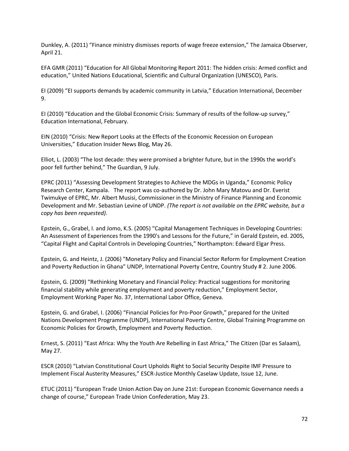Dunkley, A. (2011) "Finance ministry dismisses reports of wage freeze extension," The Jamaica Observer, April 21.

EFA GMR (2011) "Education for All Global Monitoring Report 2011: The hidden crisis: Armed conflict and education," United Nations Educational, Scientific and Cultural Organization (UNESCO), Paris.

EI (2009) "EI supports demands by academic community in Latvia," Education International, December 9.

EI (2010) "Education and the Global Economic Crisis: Summary of results of the follow-up survey," Education International, February.

EIN (2010) "Crisis: New Report Looks at the Effects of the Economic Recession on European Universities," Education Insider News Blog, May 26.

Elliot, L. (2003) "The lost decade: they were promised a brighter future, but in the 1990s the world's poor fell further behind," The Guardian, 9 July.

EPRC (2011) "Assessing Development Strategies to Achieve the MDGs in Uganda," Economic Policy Research Center, Kampala. The report was co-authored by Dr. John Mary Matovu and Dr. Everist Twimukye of EPRC, Mr. Albert Musisi, Commissioner in the Ministry of Finance Planning and Economic Development and Mr. Sebastian Levine of UNDP. *(The report is not available on the EPRC website, but a copy has been requested)*.

Epstein, G., Grabel, I. and Jomo, K.S. (2005) "Capital Management Techniques in Developing Countries: An Assessment of Experiences from the 1990's and Lessons for the Future," in Gerald Epstein, ed. 2005, "Capital Flight and Capital Controls in Developing Countries," Northampton: Edward Elgar Press.

Epstein, G. and Heintz, J. (2006) "Monetary Policy and Financial Sector Reform for Employment Creation and Poverty Reduction in Ghana" UNDP, International Poverty Centre, Country Study # 2. June 2006.

Epstein, G. (2009) "Rethinking Monetary and Financial Policy: Practical suggestions for monitoring financial stability while generating employment and poverty reduction," Employment Sector, Employment Working Paper No. 37, International Labor Office, Geneva.

Epstein, G. and Grabel, I. (2006) "Financial Policies for Pro-Poor Growth," prepared for the United Nations Development Programme (UNDP), International Poverty Centre, Global Training Programme on Economic Policies for Growth, Employment and Poverty Reduction.

Ernest, S. (2011) "East Africa: Why the Youth Are Rebelling in East Africa," The Citizen (Dar es Salaam), May 27.

ESCR (2010) "Latvian Constitutional Court Upholds Right to Social Security Despite IMF Pressure to Implement Fiscal Austerity Measures," ESCR-Justice Monthly Caselaw Update, Issue 12, June.

ETUC (2011) "European Trade Union Action Day on June 21st: European Economic Governance needs a change of course," European Trade Union Confederation, May 23.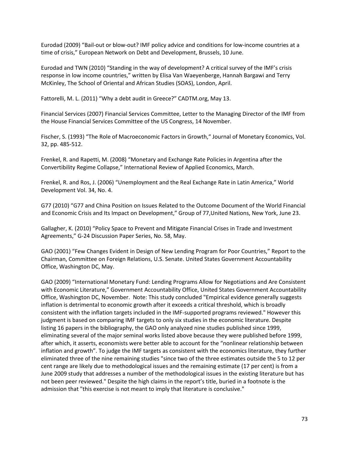Eurodad (2009) "Bail-out or blow-out? IMF policy advice and conditions for low-income countries at a time of crisis," European Network on Debt and Development, Brussels, 10 June.

Eurodad and TWN (2010) "Standing in the way of development? A critical survey of the IMF's crisis response in low income countries," written by Elisa Van Waeyenberge, Hannah Bargawi and Terry McKinley, The School of Oriental and African Studies (SOAS), London, April.

Fattorelli, M. L. (2011) "Why a debt audit in Greece?" CADTM.org, May 13.

Financial Services (2007) Financial Services Committee, Letter to the Managing Director of the IMF from the House Financial Services Committee of the US Congress, 14 November.

Fischer, S. (1993) "The Role of Macroeconomic Factors in Growth," Journal of Monetary Economics, Vol. 32, pp. 485-512.

Frenkel, R. and Rapetti, M. (2008) "Monetary and Exchange Rate Policies in Argentina after the Convertibility Regime Collapse," International Review of Applied Economics, March.

Frenkel, R. and Ros, J. (2006) "Unemployment and the Real Exchange Rate in Latin America," World Development Vol. 34, No. 4.

G77 (2010) "G77 and China Position on Issues Related to the Outcome Document of the World Financial and Economic Crisis and Its Impact on Development," Group of 77,United Nations, New York, June 23.

Gallagher, K. (2010) "Policy Space to Prevent and Mitigate Financial Crises in Trade and Investment Agreements," G-24 Discussion Paper Series, No. 58, May.

GAO (2001) "Few Changes Evident in Design of New Lending Program for Poor Countries," Report to the Chairman, Committee on Foreign Relations, U.S. Senate. United States Government Accountability Office, Washington DC, May.

GAO (2009) "International Monetary Fund: Lending Programs Allow for Negotiations and Are Consistent with Economic Literature," Government Accountability Office, United States Government Accountability Office, Washington DC, November. Note: This study concluded "Empirical evidence generally suggests inflation is detrimental to economic growth after it exceeds a critical threshold, which is broadly consistent with the inflation targets included in the IMF-supported programs reviewed." However this judgment is based on comparing IMF targets to only six studies in the economic literature. Despite listing 16 papers in the bibliography, the GAO only analyzed nine studies published since 1999, eliminating several of the major seminal works listed above because they were published before 1999, after which, it asserts, economists were better able to account for the "nonlinear relationship between inflation and growth". To judge the IMF targets as consistent with the economics literature, they further eliminated three of the nine remaining studies "since two of the three estimates outside the 5 to 12 per cent range are likely due to methodological issues and the remaining estimate (17 per cent) is from a June 2009 study that addresses a number of the methodological issues in the existing literature but has not been peer reviewed." Despite the high claims in the report's title, buried in a footnote is the admission that "this exercise is not meant to imply that literature is conclusive."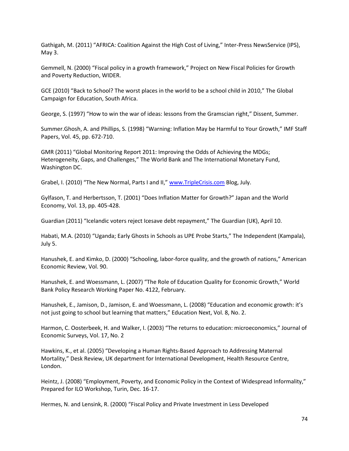Gathigah, M. (2011) "AFRICA: Coalition Against the High Cost of Living," Inter-Press NewsService (IPS), May 3.

Gemmell, N. (2000) "Fiscal policy in a growth framework," Project on New Fiscal Policies for Growth and Poverty Reduction, WIDER.

GCE (2010) "Back to School? The worst places in the world to be a school child in 2010," The Global Campaign for Education, South Africa.

George, S. (1997) "How to win the war of ideas: lessons from the Gramscian right," Dissent, Summer.

Summer.Ghosh, A. and Phillips, S. (1998) "Warning: Inflation May be Harmful to Your Growth," IMF Staff Papers, Vol. 45, pp. 672-710.

GMR (2011) "Global Monitoring Report 2011: Improving the Odds of Achieving the MDGs; Heterogeneity, Gaps, and Challenges," The World Bank and The International Monetary Fund, Washington DC.

Grabel, I. (2010) "The New Normal, Parts I and II," [www.TripleCrisis.com](http://www.triplecrisis.com/) Blog, July.

Gylfason, T. and Herbertsson, T. (2001) "Does Inflation Matter for Growth?" Japan and the World Economy, Vol. 13, pp. 405-428.

Guardian (2011) "Icelandic voters reject Icesave debt repayment," The Guardian (UK), April 10.

Habati, M.A. (2010) "Uganda; Early Ghosts in Schools as UPE Probe Starts," The Independent (Kampala), July 5.

Hanushek, E. and Kimko, D. (2000) "Schooling, labor-force quality, and the growth of nations," American Economic Review, Vol. 90.

Hanushek, E. and Woessmann, L. (2007) "The Role of Education Quality for Economic Growth," World Bank Policy Research Working Paper No. 4122, February.

Hanushek, E., Jamison, D., Jamison, E. and Woessmann, L. (2008) "Education and economic growth: it's not just going to school but learning that matters," Education Next, Vol. 8, No. 2.

Harmon, C. Oosterbeek, H. and Walker, I. (2003) "The returns to education: microeconomics," Journal of Economic Surveys, Vol. 17, No. 2

Hawkins, K., et al. (2005) "Developing a Human Rights-Based Approach to Addressing Maternal Mortality," Desk Review, UK department for International Development, Health Resource Centre, London.

Heintz, J. (2008) "Employment, Poverty, and Economic Policy in the Context of Widespread Informality," Prepared for ILO Workshop, Turin, Dec. 16-17.

Hermes, N. and Lensink, R. (2000) "Fiscal Policy and Private Investment in Less Developed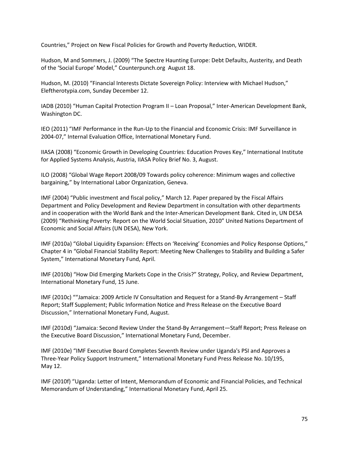Countries," Project on New Fiscal Policies for Growth and Poverty Reduction, WIDER.

Hudson, M and Sommers, J. (2009) "The Spectre Haunting Europe: Debt Defaults, Austerity, and Death of the 'Social Europe' Model," Counterpunch.org August 18.

Hudson, M. (2010) "Financial Interests Dictate Sovereign Policy: Interview with Michael Hudson," Eleftherotypia.com, Sunday December 12.

IADB (2010) "Human Capital Protection Program II – Loan Proposal," Inter-American Development Bank, Washington DC.

IEO (2011) "IMF Performance in the Run-Up to the Financial and Economic Crisis: IMF Surveillance in 2004-07," Internal Evaluation Office, International Monetary Fund.

IIASA (2008) "Economic Growth in Developing Countries: Education Proves Key," International Institute for Applied Systems Analysis, Austria, IIASA Policy Brief No. 3, August.

ILO (2008) "Global Wage Report 2008/09 Towards policy coherence: Minimum wages and collective bargaining," by International Labor Organization, Geneva.

IMF (2004) "Public investment and fiscal policy," March 12. Paper prepared by the Fiscal Affairs Department and Policy Development and Review Department in consultation with other departments and in cooperation with the World Bank and the Inter-American Development Bank. Cited in, UN DESA (2009) "Rethinking Poverty: Report on the World Social Situation, 2010" United Nations Department of Economic and Social Affairs (UN DESA), New York.

IMF (2010a) "Global Liquidity Expansion: Effects on 'Receiving' Economies and Policy Response Options," Chapter 4 in "Global Financial Stability Report: Meeting New Challenges to Stability and Building a Safer System," International Monetary Fund, April.

IMF (2010b) "How Did Emerging Markets Cope in the Crisis?" Strategy, Policy, and Review Department, International Monetary Fund, 15 June.

IMF (2010c) ""Jamaica: 2009 Article IV Consultation and Request for a Stand-By Arrangement – Staff Report; Staff Supplement; Public Information Notice and Press Release on the Executive Board Discussion," International Monetary Fund, August.

IMF (2010d) "Jamaica: Second Review Under the Stand-By Arrangement—Staff Report; Press Release on the Executive Board Discussion," International Monetary Fund, December.

IMF (2010e) "IMF Executive Board Completes Seventh Review under Uganda's PSI and Approves a Three-Year Policy Support Instrument," International Monetary Fund Press Release No. 10/195, May 12.

IMF (2010f) "Uganda: Letter of Intent, Memorandum of Economic and Financial Policies, and Technical Memorandum of Understanding," International Monetary Fund, April 25.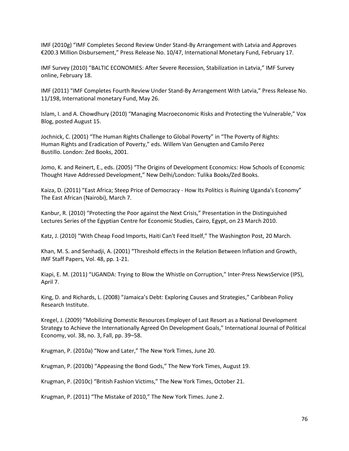IMF (2010g) "IMF Completes Second Review Under Stand-By Arrangement with Latvia and Approves €200.3 Million Disbursement," Press Release No. 10/47, International Monetary Fund, February 17.

IMF Survey (2010) "BALTIC ECONOMIES: After Severe Recession, Stabilization in Latvia," IMF Survey online, February 18.

IMF (2011) "IMF Completes Fourth Review Under Stand-By Arrangement With Latvia," Press Release No. 11/198, International monetary Fund, May 26.

Islam, I. and A. Chowdhury (2010) "Managing Macroeconomic Risks and Protecting the Vulnerable," Vox Blog, posted August 15.

Jochnick, C. (2001) "The Human Rights Challenge to Global Poverty" in "The Poverty of Rights: Human Rights and Eradication of Poverty," eds. Willem Van Genugten and Camilo Perez Bustillo. London: Zed Books, 2001.

Jomo, K. and Reinert, E., eds. (2005) "The Origins of Development Economics: How Schools of Economic Thought Have Addressed Development," New Delhi/London: Tulika Books/Zed Books.

Kaiza, D. (2011) "East Africa; Steep Price of Democracy - How Its Politics is Ruining Uganda's Economy" The East African (Nairobi), March 7.

Kanbur, R. (2010) "Protecting the Poor against the Next Crisis," Presentation in the Distinguished Lectures Series of the Egyptian Centre for Economic Studies, Cairo, Egypt, on 23 March 2010.

Katz, J. (2010) "With Cheap Food Imports, Haiti Can't Feed Itself," The Washington Post, 20 March.

Khan, M. S. and Senhadji, A. (2001) "Threshold effects in the Relation Between Inflation and Growth, IMF Staff Papers, Vol. 48, pp. 1-21.

Kiapi, E. M. (2011) "UGANDA: Trying to Blow the Whistle on Corruption," Inter-Press NewsService (IPS), April 7.

King, D. and Richards, L. (2008) "Jamaica's Debt: Exploring Causes and Strategies," Caribbean Policy Research Institute.

Kregel, J. (2009) "Mobilizing Domestic Resources Employer of Last Resort as a National Development Strategy to Achieve the Internationally Agreed On Development Goals," International Journal of Political Economy, vol. 38, no. 3, Fall, pp. 39–58.

Krugman, P. (2010a) "Now and Later," The New York Times, June 20.

Krugman, P. (2010b) "Appeasing the Bond Gods," The New York Times, August 19.

Krugman, P. (2010c) "British Fashion Victims," The New York Times, October 21.

Krugman, P. (2011) "The Mistake of 2010," The New York Times. June 2.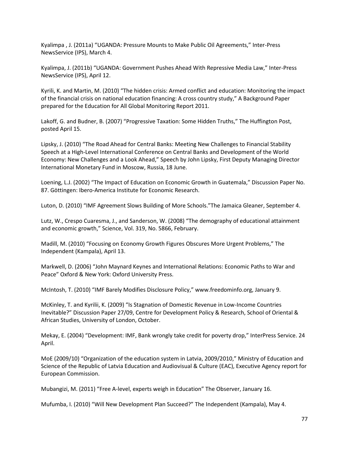Kyalimpa , J. (2011a) "UGANDA: Pressure Mounts to Make Public Oil Agreements," Inter-Press NewsService (IPS), March 4.

Kyalimpa, J. (2011b) "UGANDA: Government Pushes Ahead With Repressive Media Law," Inter-Press NewsService (IPS), April 12.

Kyrili, K. and Martin, M. (2010) "The hidden crisis: Armed conflict and education: Monitoring the impact of the financial crisis on national education financing: A cross country study," A Background Paper prepared for the Education for All Global Monitoring Report 2011.

Lakoff, G. and Budner, B. (2007) "Progressive Taxation: Some Hidden Truths," The Huffington Post, posted April 15.

Lipsky, J. (2010) "The Road Ahead for Central Banks: Meeting New Challenges to Financial Stability Speech at a High-Level International Conference on Central Banks and Development of the World Economy: New Challenges and a Look Ahead," Speech by John Lipsky, First Deputy Managing Director International Monetary Fund in Moscow, Russia, 18 June.

Loening, L.J. (2002) "The Impact of Education on Economic Growth in Guatemala," Discussion Paper No. 87. Göttingen: Ibero-America Institute for Economic Research.

Luton, D. (2010) "IMF Agreement Slows Building of More Schools."The Jamaica Gleaner, September 4.

Lutz, W., Crespo Cuaresma, J., and Sanderson, W. (2008) "The demography of educational attainment and economic growth," Science, Vol. 319, No. 5866, February.

Madill, M. (2010) "Focusing on Economy Growth Figures Obscures More Urgent Problems," The Independent (Kampala), April 13.

Markwell, D. (2006) "John Maynard Keynes and International Relations: Economic Paths to War and Peace" Oxford & New York: Oxford University Press.

McIntosh, T. (2010) "IMF Barely Modifies Disclosure Policy," www.freedominfo.org, January 9.

McKinley, T. and Kyrilii, K. (2009) "Is Stagnation of Domestic Revenue in Low-Income Countries Inevitable?" Discussion Paper 27/09, Centre for Development Policy & Research, School of Oriental & African Studies, University of London, October.

Mekay, E. (2004) "Development: IMF, Bank wrongly take credit for poverty drop," InterPress Service. 24 April.

MoE (2009/10) "Organization of the education system in Latvia, 2009/2010," Ministry of Education and Science of the Republic of Latvia Education and Audiovisual & Culture (EAC), Executive Agency report for European Commission.

Mubangizi, M. (2011) "Free A-level, experts weigh in Education" The Observer, January 16.

Mufumba, I. (2010) "Will New Development Plan Succeed?" The Independent (Kampala), May 4.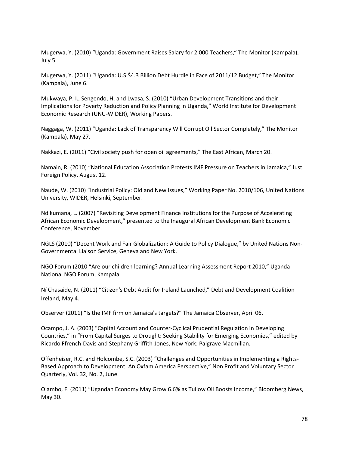Mugerwa, Y. (2010) "Uganda: Government Raises Salary for 2,000 Teachers," The Monitor (Kampala), July 5.

Mugerwa, Y. (2011) "Uganda: U.S.\$4.3 Billion Debt Hurdle in Face of 2011/12 Budget," The Monitor (Kampala), June 6.

Mukwaya, P. I., Sengendo, H. and Lwasa, S. (2010) "Urban Development Transitions and their Implications for Poverty Reduction and Policy Planning in Uganda," World Institute for Development Economic Research (UNU-WIDER), Working Papers.

Naggaga, W. (2011) "Uganda: Lack of Transparency Will Corrupt Oil Sector Completely," The Monitor (Kampala), May 27.

Nakkazi, E. (2011) "Civil society push for open oil agreements," The East African, March 20.

Namain, R. (2010) "National Education Association Protests IMF Pressure on Teachers in Jamaica," Just Foreign Policy, August 12.

Naude, W. (2010) "Industrial Policy: Old and New Issues," Working Paper No. 2010/106, United Nations University, WIDER, Helsinki, September.

Ndikumana, L. (2007) "Revisiting Development Finance Institutions for the Purpose of Accelerating African Economic Development," presented to the Inaugural African Development Bank Economic Conference, November.

NGLS (2010) "Decent Work and Fair Globalization: A Guide to Policy Dialogue," by United Nations Non-Governmental Liaison Service, Geneva and New York.

NGO Forum (2010 "Are our children learning? Annual Learning Assessment Report 2010," Uganda National NGO Forum, Kampala.

Ní Chasaide, N. (2011) "Citizen's Debt Audit for Ireland Launched," Debt and Development Coalition Ireland, May 4.

Observer (2011) "Is the IMF firm on Jamaica's targets?" The Jamaica Observer, April 06.

Ocampo, J. A. (2003) "Capital Account and Counter-Cyclical Prudential Regulation in Developing Countries," in "From Capital Surges to Drought: Seeking Stability for Emerging Economies," edited by Ricardo Ffrench-Davis and Stephany Griffith-Jones, New York: Palgrave Macmillan.

Offenheiser, R.C. and Holcombe, S.C. (2003) "Challenges and Opportunities in Implementing a Rights-Based Approach to Development: An Oxfam America Perspective," Non Profit and Voluntary Sector Quarterly, Vol. 32, No. 2, June.

Ojambo, F. (2011) "Ugandan Economy May Grow 6.6% as Tullow Oil Boosts Income," Bloomberg News, May 30.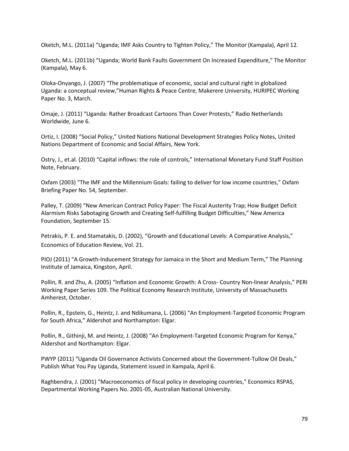Oketch, M.L. (2011a) "Uganda; IMF Asks Country to Tighten Policy," The Monitor (Kampala), April 12.

Oketch, M.L. (2011b) "Uganda; World Bank Faults Government On Increased Expenditure," The Monitor (Kampala), May 6.

Oloka-Onyango, J. (2007) "The problematique of economic, social and cultural right in globalized Uganda: a conceptual review,"Human Rights & Peace Centre, Makerere University, HURIPEC Working Paper No. 3, March.

Omaje, J. (2011) "Uganda: Rather Broadcast Cartoons Than Cover Protests," Radio Netherlands Worldwide, June 6.

Ortiz, I. (2008) "Social Policy," United Nations National Development Strategies Policy Notes, United Nations Department of Economic and Social Affairs, New York.

Ostry, J., et.al. (2010) "Capital inflows: the role of controls," International Monetary Fund Staff Position Note, February.

Oxfam (2003) "The IMF and the Millennium Goals: failing to deliver for low income countries," Oxfam Briefing Paper No. 54, September.

Palley, T. (2009) "New American Contract Policy Paper: The Fiscal Austerity Trap; How Budget Deficit Alarmism Risks Sabotaging Growth and Creating Self-fulfilling Budget Difficulties," New America Foundation, September 15.

Petrakis, P. E. and Stamatakis, D. (2002), "Growth and Educational Levels: A Comparative Analysis," Economics of Education Review, Vol. 21.

PIOJ (2011) "A Growth-Inducement Strategy for Jamaica in the Short and Medium Term," The Planning Institute of Jamaica, Kingston, April.

Pollin, R. and Zhu, A. (2005) "Inflation and Economic Growth: A Cross- Country Non-linear Analysis," PERI Working Paper Series 109. The Political Economy Research Institute, University of Massachusetts Amherest, October.

Pollin, R., Epstein, G., Heintz, J. and Ndikumana, L. (2006) "An Employment-Targeted Economic Program for South Africa," Aldershot and Northampton: Elgar.

Pollin, R., Githinji, M. and Heintz, J. (2008) "An Employment-Targeted Economic Program for Kenya," Aldershot and Northampton: Elgar.

PWYP (2011) "Uganda Oil Governance Activists Concerned about the Government-Tullow Oil Deals," Publish What You Pay Uganda, Statement issued in Kampala, April 6.

Raghbendra, J. (2001) "Macroeconomics of fiscal policy in developing countries," Economics RSPAS, Departmental Working Papers No. 2001-05, Australian National University.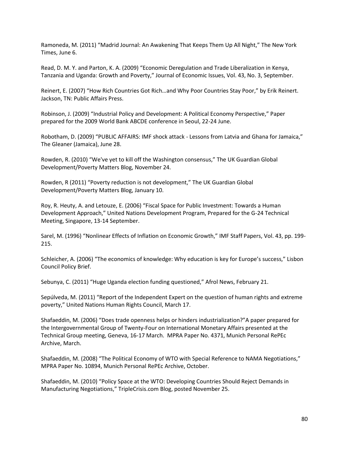Ramoneda, M. (2011) "Madrid Journal: An Awakening That Keeps Them Up All Night," The New York Times, June 6.

Read, D. M. Y. and Parton, K. A. (2009) "Economic Deregulation and Trade Liberalization in Kenya, Tanzania and Uganda: Growth and Poverty," Journal of Economic Issues, Vol. 43, No. 3, September.

Reinert, E. (2007) "How Rich Countries Got Rich…and Why Poor Countries Stay Poor," by Erik Reinert. Jackson, TN: Public Affairs Press.

Robinson, J. (2009) "Industrial Policy and Development: A Political Economy Perspective," Paper prepared for the 2009 World Bank ABCDE conference in Seoul, 22-24 June.

Robotham, D. (2009) "PUBLIC AFFAIRS: IMF shock attack - Lessons from Latvia and Ghana for Jamaica," The Gleaner (Jamaica), June 28.

Rowden, R. (2010) "We've yet to kill off the Washington consensus," The UK Guardian Global Development/Poverty Matters Blog, November 24.

Rowden, R (2011) "Poverty reduction is not development," The UK Guardian Global Development/Poverty Matters Blog, January 10.

Roy, R. Heuty, A. and Letouze, E. (2006) "Fiscal Space for Public Investment: Towards a Human Development Approach," United Nations Development Program, Prepared for the G-24 Technical Meeting, Singapore, 13-14 September.

Sarel, M. (1996) "Nonlinear Effects of Inflation on Economic Growth," IMF Staff Papers, Vol. 43, pp. 199- 215.

Schleicher, A. (2006) "The economics of knowledge: Why education is key for Europe's success," Lisbon Council Policy Brief.

Sebunya, C. (2011) "Huge Uganda election funding questioned," Afrol News, February 21.

Sepúlveda, M. (2011) "Report of the Independent Expert on the question of human rights and extreme poverty," United Nations Human Rights Council, March 17.

Shafaeddin, M. (2006) "Does trade openness helps or hinders industrialization?"A paper prepared for the Intergovernmental Group of Twenty-Four on International Monetary Affairs presented at the Technical Group meeting, Geneva, 16-17 March. MPRA Paper No. 4371, Munich Personal RePEc Archive, March.

Shafaeddin, M. (2008) "The Political Economy of WTO with Special Reference to NAMA Negotiations," MPRA Paper No. 10894, Munich Personal RePEc Archive, October.

Shafaeddin, M. (2010) "Policy Space at the WTO: Developing Countries Should Reject Demands in Manufacturing Negotiations," TripleCrisis.com Blog, posted November 25.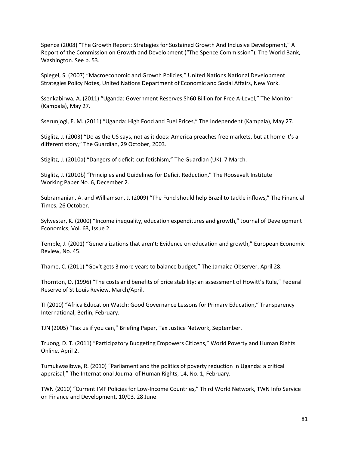Spence (2008) "The Growth Report: Strategies for Sustained Growth And Inclusive Development," A Report of the Commission on Growth and Development ("The Spence Commission"), The World Bank, Washington. See p. 53.

Spiegel, S. (2007) "Macroeconomic and Growth Policies," United Nations National Development Strategies Policy Notes, United Nations Department of Economic and Social Affairs, New York.

Ssenkabirwa, A. (2011) "Uganda: Government Reserves Sh60 Billion for Free A-Level," The Monitor (Kampala), May 27.

Sserunjogi, E. M. (2011) "Uganda: High Food and Fuel Prices," The Independent (Kampala), May 27.

Stiglitz, J. (2003) "Do as the US says, not as it does: America preaches free markets, but at home it's a different story," The Guardian, 29 October, 2003.

Stiglitz, J. (2010a) "Dangers of deficit-cut fetishism," The Guardian (UK), 7 March.

Stiglitz, J. (2010b) "Principles and Guidelines for Deficit Reduction," The Roosevelt Institute Working Paper No. 6, December 2.

Subramanian, A. and Williamson, J. (2009) "The Fund should help Brazil to tackle inflows," The Financial Times, 26 October.

Sylwester, K. (2000) "Income inequality, education expenditures and growth," Journal of Development Economics, Vol. 63, Issue 2.

Temple, J. (2001) "Generalizations that aren't: Evidence on education and growth," European Economic Review, No. 45.

Thame, C. (2011) "Gov't gets 3 more years to balance budget," The Jamaica Observer, April 28.

Thornton, D. (1996) "The costs and benefits of price stability: an assessment of Howitt's Rule," Federal Reserve of St Louis Review, March/April.

TI (2010) "Africa Education Watch: Good Governance Lessons for Primary Education," Transparency International, Berlin, February.

TJN (2005) "Tax us if you can," Briefing Paper, Tax Justice Network, September.

Truong, D. T. (2011) "Participatory Budgeting Empowers Citizens," World Poverty and Human Rights Online, April 2.

Tumukwasibwe, R. (2010) "Parliament and the politics of poverty reduction in Uganda: a critical appraisal," The International Journal of Human Rights, 14, No. 1, February.

TWN (2010) "Current IMF Policies for Low-Income Countries," Third World Network, TWN Info Service on Finance and Development, 10/03. 28 June.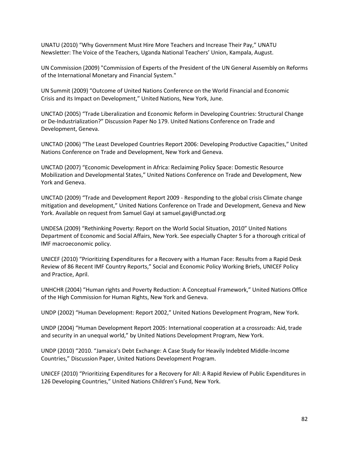UNATU (2010) "Why Government Must Hire More Teachers and Increase Their Pay," UNATU Newsletter: The Voice of the Teachers, Uganda National Teachers' Union, Kampala, August.

UN Commission (2009) "Commission of Experts of the President of the UN General Assembly on Reforms of the International Monetary and Financial System."

UN Summit (2009) "Outcome of United Nations Conference on the World Financial and Economic Crisis and its Impact on Development," United Nations, New York, June.

UNCTAD (2005) "Trade Liberalization and Economic Reform in Developing Countries: Structural Change or De-Industrialization?" Discussion Paper No 179. United Nations Conference on Trade and Development, Geneva.

UNCTAD (2006) "The Least Developed Countries Report 2006: Developing Productive Capacities," United Nations Conference on Trade and Development, New York and Geneva.

UNCTAD (2007) "Economic Development in Africa: Reclaiming Policy Space: Domestic Resource Mobilization and Developmental States," United Nations Conference on Trade and Development, New York and Geneva.

UNCTAD (2009) "Trade and Development Report 2009 - Responding to the global crisis Climate change mitigation and development," United Nations Conference on Trade and Development, Geneva and New York. Available on request from Samuel Gayi at samuel.gayi@unctad.org

UNDESA (2009) "Rethinking Poverty: Report on the World Social Situation, 2010" United Nations Department of Economic and Social Affairs, New York. See especially Chapter 5 for a thorough critical of IMF macroeconomic policy.

UNICEF (2010) "Prioritizing Expenditures for a Recovery with a Human Face: Results from a Rapid Desk Review of 86 Recent IMF Country Reports," Social and Economic Policy Working Briefs, UNICEF Policy and Practice, April.

UNHCHR (2004) "Human rights and Poverty Reduction: A Conceptual Framework," United Nations Office of the High Commission for Human Rights, New York and Geneva.

UNDP (2002) "Human Development: Report 2002," United Nations Development Program, New York.

UNDP (2004) "Human Development Report 2005: International cooperation at a crossroads: Aid, trade and security in an unequal world," by United Nations Development Program, New York.

UNDP (2010) "2010. "Jamaica's Debt Exchange: A Case Study for Heavily Indebted Middle-Income Countries," Discussion Paper, United Nations Development Program.

UNICEF (2010) "Prioritizing Expenditures for a Recovery for All: A Rapid Review of Public Expenditures in 126 Developing Countries," United Nations Children's Fund, New York.